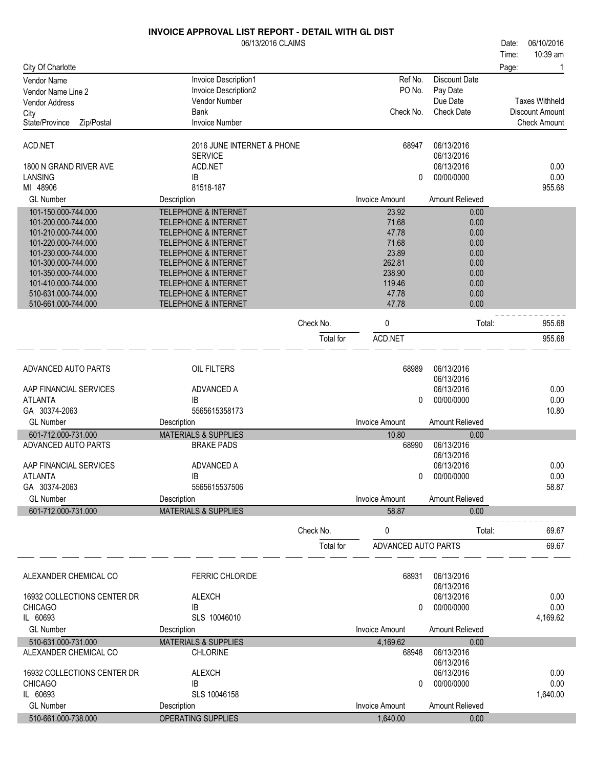|                                   | <b>INVOICE APPROVAL LIST REPORT - DETAIL WITH GL DIST</b> |           |                       |                          |       |                        |
|-----------------------------------|-----------------------------------------------------------|-----------|-----------------------|--------------------------|-------|------------------------|
|                                   | 06/13/2016 CLAIMS                                         |           |                       |                          | Date: | 06/10/2016             |
|                                   |                                                           |           |                       |                          | Time: | 10:39 am               |
| City Of Charlotte                 |                                                           |           |                       |                          | Page: | 1                      |
| <b>Vendor Name</b>                | Invoice Description1                                      |           | Ref No.               | <b>Discount Date</b>     |       |                        |
| Vendor Name Line 2                | Invoice Description2                                      |           | PO No.                | Pay Date                 |       |                        |
| <b>Vendor Address</b>             | Vendor Number                                             |           |                       | Due Date                 |       | <b>Taxes Withheld</b>  |
| City                              | <b>Bank</b>                                               |           | Check No.             | <b>Check Date</b>        |       | <b>Discount Amount</b> |
| State/Province<br>Zip/Postal      | <b>Invoice Number</b>                                     |           |                       |                          |       | <b>Check Amount</b>    |
| ACD.NET                           | 2016 JUNE INTERNET & PHONE                                |           | 68947                 | 06/13/2016               |       |                        |
|                                   | <b>SERVICE</b>                                            |           |                       | 06/13/2016               |       |                        |
| 1800 N GRAND RIVER AVE<br>LANSING | ACD.NET<br>IB                                             |           |                       | 06/13/2016<br>00/00/0000 |       | 0.00<br>0.00           |
| MI 48906                          | 81518-187                                                 |           | 0                     |                          |       | 955.68                 |
| <b>GL Number</b>                  | Description                                               |           | <b>Invoice Amount</b> | Amount Relieved          |       |                        |
| 101-150.000-744.000               | <b>TELEPHONE &amp; INTERNET</b>                           |           | 23.92                 |                          |       |                        |
| 101-200.000-744.000               | <b>TELEPHONE &amp; INTERNET</b>                           |           | 71.68                 | 0.00<br>0.00             |       |                        |
| 101-210.000-744.000               | <b>TELEPHONE &amp; INTERNET</b>                           |           | 47.78                 | 0.00                     |       |                        |
| 101-220.000-744.000               | <b>TELEPHONE &amp; INTERNET</b>                           |           | 71.68                 | 0.00                     |       |                        |
| 101-230.000-744.000               | <b>TELEPHONE &amp; INTERNET</b>                           |           | 23.89                 | 0.00                     |       |                        |
| 101-300.000-744.000               | <b>TELEPHONE &amp; INTERNET</b>                           |           | 262.81                | 0.00                     |       |                        |
| 101-350.000-744.000               | <b>TELEPHONE &amp; INTERNET</b>                           |           | 238.90                | 0.00                     |       |                        |
| 101-410.000-744.000               | <b>TELEPHONE &amp; INTERNET</b>                           |           | 119.46                | 0.00                     |       |                        |
| 510-631.000-744.000               | <b>TELEPHONE &amp; INTERNET</b>                           |           | 47.78                 | 0.00                     |       |                        |
| 510-661.000-744.000               | <b>TELEPHONE &amp; INTERNET</b>                           |           | 47.78                 | 0.00                     |       |                        |
|                                   |                                                           | Check No. | 0                     | Total:                   |       | 955.68                 |
|                                   |                                                           | Total for | ACD.NET               |                          |       | 955.68                 |
|                                   |                                                           |           |                       |                          |       |                        |
| ADVANCED AUTO PARTS               | OIL FILTERS                                               |           | 68989                 | 06/13/2016<br>06/13/2016 |       |                        |
| AAP FINANCIAL SERVICES            | ADVANCED A                                                |           |                       | 06/13/2016               |       | 0.00                   |
| <b>ATLANTA</b>                    | IB                                                        |           | 0                     | 00/00/0000               |       | 0.00                   |
| GA 30374-2063                     | 5565615358173                                             |           |                       |                          |       | 10.80                  |
| <b>GL Number</b>                  | Description                                               |           | <b>Invoice Amount</b> | Amount Relieved          |       |                        |
| 601-712.000-731.000               | <b>MATERIALS &amp; SUPPLIES</b>                           |           | 10.80                 | 0.00                     |       |                        |
| ADVANCED AUTO PARTS               | <b>BRAKE PADS</b>                                         |           | 68990                 | 06/13/2016               |       |                        |
|                                   |                                                           |           |                       | 06/13/2016               |       |                        |
| AAP FINANCIAL SERVICES            | ADVANCED A                                                |           |                       | 06/13/2016               |       | 0.00                   |
| <b>ATLANTA</b>                    | ΙB                                                        |           | 0                     | 00/00/0000               |       | 0.00                   |
| GA 30374-2063                     | 5565615537506                                             |           |                       |                          |       | 58.87                  |
| <b>GL Number</b>                  | Description                                               |           | <b>Invoice Amount</b> | <b>Amount Relieved</b>   |       |                        |
| 601-712.000-731.000               | <b>MATERIALS &amp; SUPPLIES</b>                           |           | 58.87                 | 0.00                     |       |                        |
|                                   |                                                           | Check No. | 0                     | Total:                   |       | 69.67                  |
|                                   |                                                           | Total for | ADVANCED AUTO PARTS   |                          |       | 69.67                  |
|                                   |                                                           |           |                       |                          |       |                        |
| ALEXANDER CHEMICAL CO             | <b>FERRIC CHLORIDE</b>                                    |           | 68931                 | 06/13/2016<br>06/13/2016 |       |                        |
| 16932 COLLECTIONS CENTER DR       | <b>ALEXCH</b>                                             |           |                       | 06/13/2016               |       | 0.00                   |
| <b>CHICAGO</b>                    | IB                                                        |           | 0                     | 00/00/0000               |       | 0.00                   |
| IL 60693                          | SLS 10046010                                              |           |                       |                          |       | 4,169.62               |
| <b>GL Number</b>                  | Description                                               |           | <b>Invoice Amount</b> | Amount Relieved          |       |                        |
| 510-631.000-731.000               | <b>MATERIALS &amp; SUPPLIES</b>                           |           | 4,169.62              | 0.00                     |       |                        |
| ALEXANDER CHEMICAL CO             | <b>CHLORINE</b>                                           |           | 68948                 | 06/13/2016               |       |                        |
|                                   |                                                           |           |                       | 06/13/2016               |       |                        |
| 16932 COLLECTIONS CENTER DR       | <b>ALEXCH</b>                                             |           |                       | 06/13/2016               |       | 0.00                   |
| <b>CHICAGO</b>                    | IB                                                        |           | 0                     | 00/00/0000               |       | 0.00                   |
| IL 60693                          | SLS 10046158                                              |           |                       |                          |       | 1,640.00               |
| <b>GL Number</b>                  | Description                                               |           | <b>Invoice Amount</b> | Amount Relieved          |       |                        |
| 510-661.000-738.000               | OPERATING SUPPLIES                                        |           | 1,640.00              | 0.00                     |       |                        |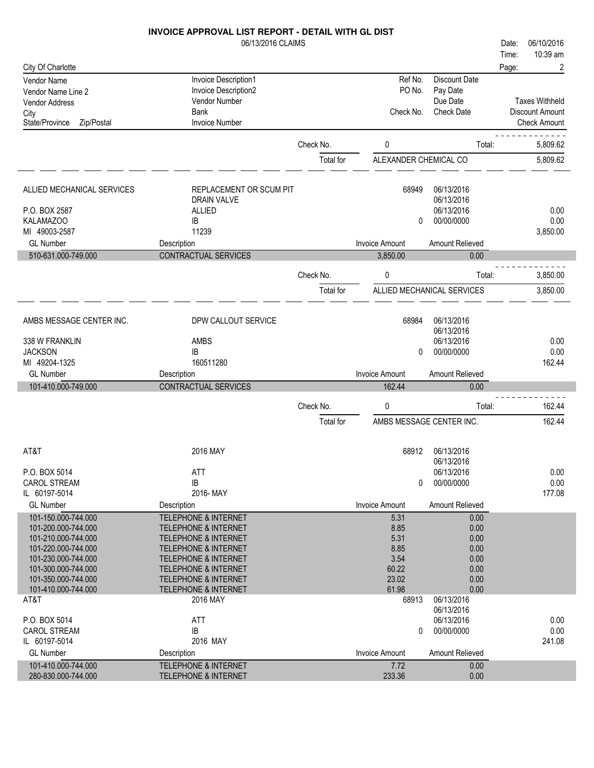| 5/13/2016 CLAIMS |
|------------------|
|                  |

|                                            | 06/13/2016 CLAIMS                                                  |           |                               |                            | 06/10/2016<br>Date:   |
|--------------------------------------------|--------------------------------------------------------------------|-----------|-------------------------------|----------------------------|-----------------------|
|                                            |                                                                    |           |                               |                            | 10:39 am<br>Time:     |
| City Of Charlotte                          |                                                                    |           |                               |                            | Page:<br>2            |
| Vendor Name                                | Invoice Description1                                               |           | Ref No.                       | <b>Discount Date</b>       |                       |
| Vendor Name Line 2                         | Invoice Description2                                               |           | PO No.                        | Pay Date                   |                       |
| Vendor Address                             | Vendor Number                                                      |           |                               | Due Date                   | <b>Taxes Withheld</b> |
| City                                       | <b>Bank</b>                                                        |           | Check No.                     | <b>Check Date</b>          | Discount Amount       |
| State/Province<br>Zip/Postal               | <b>Invoice Number</b>                                              |           |                               |                            | <b>Check Amount</b>   |
|                                            |                                                                    | Check No. | 0                             | Total:                     | 5,809.62              |
|                                            |                                                                    |           |                               |                            |                       |
|                                            |                                                                    | Total for | ALEXANDER CHEMICAL CO         |                            | 5,809.62              |
| ALLIED MECHANICAL SERVICES                 | REPLACEMENT OR SCUM PIT                                            |           | 68949                         | 06/13/2016                 |                       |
|                                            | <b>DRAIN VALVE</b>                                                 |           |                               | 06/13/2016                 |                       |
| P.O. BOX 2587                              | <b>ALLIED</b>                                                      |           |                               | 06/13/2016                 | 0.00                  |
| KALAMAZOO                                  | IB                                                                 |           | $\Omega$                      | 00/00/0000                 | 0.00                  |
| MI 49003-2587                              | 11239                                                              |           |                               |                            | 3,850.00              |
| <b>GL Number</b>                           | Description                                                        |           | <b>Invoice Amount</b>         | Amount Relieved            |                       |
| 510-631.000-749.000                        | CONTRACTUAL SERVICES                                               |           | 3,850.00                      | 0.00                       |                       |
|                                            |                                                                    | Check No. | 0                             | Total:                     | 3,850.00              |
|                                            |                                                                    |           |                               |                            |                       |
|                                            |                                                                    | Total for |                               | ALLIED MECHANICAL SERVICES | 3,850.00              |
| AMBS MESSAGE CENTER INC.                   | DPW CALLOUT SERVICE                                                |           | 68984                         | 06/13/2016                 |                       |
|                                            |                                                                    |           |                               | 06/13/2016                 |                       |
| 338 W FRANKLIN                             | <b>AMBS</b>                                                        |           |                               | 06/13/2016                 | 0.00                  |
| <b>JACKSON</b>                             | IB                                                                 |           | 0                             | 00/00/0000                 | 0.00                  |
|                                            | 160511280                                                          |           |                               |                            | 162.44                |
| MI 49204-1325                              |                                                                    |           |                               |                            |                       |
| <b>GL Number</b>                           | Description                                                        |           | <b>Invoice Amount</b>         | Amount Relieved            |                       |
| 101-410.000-749.000                        | CONTRACTUAL SERVICES                                               |           | 162.44                        | 0.00                       |                       |
|                                            |                                                                    |           |                               |                            |                       |
|                                            |                                                                    | Check No. | 0                             | Total:                     | 162.44                |
|                                            |                                                                    | Total for | AMBS MESSAGE CENTER INC.      |                            | 162.44                |
|                                            |                                                                    |           |                               |                            |                       |
| AT&T                                       | 2016 MAY                                                           |           | 68912                         | 06/13/2016                 |                       |
|                                            |                                                                    |           |                               | 06/13/2016                 |                       |
| P.O. BOX 5014                              | ATT                                                                |           |                               | 06/13/2016                 | 0.00                  |
| <b>CAROL STREAM</b><br>IL 60197-5014       | IB<br>2016-MAY                                                     |           | 0                             | 00/00/0000                 | 0.00<br>177.08        |
| <b>GL Number</b>                           | Description                                                        |           | <b>Invoice Amount</b>         | Amount Relieved            |                       |
|                                            |                                                                    |           |                               |                            |                       |
| 101-150.000-744.000                        | <b>TELEPHONE &amp; INTERNET</b>                                    |           | 5.31                          | 0.00                       |                       |
| 101-200.000-744.000<br>101-210.000-744.000 | <b>TELEPHONE &amp; INTERNET</b><br><b>TELEPHONE &amp; INTERNET</b> |           | 8.85<br>5.31                  | 0.00                       |                       |
| 101-220.000-744.000                        | <b>TELEPHONE &amp; INTERNET</b>                                    |           | 8.85                          | 0.00<br>0.00               |                       |
| 101-230.000-744.000                        | <b>TELEPHONE &amp; INTERNET</b>                                    |           | 3.54                          | 0.00                       |                       |
| 101-300.000-744.000                        | <b>TELEPHONE &amp; INTERNET</b>                                    |           | 60.22                         | 0.00                       |                       |
| 101-350.000-744.000                        | <b>TELEPHONE &amp; INTERNET</b>                                    |           | 23.02                         | 0.00                       |                       |
| 101-410.000-744.000                        | <b>TELEPHONE &amp; INTERNET</b>                                    |           | 61.98                         | 0.00                       |                       |
| AT&T                                       | 2016 MAY                                                           |           | 68913                         | 06/13/2016                 |                       |
|                                            |                                                                    |           |                               | 06/13/2016                 |                       |
| P.O. BOX 5014                              | <b>ATT</b>                                                         |           |                               | 06/13/2016                 | 0.00                  |
| <b>CAROL STREAM</b>                        | $\sf IB$                                                           |           | 0                             | 00/00/0000                 | 0.00                  |
| IL 60197-5014                              | 2016 MAY                                                           |           |                               |                            | 241.08                |
| <b>GL Number</b><br>101-410.000-744.000    | Description<br><b>TELEPHONE &amp; INTERNET</b>                     |           | <b>Invoice Amount</b><br>7.72 | Amount Relieved<br>0.00    |                       |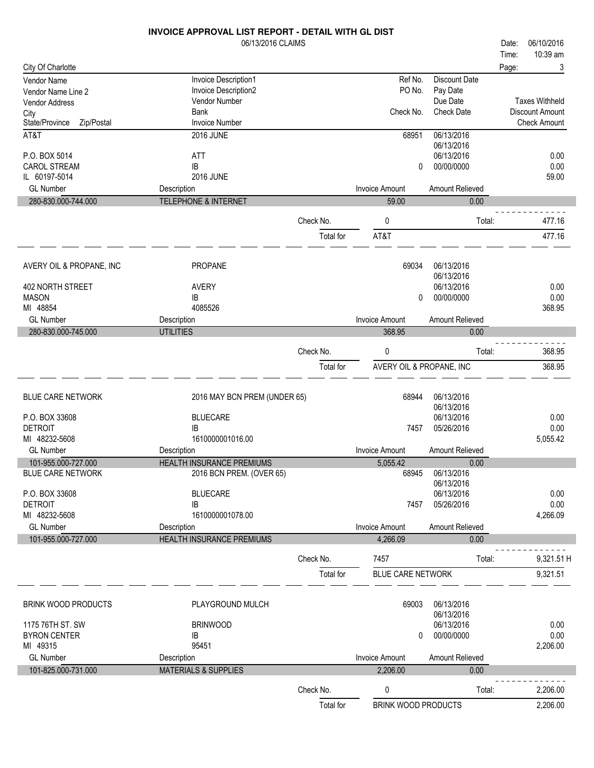|                                          | 06/13/2016 CLAIMS                                     |                        |                                   |                          | 06/10/2016<br>Date:   |
|------------------------------------------|-------------------------------------------------------|------------------------|-----------------------------------|--------------------------|-----------------------|
|                                          |                                                       |                        |                                   |                          | 10:39 am<br>Time:     |
| City Of Charlotte                        |                                                       |                        | Ref No.                           | <b>Discount Date</b>     | 3<br>Page:            |
| Vendor Name<br>Vendor Name Line 2        | Invoice Description1<br>Invoice Description2          |                        | PO No.                            | Pay Date                 |                       |
| <b>Vendor Address</b>                    | Vendor Number                                         |                        |                                   | Due Date                 | <b>Taxes Withheld</b> |
| City                                     | <b>Bank</b>                                           |                        | Check No.                         | <b>Check Date</b>        | Discount Amount       |
| State/Province<br>Zip/Postal             | <b>Invoice Number</b>                                 |                        |                                   |                          | <b>Check Amount</b>   |
| AT&T                                     | <b>2016 JUNE</b>                                      |                        | 68951                             | 06/13/2016<br>06/13/2016 |                       |
| P.O. BOX 5014                            | <b>ATT</b>                                            |                        |                                   | 06/13/2016               | 0.00                  |
| <b>CAROL STREAM</b><br>IL 60197-5014     | IB<br><b>2016 JUNE</b>                                |                        | 0                                 | 00/00/0000               | 0.00                  |
| <b>GL Number</b>                         | Description                                           |                        | <b>Invoice Amount</b>             | Amount Relieved          | 59.00                 |
| 280-830.000-744.000                      | TELEPHONE & INTERNET                                  |                        | 59.00                             | 0.00                     |                       |
|                                          |                                                       |                        |                                   |                          |                       |
|                                          |                                                       | Check No.              | 0                                 | Total:                   | 477.16                |
|                                          |                                                       | Total for              | AT&T                              |                          | 477.16                |
| AVERY OIL & PROPANE, INC                 | <b>PROPANE</b>                                        |                        | 69034                             | 06/13/2016               |                       |
|                                          |                                                       |                        |                                   | 06/13/2016               |                       |
| 402 NORTH STREET                         | <b>AVERY</b>                                          |                        |                                   | 06/13/2016               | 0.00                  |
| <b>MASON</b>                             | IB                                                    |                        | 0                                 | 00/00/0000               | 0.00                  |
| MI 48854                                 | 4085526                                               |                        |                                   |                          | 368.95                |
| <b>GL Number</b>                         | Description                                           |                        | <b>Invoice Amount</b>             | Amount Relieved          |                       |
| 280-830.000-745.000                      | <b>UTILITIES</b>                                      |                        | 368.95                            | 0.00                     |                       |
|                                          |                                                       | Check No.              | 0                                 | Total:                   | 368.95                |
|                                          |                                                       | Total for              | AVERY OIL & PROPANE, INC          |                          | 368.95                |
|                                          |                                                       |                        |                                   |                          |                       |
| <b>BLUE CARE NETWORK</b>                 | 2016 MAY BCN PREM (UNDER 65)                          |                        | 68944                             | 06/13/2016               |                       |
|                                          |                                                       |                        |                                   | 06/13/2016               |                       |
| P.O. BOX 33608                           | <b>BLUECARE</b>                                       |                        |                                   | 06/13/2016               | 0.00                  |
| <b>DETROIT</b>                           | IB                                                    |                        | 7457                              | 05/26/2016               | 0.00                  |
| MI 48232-5608                            | 1610000001016.00                                      |                        |                                   |                          | 5,055.42              |
| <b>GL Number</b>                         | Description                                           |                        | <b>Invoice Amount</b>             | Amount Relieved          |                       |
| 101-955.000-727.000<br>BLUE CARE NETWORK | HEALTH INSURANCE PREMIUMS<br>2016 BCN PREM. (OVER 65) |                        | 5,055.42<br>68945                 | 0.00<br>06/13/2016       |                       |
|                                          |                                                       |                        |                                   | 06/13/2016               |                       |
| P.O. BOX 33608                           | <b>BLUECARE</b>                                       |                        |                                   | 06/13/2016               | 0.00                  |
| <b>DETROIT</b>                           | IB                                                    |                        | 7457                              | 05/26/2016               | 0.00                  |
| MI 48232-5608                            | 1610000001078.00                                      |                        |                                   |                          | 4,266.09              |
| <b>GL Number</b><br>101-955.000-727.000  | Description<br><b>HEALTH INSURANCE PREMIUMS</b>       |                        | <b>Invoice Amount</b><br>4,266.09 | Amount Relieved<br>0.00  |                       |
|                                          |                                                       |                        |                                   |                          |                       |
|                                          |                                                       | Check No.              | 7457                              | Total:                   | 9,321.51 H            |
|                                          |                                                       | Total for              | <b>BLUE CARE NETWORK</b>          |                          | 9,321.51              |
| <b>BRINK WOOD PRODUCTS</b>               | PLAYGROUND MULCH                                      |                        | 69003                             | 06/13/2016               |                       |
|                                          |                                                       |                        |                                   | 06/13/2016               |                       |
| 1175 76TH ST. SW                         | <b>BRINWOOD</b>                                       |                        |                                   | 06/13/2016               | 0.00                  |
| <b>BYRON CENTER</b><br>MI 49315          | IB<br>95451                                           |                        | 0                                 | 00/00/0000               | 0.00<br>2,206.00      |
| <b>GL Number</b>                         | Description                                           |                        | <b>Invoice Amount</b>             | Amount Relieved          |                       |
| 101-825.000-731.000                      | <b>MATERIALS &amp; SUPPLIES</b>                       |                        | 2,206.00                          | 0.00                     |                       |
|                                          |                                                       |                        |                                   |                          |                       |
|                                          |                                                       |                        |                                   |                          |                       |
|                                          |                                                       | Check No.<br>Total for | 0<br><b>BRINK WOOD PRODUCTS</b>   | Total:                   | 2,206.00<br>2,206.00  |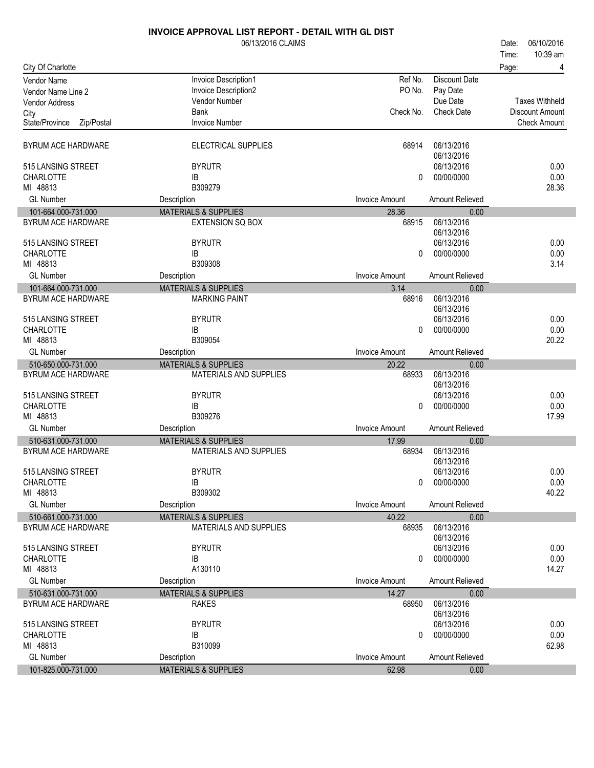|                                         | 06/13/2016 CLAIMS                              |                                |                          | 06/10/2016<br>Date:    |
|-----------------------------------------|------------------------------------------------|--------------------------------|--------------------------|------------------------|
|                                         |                                                |                                |                          | 10:39 am<br>Time:      |
| City Of Charlotte                       |                                                |                                |                          | Page:<br>4             |
| Vendor Name                             | Invoice Description1                           | Ref No.                        | <b>Discount Date</b>     |                        |
| Vendor Name Line 2                      | Invoice Description2                           | PO No.                         | Pay Date                 |                        |
| Vendor Address                          | Vendor Number                                  |                                | Due Date                 | <b>Taxes Withheld</b>  |
| City                                    | Bank                                           | Check No.                      | <b>Check Date</b>        | <b>Discount Amount</b> |
| State/Province<br>Zip/Postal            | <b>Invoice Number</b>                          |                                |                          | <b>Check Amount</b>    |
|                                         |                                                |                                |                          |                        |
| BYRUM ACE HARDWARE                      | ELECTRICAL SUPPLIES                            | 68914                          | 06/13/2016<br>06/13/2016 |                        |
| 515 LANSING STREET                      | <b>BYRUTR</b>                                  |                                | 06/13/2016               | 0.00                   |
| <b>CHARLOTTE</b>                        | IB                                             | 0                              | 00/00/0000               | 0.00                   |
| MI 48813                                | B309279                                        |                                |                          | 28.36                  |
| <b>GL Number</b>                        | Description                                    | <b>Invoice Amount</b>          | Amount Relieved          |                        |
| 101-664.000-731.000                     | <b>MATERIALS &amp; SUPPLIES</b>                | 28.36                          | 0.00                     |                        |
| <b>BYRUM ACE HARDWARE</b>               | <b>EXTENSION SQ BOX</b>                        | 68915                          | 06/13/2016               |                        |
|                                         |                                                |                                | 06/13/2016               |                        |
| 515 LANSING STREET                      | <b>BYRUTR</b>                                  |                                | 06/13/2016               | 0.00                   |
| <b>CHARLOTTE</b>                        | IB                                             | 0                              | 00/00/0000               | 0.00                   |
| MI 48813                                | B309308                                        |                                |                          | 3.14                   |
| <b>GL Number</b>                        | Description                                    | <b>Invoice Amount</b>          | Amount Relieved          |                        |
| 101-664.000-731.000                     | <b>MATERIALS &amp; SUPPLIES</b>                | 3.14                           | 0.00                     |                        |
| BYRUM ACE HARDWARE                      | <b>MARKING PAINT</b>                           | 68916                          | 06/13/2016               |                        |
|                                         |                                                |                                | 06/13/2016               |                        |
| 515 LANSING STREET                      | <b>BYRUTR</b>                                  |                                | 06/13/2016               | 0.00                   |
| <b>CHARLOTTE</b>                        | IB                                             | 0                              | 00/00/0000               | 0.00                   |
| MI 48813                                | B309054                                        |                                |                          | 20.22                  |
| <b>GL Number</b>                        | Description                                    | <b>Invoice Amount</b>          | Amount Relieved          |                        |
|                                         |                                                |                                |                          |                        |
|                                         |                                                |                                |                          |                        |
| 510-650.000-731.000                     | <b>MATERIALS &amp; SUPPLIES</b>                | 20.22                          | 0.00                     |                        |
| BYRUM ACE HARDWARE                      | <b>MATERIALS AND SUPPLIES</b>                  | 68933                          | 06/13/2016               |                        |
|                                         |                                                |                                | 06/13/2016               |                        |
| 515 LANSING STREET                      | <b>BYRUTR</b>                                  |                                | 06/13/2016               | 0.00                   |
| CHARLOTTE                               | IB                                             | 0                              | 00/00/0000               | 0.00                   |
| MI 48813                                | B309276                                        |                                |                          | 17.99                  |
| <b>GL Number</b>                        | Description                                    | <b>Invoice Amount</b>          | Amount Relieved          |                        |
| 510-631.000-731.000                     | <b>MATERIALS &amp; SUPPLIES</b>                | 17.99                          | 0.00                     |                        |
| BYRUM ACE HARDWARE                      | MATERIALS AND SUPPLIES                         | 68934                          | 06/13/2016               |                        |
|                                         |                                                |                                | 06/13/2016               |                        |
| 515 LANSING STREET                      | <b>BYRUTR</b>                                  |                                | 06/13/2016               | 0.00                   |
| CHARLOTTE                               | IB                                             | 0                              | 00/00/0000               | 0.00                   |
| MI 48813                                | B309302                                        |                                |                          | 40.22                  |
| <b>GL Number</b>                        | Description                                    | <b>Invoice Amount</b>          | Amount Relieved          |                        |
| 510-661.000-731.000                     | <b>MATERIALS &amp; SUPPLIES</b>                | 40.22                          | 0.00                     |                        |
| <b>BYRUM ACE HARDWARE</b>               | MATERIALS AND SUPPLIES                         | 68935                          | 06/13/2016               |                        |
|                                         |                                                |                                | 06/13/2016               |                        |
| 515 LANSING STREET                      | <b>BYRUTR</b>                                  |                                | 06/13/2016               | 0.00                   |
| <b>CHARLOTTE</b>                        | IB                                             | 0                              | 00/00/0000               | 0.00                   |
| MI 48813                                | A130110                                        |                                |                          | 14.27                  |
| <b>GL Number</b>                        | Description                                    | <b>Invoice Amount</b>          | Amount Relieved          |                        |
| 510-631.000-731.000                     | <b>MATERIALS &amp; SUPPLIES</b>                | 14.27                          | 0.00                     |                        |
| BYRUM ACE HARDWARE                      | <b>RAKES</b>                                   | 68950                          | 06/13/2016               |                        |
|                                         |                                                |                                | 06/13/2016               |                        |
| 515 LANSING STREET                      | <b>BYRUTR</b>                                  |                                | 06/13/2016               | 0.00                   |
| CHARLOTTE                               | IB                                             | 0                              | 00/00/0000               | 0.00                   |
| MI 48813                                | B310099                                        |                                |                          | 62.98                  |
| <b>GL Number</b><br>101-825.000-731.000 | Description<br><b>MATERIALS &amp; SUPPLIES</b> | <b>Invoice Amount</b><br>62.98 | Amount Relieved<br>0.00  |                        |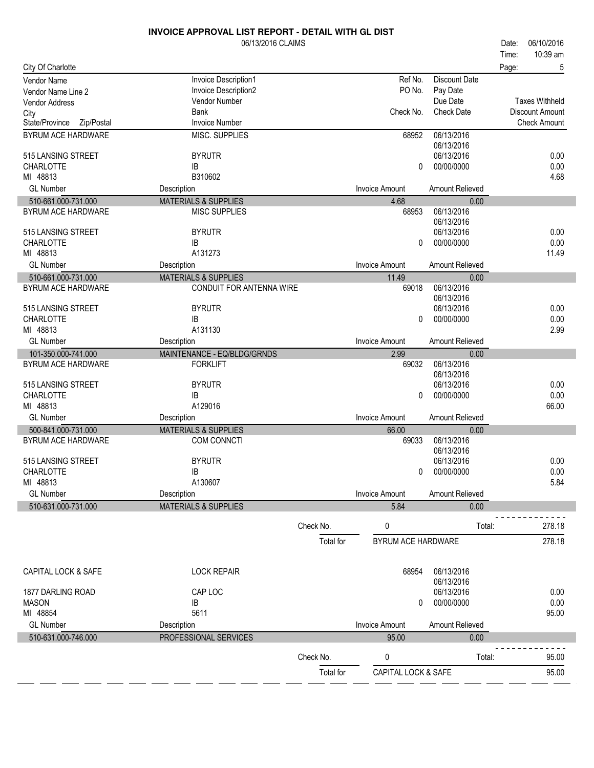|                                           | 06/13/2016 CLAIMS                                           |           |                                |                               | Date: | 06/10/2016                             |
|-------------------------------------------|-------------------------------------------------------------|-----------|--------------------------------|-------------------------------|-------|----------------------------------------|
|                                           |                                                             |           |                                |                               | Time: | 10:39 am                               |
| City Of Charlotte                         |                                                             |           |                                |                               | Page: | 5                                      |
| <b>Vendor Name</b>                        | Invoice Description1                                        |           | Ref No.                        | <b>Discount Date</b>          |       |                                        |
| Vendor Name Line 2                        | Invoice Description2                                        |           | PO No.                         | Pay Date                      |       |                                        |
| <b>Vendor Address</b>                     | Vendor Number                                               |           |                                | Due Date<br><b>Check Date</b> |       | <b>Taxes Withheld</b>                  |
| City<br>State/Province Zip/Postal         | Bank<br><b>Invoice Number</b>                               |           | Check No.                      |                               |       | Discount Amount<br><b>Check Amount</b> |
| BYRUM ACE HARDWARE                        | MISC. SUPPLIES                                              |           | 68952                          | 06/13/2016                    |       |                                        |
|                                           |                                                             |           |                                | 06/13/2016                    |       |                                        |
| 515 LANSING STREET                        | <b>BYRUTR</b>                                               |           |                                | 06/13/2016                    |       | 0.00                                   |
| <b>CHARLOTTE</b>                          | IB                                                          |           | 0                              | 00/00/0000                    |       | 0.00                                   |
| MI 48813                                  | B310602                                                     |           |                                |                               |       | 4.68                                   |
| <b>GL Number</b>                          | Description                                                 |           | <b>Invoice Amount</b>          | Amount Relieved               |       |                                        |
| 510-661.000-731.000                       | <b>MATERIALS &amp; SUPPLIES</b>                             |           | 4.68                           | 0.00                          |       |                                        |
| <b>BYRUM ACE HARDWARE</b>                 | <b>MISC SUPPLIES</b>                                        |           | 68953                          | 06/13/2016                    |       |                                        |
|                                           |                                                             |           |                                | 06/13/2016                    |       |                                        |
| 515 LANSING STREET                        | <b>BYRUTR</b>                                               |           |                                | 06/13/2016                    |       | 0.00                                   |
| <b>CHARLOTTE</b>                          | IB                                                          |           | 0                              | 00/00/0000                    |       | 0.00                                   |
| MI 48813<br><b>GL Number</b>              | A131273                                                     |           |                                |                               |       | 11.49                                  |
|                                           | Description                                                 |           | <b>Invoice Amount</b>          | Amount Relieved               |       |                                        |
| 510-661.000-731.000<br>BYRUM ACE HARDWARE | <b>MATERIALS &amp; SUPPLIES</b><br>CONDUIT FOR ANTENNA WIRE |           | 11.49<br>69018                 | 0.00<br>06/13/2016            |       |                                        |
|                                           |                                                             |           |                                | 06/13/2016                    |       |                                        |
| 515 LANSING STREET                        | <b>BYRUTR</b>                                               |           |                                | 06/13/2016                    |       | 0.00                                   |
| <b>CHARLOTTE</b>                          | IB                                                          |           | 0                              | 00/00/0000                    |       | 0.00                                   |
| MI 48813                                  | A131130                                                     |           |                                |                               |       | 2.99                                   |
| <b>GL Number</b>                          | Description                                                 |           | <b>Invoice Amount</b>          | Amount Relieved               |       |                                        |
| 101-350.000-741.000                       | MAINTENANCE - EQ/BLDG/GRNDS                                 |           | 2.99                           | 0.00                          |       |                                        |
| BYRUM ACE HARDWARE                        | <b>FORKLIFT</b>                                             |           | 69032                          | 06/13/2016                    |       |                                        |
|                                           |                                                             |           |                                | 06/13/2016                    |       |                                        |
| 515 LANSING STREET                        | <b>BYRUTR</b>                                               |           |                                | 06/13/2016                    |       | 0.00                                   |
| <b>CHARLOTTE</b><br>MI 48813              | IB<br>A129016                                               |           | 0                              | 00/00/0000                    |       | 0.00<br>66.00                          |
| <b>GL Number</b>                          |                                                             |           | <b>Invoice Amount</b>          | Amount Relieved               |       |                                        |
| 500-841.000-731.000                       | Description<br><b>MATERIALS &amp; SUPPLIES</b>              |           |                                |                               |       |                                        |
| BYRUM ACE HARDWARE                        | COM CONNCTI                                                 |           | 66.00<br>69033                 | 0.00<br>06/13/2016            |       |                                        |
|                                           |                                                             |           |                                | 06/13/2016                    |       |                                        |
| 515 LANSING STREET                        | <b>BYRUTR</b>                                               |           |                                | 06/13/2016                    |       | 0.00                                   |
| CHARLOTTE                                 | IB                                                          |           | 0                              | 00/00/0000                    |       | 0.00                                   |
| MI 48813                                  | A130607                                                     |           |                                |                               |       | 5.84                                   |
| <b>GL Number</b>                          | Description                                                 |           | <b>Invoice Amount</b>          | <b>Amount Relieved</b>        |       |                                        |
| 510-631.000-731.000                       | <b>MATERIALS &amp; SUPPLIES</b>                             |           | 5.84                           | 0.00                          |       |                                        |
|                                           |                                                             |           |                                |                               |       |                                        |
|                                           |                                                             | Check No. | 0                              | Total:                        |       | 278.18                                 |
|                                           |                                                             | Total for | BYRUM ACE HARDWARE             |                               |       | 278.18                                 |
| CAPITAL LOCK & SAFE                       | <b>LOCK REPAIR</b>                                          |           | 68954                          | 06/13/2016                    |       |                                        |
|                                           |                                                             |           |                                | 06/13/2016                    |       |                                        |
| 1877 DARLING ROAD                         | CAP LOC                                                     |           |                                | 06/13/2016                    |       | 0.00                                   |
| <b>MASON</b>                              | IB                                                          |           | 0                              | 00/00/0000                    |       | 0.00                                   |
| MI 48854                                  | 5611                                                        |           |                                |                               |       | 95.00                                  |
| <b>GL Number</b>                          | Description                                                 |           | <b>Invoice Amount</b>          | Amount Relieved               |       |                                        |
| 510-631.000-746.000                       | PROFESSIONAL SERVICES                                       |           | 95.00                          | 0.00                          |       |                                        |
|                                           |                                                             | Check No. | 0                              | Total:                        |       | 95.00                                  |
|                                           |                                                             | Total for | <b>CAPITAL LOCK &amp; SAFE</b> |                               |       | 95.00                                  |
|                                           |                                                             |           |                                |                               |       |                                        |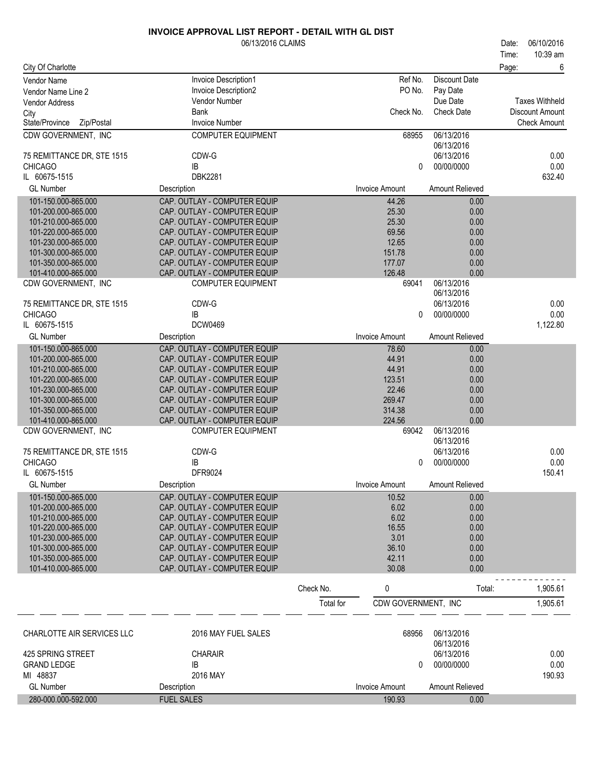|                              | INVOICE APPROVAL LIST REPORT - DETAIL WITH GL DIST<br>06/13/2016 CLAIMS |                       |                   | Date:<br>Time: | 06/10/2016<br>10:39 am |
|------------------------------|-------------------------------------------------------------------------|-----------------------|-------------------|----------------|------------------------|
| City Of Charlotte            |                                                                         |                       |                   | Page:          | 6                      |
| Vendor Name                  | <b>Invoice Description1</b>                                             | Ref No.               | Discount Date     |                |                        |
| Vendor Name Line 2           | <b>Invoice Description2</b>                                             | PO No.                | Pay Date          |                |                        |
| <b>Vendor Address</b>        | Vendor Number                                                           |                       | Due Date          |                | Taxes Withheld         |
| City                         | Bank                                                                    | Check No.             | <b>Check Date</b> |                | Discount Amount        |
| State/Province<br>Zip/Postal | <b>Invoice Number</b>                                                   |                       |                   |                | <b>Check Amount</b>    |
| CDW GOVERNMENT, INC          | <b>COMPUTER EQUIPMENT</b>                                               | 68955                 | 06/13/2016        |                |                        |
|                              |                                                                         |                       | 06/13/2016        |                |                        |
| 75 REMITTANCE DR, STE 1515   | CDW-G                                                                   |                       | 06/13/2016        |                | 0.00                   |
| <b>CHICAGO</b>               | IB                                                                      | 0                     | 00/00/0000        |                | 0.00                   |
| IL 60675-1515                | <b>DBK2281</b>                                                          |                       |                   |                | 632.40                 |
| <b>GL Number</b>             | Description                                                             | <b>Invoice Amount</b> | Amount Relieved   |                |                        |
| 101-150.000-865.000          | CAP. OUTLAY - COMPUTER EQUIP                                            | 44.26                 | 0.00              |                |                        |
| 101-200.000-865.000          | CAP. OUTLAY - COMPUTER EQUIP                                            | 25.30                 | 0.00              |                |                        |
| 101-210.000-865.000          | CAP. OUTLAY - COMPUTER EQUIP                                            | 25.30                 | 0.00              |                |                        |
| 101-220.000-865.000          | CAP. OUTLAY - COMPUTER EQUIP                                            | 69.56                 | 0.00              |                |                        |
| 101-230.000-865.000          | CAP. OUTLAY - COMPUTER EQUIP                                            | 12.65                 | 0.00              |                |                        |

|                            |                              | <b>Total</b> for | CDW GOVERNMENT, INC   |                 | 1,905.61 |
|----------------------------|------------------------------|------------------|-----------------------|-----------------|----------|
|                            |                              | Check No.        | 0                     | Total:          | 1,905.61 |
| 101-410.000-865.000        | CAP. OUTLAY - COMPUTER EQUIP |                  | 30.08                 | 0.00            |          |
| 101-350.000-865.000        | CAP. OUTLAY - COMPUTER EQUIP |                  | 42.11                 | 0.00            |          |
| 101-300.000-865.000        | CAP. OUTLAY - COMPUTER EQUIP |                  | 36.10                 | 0.00            |          |
| 101-230.000-865.000        | CAP. OUTLAY - COMPUTER EQUIP |                  | 3.01                  | 0.00            |          |
| 101-220.000-865.000        | CAP. OUTLAY - COMPUTER EQUIP |                  | 16.55                 | 0.00            |          |
| 101-210.000-865.000        | CAP. OUTLAY - COMPUTER EQUIP |                  | 6.02                  | 0.00            |          |
| 101-200.000-865.000        | CAP. OUTLAY - COMPUTER EQUIP |                  | 6.02                  | 0.00            |          |
| 101-150.000-865.000        | CAP. OUTLAY - COMPUTER EQUIP |                  | 10.52                 | 0.00            |          |
| <b>GL Number</b>           | Description                  |                  | <b>Invoice Amount</b> | Amount Relieved |          |
| IL 60675-1515              | DFR9024                      |                  |                       |                 | 150.41   |
| <b>CHICAGO</b>             | IB                           |                  | 0                     | 00/00/0000      | 0.00     |
| 75 REMITTANCE DR, STE 1515 | CDW-G                        |                  |                       | 06/13/2016      | 0.00     |
|                            |                              |                  |                       | 06/13/2016      |          |
| CDW GOVERNMENT. INC        | <b>COMPUTER EQUIPMENT</b>    |                  | 69042                 | 06/13/2016      |          |
| 101-410.000-865.000        | CAP. OUTLAY - COMPUTER EQUIP |                  | 224.56                | 0.00            |          |
| 101-350.000-865.000        | CAP. OUTLAY - COMPUTER EQUIP |                  | 314.38                | 0.00            |          |
| 101-300.000-865.000        | CAP. OUTLAY - COMPUTER EQUIP |                  | 269.47                | 0.00            |          |
| 101-230.000-865.000        | CAP. OUTLAY - COMPUTER EQUIP |                  | 22.46                 | 0.00            |          |
| 101-220.000-865.000        | CAP. OUTLAY - COMPUTER EQUIP |                  | 123.51                | 0.00            |          |
| 101-210.000-865.000        | CAP. OUTLAY - COMPUTER EQUIP |                  | 44.91                 | 0.00            |          |
| 101-200.000-865.000        | CAP. OUTLAY - COMPUTER EQUIP |                  | 44.91                 | 0.00            |          |
| 101-150.000-865.000        | CAP. OUTLAY - COMPUTER EQUIP |                  | 78.60                 | 0.00            |          |
| <b>GL Number</b>           | Description                  |                  | <b>Invoice Amount</b> | Amount Relieved |          |
| IL 60675-1515              | <b>DCW0469</b>               |                  |                       |                 | 1,122.80 |
| <b>CHICAGO</b>             | IB                           |                  | 0                     | 00/00/0000      | 0.00     |
| 75 REMITTANCE DR, STE 1515 | CDW-G                        |                  |                       | 06/13/2016      | 0.00     |
|                            |                              |                  |                       | 06/13/2016      |          |
| CDW GOVERNMENT, INC        | <b>COMPUTER EQUIPMENT</b>    |                  | 69041                 | 06/13/2016      |          |
| 101-410.000-865.000        | CAP. OUTLAY - COMPUTER EQUIP |                  | 126.48                | 0.00            |          |
| 101-350.000-865.000        | CAP. OUTLAY - COMPUTER EQUIP |                  | 177.07                | 0.00            |          |
| 101-300.000-865.000        | CAP. OUTLAY - COMPUTER EQUIP |                  | 151.78                | 0.00            |          |

| CHARLOTTE AIR SERVICES LLC     | 2016 MAY FUEL SALES | 68956          | 06/13/2016<br>06/13/2016 |                |
|--------------------------------|---------------------|----------------|--------------------------|----------------|
| 425 SPRING STREET              | <b>CHARAIR</b>      |                | 06/13/2016               | 0.00           |
| <b>GRAND LEDGE</b><br>MI 48837 | ΙB<br>2016 MAY      |                | 00/00/0000<br>0          | 0.00<br>190.93 |
| <b>GL Number</b>               | Description         | Invoice Amount | Amount Relieved          |                |
| 280-000.000-592.000            | <b>FUEL SALES</b>   | 190.93         | 0.00                     |                |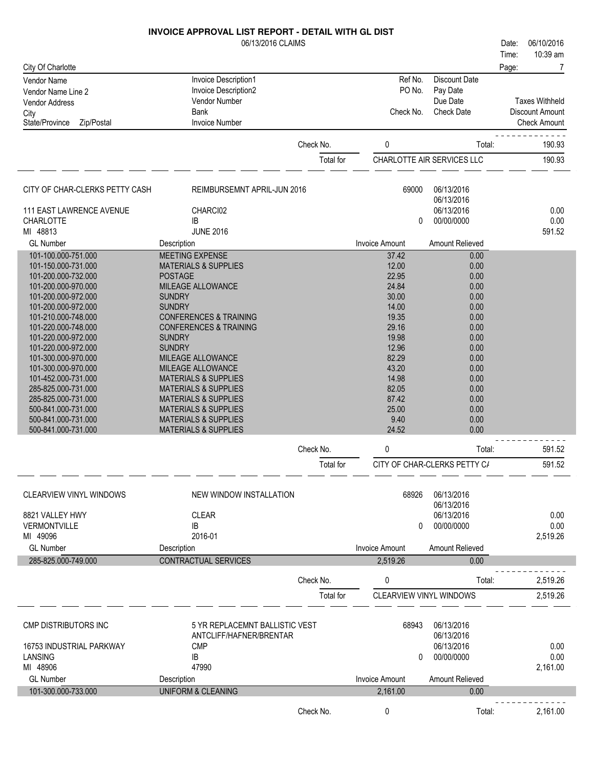|                                            | 06/13/2016 CLAIMS                                 |           |                                |                              | 06/10/2016<br>Date:   |
|--------------------------------------------|---------------------------------------------------|-----------|--------------------------------|------------------------------|-----------------------|
|                                            |                                                   |           |                                |                              | 10:39 am<br>Time:     |
| City Of Charlotte                          |                                                   |           |                                |                              | Page:<br>7            |
| Vendor Name                                | Invoice Description1                              |           | Ref No.<br>PO No.              | <b>Discount Date</b>         |                       |
| Vendor Name Line 2                         | Invoice Description2<br>Vendor Number             |           |                                | Pay Date<br>Due Date         | <b>Taxes Withheld</b> |
| <b>Vendor Address</b>                      | <b>Bank</b>                                       |           | Check No.                      | <b>Check Date</b>            | Discount Amount       |
| City<br>State/Province<br>Zip/Postal       | <b>Invoice Number</b>                             |           |                                |                              | <b>Check Amount</b>   |
|                                            |                                                   |           |                                |                              |                       |
|                                            |                                                   | Check No. | 0                              | Total:                       | 190.93                |
|                                            |                                                   | Total for |                                | CHARLOTTE AIR SERVICES LLC   | 190.93                |
| CITY OF CHAR-CLERKS PETTY CASH             | REIMBURSEMNT APRIL-JUN 2016                       |           | 69000                          | 06/13/2016                   |                       |
|                                            |                                                   |           |                                | 06/13/2016                   |                       |
| 111 EAST LAWRENCE AVENUE                   | CHARCI02                                          |           |                                | 06/13/2016                   | 0.00                  |
| <b>CHARLOTTE</b>                           | IB                                                |           | 0                              | 00/00/0000                   | 0.00                  |
| MI 48813                                   | <b>JUNE 2016</b>                                  |           |                                |                              | 591.52                |
| <b>GL</b> Number                           | Description                                       |           | <b>Invoice Amount</b>          | Amount Relieved              |                       |
| 101-100.000-751.000                        | MEETING EXPENSE                                   |           | 37.42<br>12.00                 | 0.00<br>0.00                 |                       |
| 101-150.000-731.000<br>101-200.000-732.000 | <b>MATERIALS &amp; SUPPLIES</b><br><b>POSTAGE</b> |           | 22.95                          | 0.00                         |                       |
| 101-200.000-970.000                        | MILEAGE ALLOWANCE                                 |           | 24.84                          | 0.00                         |                       |
| 101-200.000-972.000                        | <b>SUNDRY</b>                                     |           | 30.00                          | 0.00                         |                       |
| 101-200.000-972.000                        | <b>SUNDRY</b>                                     |           | 14.00                          | 0.00                         |                       |
| 101-210.000-748.000                        | <b>CONFERENCES &amp; TRAINING</b>                 |           | 19.35                          | 0.00                         |                       |
| 101-220.000-748.000                        | <b>CONFERENCES &amp; TRAINING</b>                 |           | 29.16                          | 0.00                         |                       |
| 101-220.000-972.000                        | <b>SUNDRY</b>                                     |           | 19.98                          | 0.00                         |                       |
| 101-220.000-972.000                        | <b>SUNDRY</b><br>MILEAGE ALLOWANCE                |           | 12.96<br>82.29                 | 0.00<br>0.00                 |                       |
| 101-300.000-970.000<br>101-300.000-970.000 | MILEAGE ALLOWANCE                                 |           | 43.20                          | 0.00                         |                       |
| 101-452.000-731.000                        | <b>MATERIALS &amp; SUPPLIES</b>                   |           | 14.98                          | 0.00                         |                       |
| 285-825.000-731.000                        | <b>MATERIALS &amp; SUPPLIES</b>                   |           | 82.05                          | 0.00                         |                       |
| 285-825.000-731.000                        | <b>MATERIALS &amp; SUPPLIES</b>                   |           | 87.42                          | 0.00                         |                       |
| 500-841.000-731.000                        | <b>MATERIALS &amp; SUPPLIES</b>                   |           | 25.00                          | 0.00                         |                       |
| 500-841.000-731.000                        | <b>MATERIALS &amp; SUPPLIES</b>                   |           | 9.40                           | 0.00                         |                       |
| 500-841.000-731.000                        | <b>MATERIALS &amp; SUPPLIES</b>                   |           | 24.52                          | 0.00                         |                       |
|                                            |                                                   | Check No. | 0                              | Total:                       | 591.52                |
|                                            |                                                   | Total for |                                | CITY OF CHAR-CLERKS PETTY C/ | 591.52                |
| <b>CLEARVIEW VINYL WINDOWS</b>             | NEW WINDOW INSTALLATION                           |           | 68926                          | 06/13/2016                   |                       |
| 8821 VALLEY HWY                            | <b>CLEAR</b>                                      |           |                                | 06/13/2016<br>06/13/2016     | 0.00                  |
| <b>VERMONTVILLE</b>                        | IB                                                |           | 0                              | 00/00/0000                   | 0.00                  |
| MI 49096                                   | 2016-01                                           |           |                                |                              | 2,519.26              |
| <b>GL Number</b>                           | Description                                       |           | <b>Invoice Amount</b>          | <b>Amount Relieved</b>       |                       |
| 285-825.000-749.000                        | <b>CONTRACTUAL SERVICES</b>                       |           | 2.519.26                       | 0.00                         |                       |
|                                            |                                                   | Check No. | 0                              | Total:                       | 2,519.26              |
|                                            |                                                   | Total for | <b>CLEARVIEW VINYL WINDOWS</b> |                              | 2,519.26              |
|                                            |                                                   |           |                                |                              |                       |
| CMP DISTRIBUTORS INC                       | 5 YR REPLACEMNT BALLISTIC VEST                    |           | 68943                          | 06/13/2016                   |                       |
|                                            | ANTCLIFF/HAFNER/BRENTAR                           |           |                                | 06/13/2016                   |                       |
| 16753 INDUSTRIAL PARKWAY                   | <b>CMP</b>                                        |           |                                | 06/13/2016                   | 0.00                  |
| <b>LANSING</b><br>MI 48906                 | IB<br>47990                                       |           | $\Omega$                       | 00/00/0000                   | 0.00<br>2,161.00      |
| <b>GL Number</b>                           | Description                                       |           | <b>Invoice Amount</b>          | <b>Amount Relieved</b>       |                       |
| 101-300.000-733.000                        | <b>UNIFORM &amp; CLEANING</b>                     |           | 2,161.00                       | 0.00                         |                       |
|                                            |                                                   |           |                                |                              |                       |
|                                            |                                                   | Check No. | 0                              | Total:                       | 2,161.00              |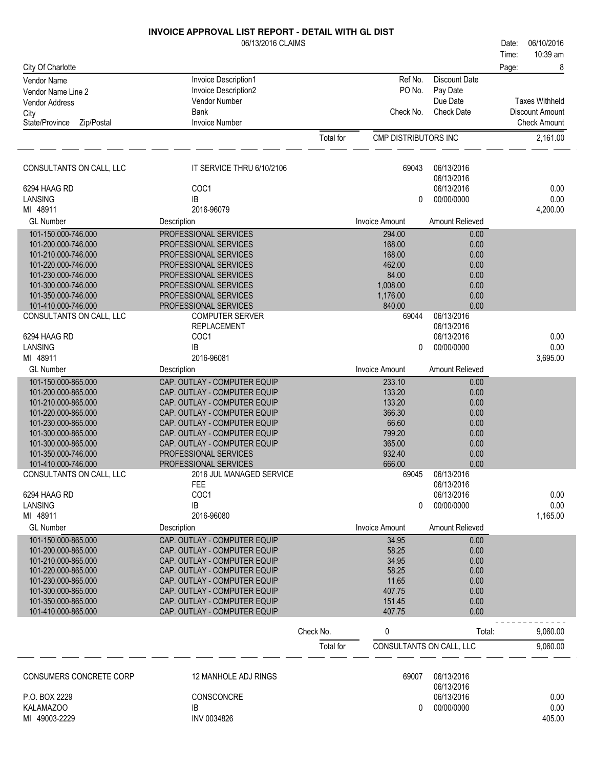|                                                 | 06/13/2016 CLAIMS                                            |           |                          |                          | Date:          | 06/10/2016            |
|-------------------------------------------------|--------------------------------------------------------------|-----------|--------------------------|--------------------------|----------------|-----------------------|
| City Of Charlotte                               |                                                              |           |                          |                          | Time:<br>Page: | 10:39 am<br>8         |
| <b>Vendor Name</b>                              | <b>Invoice Description1</b>                                  |           | Ref No.                  | <b>Discount Date</b>     |                |                       |
| Vendor Name Line 2                              | Invoice Description2                                         |           | PO No.                   | Pay Date                 |                |                       |
| Vendor Address                                  | Vendor Number                                                |           |                          | Due Date                 |                | <b>Taxes Withheld</b> |
| City                                            | <b>Bank</b>                                                  |           | Check No.                | <b>Check Date</b>        |                | Discount Amount       |
| State/Province<br>Zip/Postal                    | <b>Invoice Number</b>                                        |           |                          |                          |                | <b>Check Amount</b>   |
|                                                 |                                                              | Total for | CMP DISTRIBUTORS INC     |                          |                | 2,161.00              |
| CONSULTANTS ON CALL, LLC                        | IT SERVICE THRU 6/10/2106                                    |           | 69043                    | 06/13/2016<br>06/13/2016 |                |                       |
| 6294 HAAG RD                                    | COC1                                                         |           |                          | 06/13/2016               |                | 0.00                  |
| LANSING                                         | IB                                                           |           | 0                        | 00/00/0000               |                | 0.00                  |
| MI 48911                                        | 2016-96079                                                   |           |                          |                          |                | 4,200.00              |
| <b>GL Number</b>                                | Description                                                  |           | <b>Invoice Amount</b>    | Amount Relieved          |                |                       |
| 101-150.000-746.000                             | PROFESSIONAL SERVICES                                        |           | 294.00                   | 0.00                     |                |                       |
| 101-200.000-746.000                             | PROFESSIONAL SERVICES                                        |           | 168.00<br>168.00         | 0.00                     |                |                       |
| 101-210.000-746.000<br>101-220.000-746.000      | PROFESSIONAL SERVICES<br>PROFESSIONAL SERVICES               |           | 462.00                   | 0.00<br>0.00             |                |                       |
| 101-230.000-746.000                             | PROFESSIONAL SERVICES                                        |           | 84.00                    | 0.00                     |                |                       |
| 101-300.000-746.000                             | PROFESSIONAL SERVICES                                        |           | 1,008.00                 | 0.00                     |                |                       |
| 101-350.000-746.000                             | PROFESSIONAL SERVICES                                        |           | 1,176.00                 | 0.00                     |                |                       |
| 101-410.000-746.000                             | PROFESSIONAL SERVICES                                        |           | 840.00                   | 0.00                     |                |                       |
| CONSULTANTS ON CALL, LLC                        | <b>COMPUTER SERVER</b>                                       |           | 69044                    | 06/13/2016               |                |                       |
|                                                 | <b>REPLACEMENT</b>                                           |           |                          | 06/13/2016               |                |                       |
| 6294 HAAG RD                                    | COC1                                                         |           |                          | 06/13/2016               |                | 0.00                  |
| <b>LANSING</b><br>MI 48911                      | IB<br>2016-96081                                             |           | 0                        | 00/00/0000               |                | 0.00<br>3,695.00      |
| <b>GL Number</b>                                | Description                                                  |           | <b>Invoice Amount</b>    | Amount Relieved          |                |                       |
| 101-150.000-865.000                             | CAP. OUTLAY - COMPUTER EQUIP                                 |           | 233.10                   | 0.00                     |                |                       |
| 101-200.000-865.000                             | CAP. OUTLAY - COMPUTER EQUIP                                 |           | 133.20                   | 0.00                     |                |                       |
| 101-210.000-865.000                             | CAP. OUTLAY - COMPUTER EQUIP                                 |           | 133.20                   | 0.00                     |                |                       |
| 101-220.000-865.000                             | CAP. OUTLAY - COMPUTER EQUIP                                 |           | 366.30                   | 0.00                     |                |                       |
| 101-230.000-865.000                             | CAP. OUTLAY - COMPUTER EQUIP                                 |           | 66.60                    | 0.00                     |                |                       |
| 101-300.000-865.000                             | CAP. OUTLAY - COMPUTER EQUIP                                 |           | 799.20                   | 0.00                     |                |                       |
| 101-300.000-865.000                             | CAP. OUTLAY - COMPUTER EQUIP                                 |           | 365.00                   | 0.00                     |                |                       |
| 101-350.000-746.000                             | PROFESSIONAL SERVICES                                        |           | 932.40                   | 0.00                     |                |                       |
| 101-410.000-746.000<br>CONSULTANTS ON CALL, LLC | PROFESSIONAL SERVICES<br>2016 JUL MANAGED SERVICE            |           | 666.00<br>69045          | 0.00<br>06/13/2016       |                |                       |
|                                                 | <b>FEE</b>                                                   |           |                          | 06/13/2016               |                |                       |
| 6294 HAAG RD                                    | COC1                                                         |           |                          | 06/13/2016               |                | 0.00                  |
| LANSING                                         | IB                                                           |           | 0                        | 00/00/0000               |                | 0.00                  |
| MI 48911                                        | 2016-96080                                                   |           |                          |                          |                | 1,165.00              |
| <b>GL Number</b>                                | Description                                                  |           | <b>Invoice Amount</b>    | Amount Relieved          |                |                       |
| 101-150.000-865.000                             | CAP. OUTLAY - COMPUTER EQUIP                                 |           | 34.95                    | 0.00                     |                |                       |
| 101-200.000-865.000                             | CAP. OUTLAY - COMPUTER EQUIP                                 |           | 58.25                    | 0.00                     |                |                       |
| 101-210.000-865.000                             | CAP. OUTLAY - COMPUTER EQUIP                                 |           | 34.95<br>58.25           | 0.00                     |                |                       |
| 101-220.000-865.000<br>101-230.000-865.000      | CAP. OUTLAY - COMPUTER EQUIP<br>CAP. OUTLAY - COMPUTER EQUIP |           | 11.65                    | 0.00<br>0.00             |                |                       |
| 101-300.000-865.000                             | CAP. OUTLAY - COMPUTER EQUIP                                 |           | 407.75                   | 0.00                     |                |                       |
| 101-350.000-865.000                             | CAP. OUTLAY - COMPUTER EQUIP                                 |           | 151.45                   | 0.00                     |                |                       |
| 101-410.000-865.000                             | CAP. OUTLAY - COMPUTER EQUIP                                 |           | 407.75                   | 0.00                     |                |                       |
|                                                 |                                                              | Check No. | 0                        | Total:                   |                | 9,060.00              |
|                                                 |                                                              | Total for | CONSULTANTS ON CALL, LLC |                          |                | 9,060.00              |
|                                                 |                                                              |           |                          |                          |                |                       |
| CONSUMERS CONCRETE CORP                         | 12 MANHOLE ADJ RINGS                                         |           | 69007                    | 06/13/2016<br>06/13/2016 |                |                       |
| P.O. BOX 2229                                   | CONSCONCRE                                                   |           |                          | 06/13/2016               |                | 0.00                  |
| KALAMAZOO                                       | IB                                                           |           | 0                        | 00/00/0000               |                | 0.00                  |

MI 49003-2229 KALAMAZOO

| <u>IZ MANIJOLLADJ INITOU</u> | <u>vuur</u> | <b>UUI IUI LU IU</b> |        |
|------------------------------|-------------|----------------------|--------|
|                              |             | 06/13/2016           |        |
| CONSCONCRE                   |             | 06/13/2016           | 0.00   |
| IB                           |             | 00/00/0000           | 0.00   |
| INV 0034826                  |             |                      | 405.00 |
|                              |             |                      |        |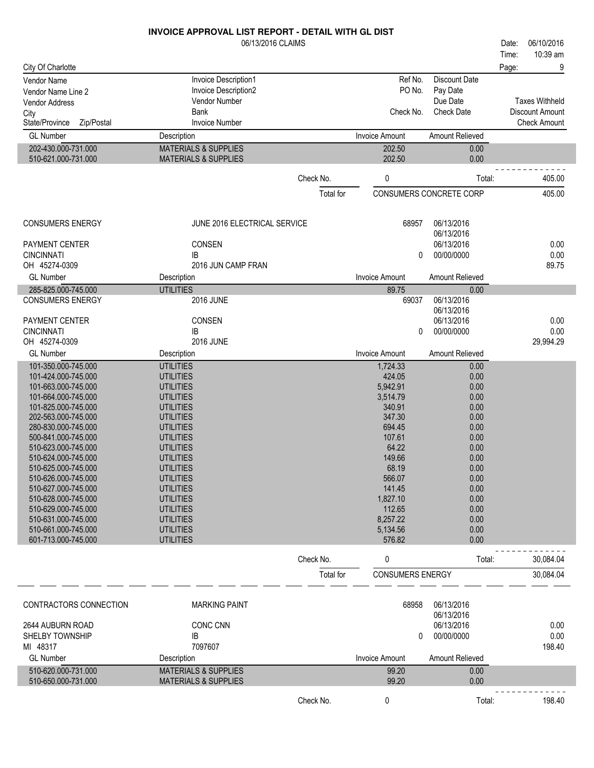|                                            | 06/13/2016 CLAIMS                    |           |                         |                               | 06/10/2016<br>Date:                             |
|--------------------------------------------|--------------------------------------|-----------|-------------------------|-------------------------------|-------------------------------------------------|
|                                            |                                      |           |                         |                               | 10:39 am<br>Time:                               |
| City Of Charlotte                          |                                      |           |                         |                               | 9<br>Page:                                      |
| Vendor Name                                | Invoice Description1                 |           | Ref No.                 | <b>Discount Date</b>          |                                                 |
| Vendor Name Line 2                         | Invoice Description2                 |           | PO No.                  | Pay Date                      |                                                 |
| <b>Vendor Address</b>                      | <b>Vendor Number</b><br><b>Bank</b>  |           | Check No.               | Due Date<br><b>Check Date</b> | <b>Taxes Withheld</b><br><b>Discount Amount</b> |
| City<br>State/Province<br>Zip/Postal       | <b>Invoice Number</b>                |           |                         |                               | <b>Check Amount</b>                             |
| <b>GL Number</b>                           | Description                          |           | <b>Invoice Amount</b>   | Amount Relieved               |                                                 |
| 202-430.000-731.000                        | <b>MATERIALS &amp; SUPPLIES</b>      |           | 202.50                  | 0.00                          |                                                 |
| 510-621.000-731.000                        | <b>MATERIALS &amp; SUPPLIES</b>      |           | 202.50                  | 0.00                          |                                                 |
|                                            |                                      |           |                         |                               |                                                 |
|                                            |                                      | Check No. | 0                       | Total:                        | 405.00                                          |
|                                            |                                      | Total for |                         | CONSUMERS CONCRETE CORP       | 405.00                                          |
|                                            |                                      |           |                         |                               |                                                 |
| <b>CONSUMERS ENERGY</b>                    | JUNE 2016 ELECTRICAL SERVICE         |           | 68957                   | 06/13/2016<br>06/13/2016      |                                                 |
| PAYMENT CENTER                             | CONSEN                               |           |                         | 06/13/2016                    | 0.00                                            |
| <b>CINCINNATI</b>                          | IB                                   |           | 0                       | 00/00/0000                    | 0.00                                            |
| OH 45274-0309                              | 2016 JUN CAMP FRAN                   |           |                         |                               | 89.75                                           |
| <b>GL Number</b>                           | Description                          |           | <b>Invoice Amount</b>   | Amount Relieved               |                                                 |
| 285-825.000-745.000                        | <b>UTILITIES</b>                     |           | 89.75                   | 0.00                          |                                                 |
| <b>CONSUMERS ENERGY</b>                    | <b>2016 JUNE</b>                     |           | 69037                   | 06/13/2016                    |                                                 |
| <b>PAYMENT CENTER</b>                      | CONSEN                               |           |                         | 06/13/2016<br>06/13/2016      | 0.00                                            |
| <b>CINCINNATI</b>                          | IB                                   |           | 0                       | 00/00/0000                    | 0.00                                            |
| OH 45274-0309                              | <b>2016 JUNE</b>                     |           |                         |                               | 29,994.29                                       |
| <b>GL Number</b>                           | Description                          |           | <b>Invoice Amount</b>   | Amount Relieved               |                                                 |
| 101-350.000-745.000                        | <b>UTILITIES</b>                     |           | 1,724.33                | 0.00                          |                                                 |
| 101-424.000-745.000                        | <b>UTILITIES</b>                     |           | 424.05                  | 0.00                          |                                                 |
| 101-663.000-745.000                        | <b>UTILITIES</b>                     |           | 5,942.91                | 0.00                          |                                                 |
| 101-664.000-745.000                        | <b>UTILITIES</b>                     |           | 3,514.79                | 0.00                          |                                                 |
| 101-825.000-745.000                        | <b>UTILITIES</b>                     |           | 340.91                  | 0.00                          |                                                 |
| 202-563.000-745.000<br>280-830.000-745.000 | <b>UTILITIES</b><br><b>UTILITIES</b> |           | 347.30<br>694.45        | 0.00<br>0.00                  |                                                 |
| 500-841.000-745.000                        | <b>UTILITIES</b>                     |           | 107.61                  | 0.00                          |                                                 |
| 510-623.000-745.000                        | <b>UTILITIES</b>                     |           | 64.22                   | 0.00                          |                                                 |
| 510-624.000-745.000                        | <b>UTILITIES</b>                     |           | 149.66                  | 0.00                          |                                                 |
| 510-625.000-745.000                        | <b>UTILITIES</b>                     |           | 68.19                   | 0.00                          |                                                 |
| 510-626.000-745.000                        | <b>UTILITIES</b>                     |           | 566.07                  | 0.00                          |                                                 |
| 510-627.000-745.000                        | <b>UTILITIES</b>                     |           | 141.45                  | 0.00                          |                                                 |
| 510-628.000-745.000<br>510-629.000-745.000 | <b>UTILITIES</b><br><b>UTILITIES</b> |           | 1,827.10<br>112.65      | 0.00<br>0.00                  |                                                 |
| 510-631.000-745.000                        | <b>UTILITIES</b>                     |           | 8,257.22                | 0.00                          |                                                 |
| 510-661.000-745.000                        | <b>UTILITIES</b>                     |           | 5,134.56                | 0.00                          |                                                 |
| 601-713.000-745.000                        | <b>UTILITIES</b>                     |           | 576.82                  | 0.00                          |                                                 |
|                                            |                                      | Check No. | 0                       | Total:                        | 30,084.04                                       |
|                                            |                                      | Total for | <b>CONSUMERS ENERGY</b> |                               | 30,084.04                                       |
|                                            |                                      |           |                         |                               |                                                 |
| CONTRACTORS CONNECTION                     | <b>MARKING PAINT</b>                 |           | 68958                   | 06/13/2016<br>06/13/2016      |                                                 |
| 2644 AUBURN ROAD                           | CONC CNN                             |           |                         | 06/13/2016                    | 0.00                                            |
| <b>SHELBY TOWNSHIP</b>                     | IB                                   |           | 0                       | 00/00/0000                    | 0.00                                            |
| MI 48317                                   | 7097607                              |           |                         |                               | 198.40                                          |
| <b>GL Number</b>                           | Description                          |           | <b>Invoice Amount</b>   | Amount Relieved               |                                                 |
| 510-620.000-731.000                        | <b>MATERIALS &amp; SUPPLIES</b>      |           | 99.20                   | 0.00                          |                                                 |
| 510-650.000-731.000                        | <b>MATERIALS &amp; SUPPLIES</b>      |           | 99.20                   | 0.00                          |                                                 |

Check No. 0 0 Total: 198.40

 $\frac{1}{2} \frac{1}{2} \frac{1}{2} \frac{1}{2} \frac{1}{2} \frac{1}{2} \frac{1}{2} \frac{1}{2} \frac{1}{2} \frac{1}{2} \frac{1}{2} \frac{1}{2} \frac{1}{2} \frac{1}{2} \frac{1}{2} \frac{1}{2} \frac{1}{2} \frac{1}{2} \frac{1}{2} \frac{1}{2} \frac{1}{2} \frac{1}{2} \frac{1}{2} \frac{1}{2} \frac{1}{2} \frac{1}{2} \frac{1}{2} \frac{1}{2} \frac{1}{2} \frac{1}{2} \frac{1}{2} \frac{$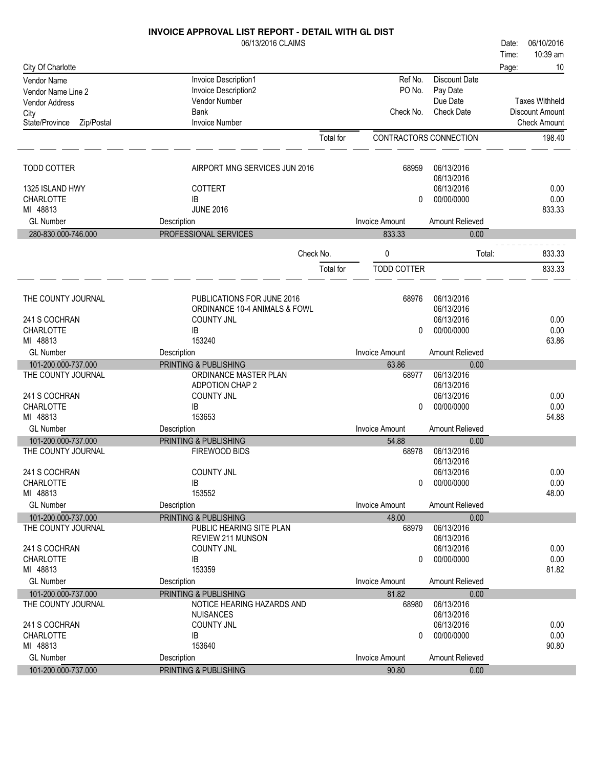| 06/13/2016 CLAIMS<br>06/10/2016<br>Date:<br>10:39 am<br>Time:<br>10<br>City Of Charlotte<br>Page:<br>Ref No.<br><b>Discount Date</b><br>Invoice Description1<br>Vendor Name<br>PO No.<br>Invoice Description2<br>Pay Date<br>Vendor Name Line 2<br>Vendor Number<br>Due Date<br><b>Taxes Withheld</b><br><b>Vendor Address</b><br><b>Bank</b><br>Check No.<br><b>Check Date</b><br>Discount Amount<br>City<br><b>Invoice Number</b><br>State/Province<br>Zip/Postal<br><b>Check Amount</b><br><b>Total</b> for<br>CONTRACTORS CONNECTION<br>198.40<br><b>TODD COTTER</b><br>AIRPORT MNG SERVICES JUN 2016<br>68959<br>06/13/2016<br>06/13/2016<br>06/13/2016<br>0.00<br>1325 ISLAND HWY<br><b>COTTERT</b><br>0.00<br><b>CHARLOTTE</b><br>IB<br>00/00/0000<br>0<br>MI 48813<br><b>JUNE 2016</b><br>833.33<br><b>GL Number</b><br><b>Invoice Amount</b><br>Amount Relieved<br>Description<br>PROFESSIONAL SERVICES<br>280-830.000-746.000<br>833.33<br>0.00<br>Check No.<br>0<br>833.33<br>Total:<br><b>TODD COTTER</b><br>833.33<br>Total for<br>PUBLICATIONS FOR JUNE 2016<br>06/13/2016<br>THE COUNTY JOURNAL<br>68976<br>06/13/2016<br>ORDINANCE 10-4 ANIMALS & FOWL<br>06/13/2016<br>0.00<br>241 S COCHRAN<br><b>COUNTY JNL</b><br><b>CHARLOTTE</b><br>0.00<br>00/00/0000<br>IB<br>0<br>MI 48813<br>153240<br>63.86<br><b>GL Number</b><br><b>Invoice Amount</b><br>Amount Relieved<br>Description<br>PRINTING & PUBLISHING<br>101-200.000-737.000<br>63.86<br>0.00<br>06/13/2016<br>THE COUNTY JOURNAL<br>ORDINANCE MASTER PLAN<br>68977<br>06/13/2016<br><b>ADPOTION CHAP 2</b><br><b>COUNTY JNL</b><br>06/13/2016<br>241 S COCHRAN<br>0.00<br><b>CHARLOTTE</b><br>00/00/0000<br>0.00<br>IB<br>0<br>MI 48813<br>153653<br>54.88<br><b>GL Number</b><br><b>Invoice Amount</b><br>Amount Relieved<br>Description<br>PRINTING & PUBLISHING<br>101-200.000-737.000<br>54.88<br>0.00<br>06/13/2016<br>THE COUNTY JOURNAL<br>FIREWOOD BIDS<br>68978<br>06/13/2016<br>241 S COCHRAN<br><b>COUNTY JNL</b><br>06/13/2016<br>0.00<br>00/00/0000<br>0.00<br><b>CHARLOTTE</b><br>IB<br>0<br>153552<br>48.00<br>MI 48813<br><b>GL Number</b><br>Description<br><b>Invoice Amount</b><br>Amount Relieved<br>101-200.000-737.000<br>PRINTING & PUBLISHING<br>48.00<br>0.00<br>06/13/2016<br>THE COUNTY JOURNAL<br>PUBLIC HEARING SITE PLAN<br>68979<br>06/13/2016<br><b>REVIEW 211 MUNSON</b><br>241 S COCHRAN<br><b>COUNTY JNL</b><br>06/13/2016<br>0.00<br>0.00<br>CHARLOTTE<br>IB<br>00/00/0000<br>0<br>153359<br>MI 48813<br>81.82<br><b>GL Number</b><br><b>Invoice Amount</b><br>Amount Relieved<br>Description<br>PRINTING & PUBLISHING<br>101-200.000-737.000<br>81.82<br>0.00<br>THE COUNTY JOURNAL<br>NOTICE HEARING HAZARDS AND<br>06/13/2016<br>68980<br>06/13/2016<br><b>NUISANCES</b><br>241 S COCHRAN<br><b>COUNTY JNL</b><br>06/13/2016<br>0.00<br>CHARLOTTE<br>00/00/0000<br>0.00<br>IB<br>0<br>MI 48813<br>153640<br>90.80<br><b>GL Number</b><br>Amount Relieved<br>Description<br><b>Invoice Amount</b><br>101-200.000-737.000<br>PRINTING & PUBLISHING<br>90.80<br>0.00 | <b>INVOICE APPROVAL LIST REPORT - DETAIL WITH GL DIST</b> |  |  |  |
|------------------------------------------------------------------------------------------------------------------------------------------------------------------------------------------------------------------------------------------------------------------------------------------------------------------------------------------------------------------------------------------------------------------------------------------------------------------------------------------------------------------------------------------------------------------------------------------------------------------------------------------------------------------------------------------------------------------------------------------------------------------------------------------------------------------------------------------------------------------------------------------------------------------------------------------------------------------------------------------------------------------------------------------------------------------------------------------------------------------------------------------------------------------------------------------------------------------------------------------------------------------------------------------------------------------------------------------------------------------------------------------------------------------------------------------------------------------------------------------------------------------------------------------------------------------------------------------------------------------------------------------------------------------------------------------------------------------------------------------------------------------------------------------------------------------------------------------------------------------------------------------------------------------------------------------------------------------------------------------------------------------------------------------------------------------------------------------------------------------------------------------------------------------------------------------------------------------------------------------------------------------------------------------------------------------------------------------------------------------------------------------------------------------------------------------------------------------------------------------------------------------------------------------------------------------------------------------------------------------------------------------------------------------------------------------------------------------------------------------------------------------------------------------------------------------------------------------------------------------------------------------------------------------------------------------------------------------------------------------------------------------------------------------------------------------------------------|-----------------------------------------------------------|--|--|--|
|                                                                                                                                                                                                                                                                                                                                                                                                                                                                                                                                                                                                                                                                                                                                                                                                                                                                                                                                                                                                                                                                                                                                                                                                                                                                                                                                                                                                                                                                                                                                                                                                                                                                                                                                                                                                                                                                                                                                                                                                                                                                                                                                                                                                                                                                                                                                                                                                                                                                                                                                                                                                                                                                                                                                                                                                                                                                                                                                                                                                                                                                                    |                                                           |  |  |  |
|                                                                                                                                                                                                                                                                                                                                                                                                                                                                                                                                                                                                                                                                                                                                                                                                                                                                                                                                                                                                                                                                                                                                                                                                                                                                                                                                                                                                                                                                                                                                                                                                                                                                                                                                                                                                                                                                                                                                                                                                                                                                                                                                                                                                                                                                                                                                                                                                                                                                                                                                                                                                                                                                                                                                                                                                                                                                                                                                                                                                                                                                                    |                                                           |  |  |  |
|                                                                                                                                                                                                                                                                                                                                                                                                                                                                                                                                                                                                                                                                                                                                                                                                                                                                                                                                                                                                                                                                                                                                                                                                                                                                                                                                                                                                                                                                                                                                                                                                                                                                                                                                                                                                                                                                                                                                                                                                                                                                                                                                                                                                                                                                                                                                                                                                                                                                                                                                                                                                                                                                                                                                                                                                                                                                                                                                                                                                                                                                                    |                                                           |  |  |  |
|                                                                                                                                                                                                                                                                                                                                                                                                                                                                                                                                                                                                                                                                                                                                                                                                                                                                                                                                                                                                                                                                                                                                                                                                                                                                                                                                                                                                                                                                                                                                                                                                                                                                                                                                                                                                                                                                                                                                                                                                                                                                                                                                                                                                                                                                                                                                                                                                                                                                                                                                                                                                                                                                                                                                                                                                                                                                                                                                                                                                                                                                                    |                                                           |  |  |  |
|                                                                                                                                                                                                                                                                                                                                                                                                                                                                                                                                                                                                                                                                                                                                                                                                                                                                                                                                                                                                                                                                                                                                                                                                                                                                                                                                                                                                                                                                                                                                                                                                                                                                                                                                                                                                                                                                                                                                                                                                                                                                                                                                                                                                                                                                                                                                                                                                                                                                                                                                                                                                                                                                                                                                                                                                                                                                                                                                                                                                                                                                                    |                                                           |  |  |  |
|                                                                                                                                                                                                                                                                                                                                                                                                                                                                                                                                                                                                                                                                                                                                                                                                                                                                                                                                                                                                                                                                                                                                                                                                                                                                                                                                                                                                                                                                                                                                                                                                                                                                                                                                                                                                                                                                                                                                                                                                                                                                                                                                                                                                                                                                                                                                                                                                                                                                                                                                                                                                                                                                                                                                                                                                                                                                                                                                                                                                                                                                                    |                                                           |  |  |  |
|                                                                                                                                                                                                                                                                                                                                                                                                                                                                                                                                                                                                                                                                                                                                                                                                                                                                                                                                                                                                                                                                                                                                                                                                                                                                                                                                                                                                                                                                                                                                                                                                                                                                                                                                                                                                                                                                                                                                                                                                                                                                                                                                                                                                                                                                                                                                                                                                                                                                                                                                                                                                                                                                                                                                                                                                                                                                                                                                                                                                                                                                                    |                                                           |  |  |  |
|                                                                                                                                                                                                                                                                                                                                                                                                                                                                                                                                                                                                                                                                                                                                                                                                                                                                                                                                                                                                                                                                                                                                                                                                                                                                                                                                                                                                                                                                                                                                                                                                                                                                                                                                                                                                                                                                                                                                                                                                                                                                                                                                                                                                                                                                                                                                                                                                                                                                                                                                                                                                                                                                                                                                                                                                                                                                                                                                                                                                                                                                                    |                                                           |  |  |  |
|                                                                                                                                                                                                                                                                                                                                                                                                                                                                                                                                                                                                                                                                                                                                                                                                                                                                                                                                                                                                                                                                                                                                                                                                                                                                                                                                                                                                                                                                                                                                                                                                                                                                                                                                                                                                                                                                                                                                                                                                                                                                                                                                                                                                                                                                                                                                                                                                                                                                                                                                                                                                                                                                                                                                                                                                                                                                                                                                                                                                                                                                                    |                                                           |  |  |  |
|                                                                                                                                                                                                                                                                                                                                                                                                                                                                                                                                                                                                                                                                                                                                                                                                                                                                                                                                                                                                                                                                                                                                                                                                                                                                                                                                                                                                                                                                                                                                                                                                                                                                                                                                                                                                                                                                                                                                                                                                                                                                                                                                                                                                                                                                                                                                                                                                                                                                                                                                                                                                                                                                                                                                                                                                                                                                                                                                                                                                                                                                                    |                                                           |  |  |  |
|                                                                                                                                                                                                                                                                                                                                                                                                                                                                                                                                                                                                                                                                                                                                                                                                                                                                                                                                                                                                                                                                                                                                                                                                                                                                                                                                                                                                                                                                                                                                                                                                                                                                                                                                                                                                                                                                                                                                                                                                                                                                                                                                                                                                                                                                                                                                                                                                                                                                                                                                                                                                                                                                                                                                                                                                                                                                                                                                                                                                                                                                                    |                                                           |  |  |  |
|                                                                                                                                                                                                                                                                                                                                                                                                                                                                                                                                                                                                                                                                                                                                                                                                                                                                                                                                                                                                                                                                                                                                                                                                                                                                                                                                                                                                                                                                                                                                                                                                                                                                                                                                                                                                                                                                                                                                                                                                                                                                                                                                                                                                                                                                                                                                                                                                                                                                                                                                                                                                                                                                                                                                                                                                                                                                                                                                                                                                                                                                                    |                                                           |  |  |  |
|                                                                                                                                                                                                                                                                                                                                                                                                                                                                                                                                                                                                                                                                                                                                                                                                                                                                                                                                                                                                                                                                                                                                                                                                                                                                                                                                                                                                                                                                                                                                                                                                                                                                                                                                                                                                                                                                                                                                                                                                                                                                                                                                                                                                                                                                                                                                                                                                                                                                                                                                                                                                                                                                                                                                                                                                                                                                                                                                                                                                                                                                                    |                                                           |  |  |  |
|                                                                                                                                                                                                                                                                                                                                                                                                                                                                                                                                                                                                                                                                                                                                                                                                                                                                                                                                                                                                                                                                                                                                                                                                                                                                                                                                                                                                                                                                                                                                                                                                                                                                                                                                                                                                                                                                                                                                                                                                                                                                                                                                                                                                                                                                                                                                                                                                                                                                                                                                                                                                                                                                                                                                                                                                                                                                                                                                                                                                                                                                                    |                                                           |  |  |  |
|                                                                                                                                                                                                                                                                                                                                                                                                                                                                                                                                                                                                                                                                                                                                                                                                                                                                                                                                                                                                                                                                                                                                                                                                                                                                                                                                                                                                                                                                                                                                                                                                                                                                                                                                                                                                                                                                                                                                                                                                                                                                                                                                                                                                                                                                                                                                                                                                                                                                                                                                                                                                                                                                                                                                                                                                                                                                                                                                                                                                                                                                                    |                                                           |  |  |  |
|                                                                                                                                                                                                                                                                                                                                                                                                                                                                                                                                                                                                                                                                                                                                                                                                                                                                                                                                                                                                                                                                                                                                                                                                                                                                                                                                                                                                                                                                                                                                                                                                                                                                                                                                                                                                                                                                                                                                                                                                                                                                                                                                                                                                                                                                                                                                                                                                                                                                                                                                                                                                                                                                                                                                                                                                                                                                                                                                                                                                                                                                                    |                                                           |  |  |  |
|                                                                                                                                                                                                                                                                                                                                                                                                                                                                                                                                                                                                                                                                                                                                                                                                                                                                                                                                                                                                                                                                                                                                                                                                                                                                                                                                                                                                                                                                                                                                                                                                                                                                                                                                                                                                                                                                                                                                                                                                                                                                                                                                                                                                                                                                                                                                                                                                                                                                                                                                                                                                                                                                                                                                                                                                                                                                                                                                                                                                                                                                                    |                                                           |  |  |  |
|                                                                                                                                                                                                                                                                                                                                                                                                                                                                                                                                                                                                                                                                                                                                                                                                                                                                                                                                                                                                                                                                                                                                                                                                                                                                                                                                                                                                                                                                                                                                                                                                                                                                                                                                                                                                                                                                                                                                                                                                                                                                                                                                                                                                                                                                                                                                                                                                                                                                                                                                                                                                                                                                                                                                                                                                                                                                                                                                                                                                                                                                                    |                                                           |  |  |  |
|                                                                                                                                                                                                                                                                                                                                                                                                                                                                                                                                                                                                                                                                                                                                                                                                                                                                                                                                                                                                                                                                                                                                                                                                                                                                                                                                                                                                                                                                                                                                                                                                                                                                                                                                                                                                                                                                                                                                                                                                                                                                                                                                                                                                                                                                                                                                                                                                                                                                                                                                                                                                                                                                                                                                                                                                                                                                                                                                                                                                                                                                                    |                                                           |  |  |  |
|                                                                                                                                                                                                                                                                                                                                                                                                                                                                                                                                                                                                                                                                                                                                                                                                                                                                                                                                                                                                                                                                                                                                                                                                                                                                                                                                                                                                                                                                                                                                                                                                                                                                                                                                                                                                                                                                                                                                                                                                                                                                                                                                                                                                                                                                                                                                                                                                                                                                                                                                                                                                                                                                                                                                                                                                                                                                                                                                                                                                                                                                                    |                                                           |  |  |  |
|                                                                                                                                                                                                                                                                                                                                                                                                                                                                                                                                                                                                                                                                                                                                                                                                                                                                                                                                                                                                                                                                                                                                                                                                                                                                                                                                                                                                                                                                                                                                                                                                                                                                                                                                                                                                                                                                                                                                                                                                                                                                                                                                                                                                                                                                                                                                                                                                                                                                                                                                                                                                                                                                                                                                                                                                                                                                                                                                                                                                                                                                                    |                                                           |  |  |  |
|                                                                                                                                                                                                                                                                                                                                                                                                                                                                                                                                                                                                                                                                                                                                                                                                                                                                                                                                                                                                                                                                                                                                                                                                                                                                                                                                                                                                                                                                                                                                                                                                                                                                                                                                                                                                                                                                                                                                                                                                                                                                                                                                                                                                                                                                                                                                                                                                                                                                                                                                                                                                                                                                                                                                                                                                                                                                                                                                                                                                                                                                                    |                                                           |  |  |  |
|                                                                                                                                                                                                                                                                                                                                                                                                                                                                                                                                                                                                                                                                                                                                                                                                                                                                                                                                                                                                                                                                                                                                                                                                                                                                                                                                                                                                                                                                                                                                                                                                                                                                                                                                                                                                                                                                                                                                                                                                                                                                                                                                                                                                                                                                                                                                                                                                                                                                                                                                                                                                                                                                                                                                                                                                                                                                                                                                                                                                                                                                                    |                                                           |  |  |  |
|                                                                                                                                                                                                                                                                                                                                                                                                                                                                                                                                                                                                                                                                                                                                                                                                                                                                                                                                                                                                                                                                                                                                                                                                                                                                                                                                                                                                                                                                                                                                                                                                                                                                                                                                                                                                                                                                                                                                                                                                                                                                                                                                                                                                                                                                                                                                                                                                                                                                                                                                                                                                                                                                                                                                                                                                                                                                                                                                                                                                                                                                                    |                                                           |  |  |  |
|                                                                                                                                                                                                                                                                                                                                                                                                                                                                                                                                                                                                                                                                                                                                                                                                                                                                                                                                                                                                                                                                                                                                                                                                                                                                                                                                                                                                                                                                                                                                                                                                                                                                                                                                                                                                                                                                                                                                                                                                                                                                                                                                                                                                                                                                                                                                                                                                                                                                                                                                                                                                                                                                                                                                                                                                                                                                                                                                                                                                                                                                                    |                                                           |  |  |  |
|                                                                                                                                                                                                                                                                                                                                                                                                                                                                                                                                                                                                                                                                                                                                                                                                                                                                                                                                                                                                                                                                                                                                                                                                                                                                                                                                                                                                                                                                                                                                                                                                                                                                                                                                                                                                                                                                                                                                                                                                                                                                                                                                                                                                                                                                                                                                                                                                                                                                                                                                                                                                                                                                                                                                                                                                                                                                                                                                                                                                                                                                                    |                                                           |  |  |  |
|                                                                                                                                                                                                                                                                                                                                                                                                                                                                                                                                                                                                                                                                                                                                                                                                                                                                                                                                                                                                                                                                                                                                                                                                                                                                                                                                                                                                                                                                                                                                                                                                                                                                                                                                                                                                                                                                                                                                                                                                                                                                                                                                                                                                                                                                                                                                                                                                                                                                                                                                                                                                                                                                                                                                                                                                                                                                                                                                                                                                                                                                                    |                                                           |  |  |  |
|                                                                                                                                                                                                                                                                                                                                                                                                                                                                                                                                                                                                                                                                                                                                                                                                                                                                                                                                                                                                                                                                                                                                                                                                                                                                                                                                                                                                                                                                                                                                                                                                                                                                                                                                                                                                                                                                                                                                                                                                                                                                                                                                                                                                                                                                                                                                                                                                                                                                                                                                                                                                                                                                                                                                                                                                                                                                                                                                                                                                                                                                                    |                                                           |  |  |  |
|                                                                                                                                                                                                                                                                                                                                                                                                                                                                                                                                                                                                                                                                                                                                                                                                                                                                                                                                                                                                                                                                                                                                                                                                                                                                                                                                                                                                                                                                                                                                                                                                                                                                                                                                                                                                                                                                                                                                                                                                                                                                                                                                                                                                                                                                                                                                                                                                                                                                                                                                                                                                                                                                                                                                                                                                                                                                                                                                                                                                                                                                                    |                                                           |  |  |  |
|                                                                                                                                                                                                                                                                                                                                                                                                                                                                                                                                                                                                                                                                                                                                                                                                                                                                                                                                                                                                                                                                                                                                                                                                                                                                                                                                                                                                                                                                                                                                                                                                                                                                                                                                                                                                                                                                                                                                                                                                                                                                                                                                                                                                                                                                                                                                                                                                                                                                                                                                                                                                                                                                                                                                                                                                                                                                                                                                                                                                                                                                                    |                                                           |  |  |  |
|                                                                                                                                                                                                                                                                                                                                                                                                                                                                                                                                                                                                                                                                                                                                                                                                                                                                                                                                                                                                                                                                                                                                                                                                                                                                                                                                                                                                                                                                                                                                                                                                                                                                                                                                                                                                                                                                                                                                                                                                                                                                                                                                                                                                                                                                                                                                                                                                                                                                                                                                                                                                                                                                                                                                                                                                                                                                                                                                                                                                                                                                                    |                                                           |  |  |  |
|                                                                                                                                                                                                                                                                                                                                                                                                                                                                                                                                                                                                                                                                                                                                                                                                                                                                                                                                                                                                                                                                                                                                                                                                                                                                                                                                                                                                                                                                                                                                                                                                                                                                                                                                                                                                                                                                                                                                                                                                                                                                                                                                                                                                                                                                                                                                                                                                                                                                                                                                                                                                                                                                                                                                                                                                                                                                                                                                                                                                                                                                                    |                                                           |  |  |  |
|                                                                                                                                                                                                                                                                                                                                                                                                                                                                                                                                                                                                                                                                                                                                                                                                                                                                                                                                                                                                                                                                                                                                                                                                                                                                                                                                                                                                                                                                                                                                                                                                                                                                                                                                                                                                                                                                                                                                                                                                                                                                                                                                                                                                                                                                                                                                                                                                                                                                                                                                                                                                                                                                                                                                                                                                                                                                                                                                                                                                                                                                                    |                                                           |  |  |  |
|                                                                                                                                                                                                                                                                                                                                                                                                                                                                                                                                                                                                                                                                                                                                                                                                                                                                                                                                                                                                                                                                                                                                                                                                                                                                                                                                                                                                                                                                                                                                                                                                                                                                                                                                                                                                                                                                                                                                                                                                                                                                                                                                                                                                                                                                                                                                                                                                                                                                                                                                                                                                                                                                                                                                                                                                                                                                                                                                                                                                                                                                                    |                                                           |  |  |  |
|                                                                                                                                                                                                                                                                                                                                                                                                                                                                                                                                                                                                                                                                                                                                                                                                                                                                                                                                                                                                                                                                                                                                                                                                                                                                                                                                                                                                                                                                                                                                                                                                                                                                                                                                                                                                                                                                                                                                                                                                                                                                                                                                                                                                                                                                                                                                                                                                                                                                                                                                                                                                                                                                                                                                                                                                                                                                                                                                                                                                                                                                                    |                                                           |  |  |  |
|                                                                                                                                                                                                                                                                                                                                                                                                                                                                                                                                                                                                                                                                                                                                                                                                                                                                                                                                                                                                                                                                                                                                                                                                                                                                                                                                                                                                                                                                                                                                                                                                                                                                                                                                                                                                                                                                                                                                                                                                                                                                                                                                                                                                                                                                                                                                                                                                                                                                                                                                                                                                                                                                                                                                                                                                                                                                                                                                                                                                                                                                                    |                                                           |  |  |  |
|                                                                                                                                                                                                                                                                                                                                                                                                                                                                                                                                                                                                                                                                                                                                                                                                                                                                                                                                                                                                                                                                                                                                                                                                                                                                                                                                                                                                                                                                                                                                                                                                                                                                                                                                                                                                                                                                                                                                                                                                                                                                                                                                                                                                                                                                                                                                                                                                                                                                                                                                                                                                                                                                                                                                                                                                                                                                                                                                                                                                                                                                                    |                                                           |  |  |  |
|                                                                                                                                                                                                                                                                                                                                                                                                                                                                                                                                                                                                                                                                                                                                                                                                                                                                                                                                                                                                                                                                                                                                                                                                                                                                                                                                                                                                                                                                                                                                                                                                                                                                                                                                                                                                                                                                                                                                                                                                                                                                                                                                                                                                                                                                                                                                                                                                                                                                                                                                                                                                                                                                                                                                                                                                                                                                                                                                                                                                                                                                                    |                                                           |  |  |  |
|                                                                                                                                                                                                                                                                                                                                                                                                                                                                                                                                                                                                                                                                                                                                                                                                                                                                                                                                                                                                                                                                                                                                                                                                                                                                                                                                                                                                                                                                                                                                                                                                                                                                                                                                                                                                                                                                                                                                                                                                                                                                                                                                                                                                                                                                                                                                                                                                                                                                                                                                                                                                                                                                                                                                                                                                                                                                                                                                                                                                                                                                                    |                                                           |  |  |  |
|                                                                                                                                                                                                                                                                                                                                                                                                                                                                                                                                                                                                                                                                                                                                                                                                                                                                                                                                                                                                                                                                                                                                                                                                                                                                                                                                                                                                                                                                                                                                                                                                                                                                                                                                                                                                                                                                                                                                                                                                                                                                                                                                                                                                                                                                                                                                                                                                                                                                                                                                                                                                                                                                                                                                                                                                                                                                                                                                                                                                                                                                                    |                                                           |  |  |  |
|                                                                                                                                                                                                                                                                                                                                                                                                                                                                                                                                                                                                                                                                                                                                                                                                                                                                                                                                                                                                                                                                                                                                                                                                                                                                                                                                                                                                                                                                                                                                                                                                                                                                                                                                                                                                                                                                                                                                                                                                                                                                                                                                                                                                                                                                                                                                                                                                                                                                                                                                                                                                                                                                                                                                                                                                                                                                                                                                                                                                                                                                                    |                                                           |  |  |  |
|                                                                                                                                                                                                                                                                                                                                                                                                                                                                                                                                                                                                                                                                                                                                                                                                                                                                                                                                                                                                                                                                                                                                                                                                                                                                                                                                                                                                                                                                                                                                                                                                                                                                                                                                                                                                                                                                                                                                                                                                                                                                                                                                                                                                                                                                                                                                                                                                                                                                                                                                                                                                                                                                                                                                                                                                                                                                                                                                                                                                                                                                                    |                                                           |  |  |  |
|                                                                                                                                                                                                                                                                                                                                                                                                                                                                                                                                                                                                                                                                                                                                                                                                                                                                                                                                                                                                                                                                                                                                                                                                                                                                                                                                                                                                                                                                                                                                                                                                                                                                                                                                                                                                                                                                                                                                                                                                                                                                                                                                                                                                                                                                                                                                                                                                                                                                                                                                                                                                                                                                                                                                                                                                                                                                                                                                                                                                                                                                                    |                                                           |  |  |  |
|                                                                                                                                                                                                                                                                                                                                                                                                                                                                                                                                                                                                                                                                                                                                                                                                                                                                                                                                                                                                                                                                                                                                                                                                                                                                                                                                                                                                                                                                                                                                                                                                                                                                                                                                                                                                                                                                                                                                                                                                                                                                                                                                                                                                                                                                                                                                                                                                                                                                                                                                                                                                                                                                                                                                                                                                                                                                                                                                                                                                                                                                                    |                                                           |  |  |  |
|                                                                                                                                                                                                                                                                                                                                                                                                                                                                                                                                                                                                                                                                                                                                                                                                                                                                                                                                                                                                                                                                                                                                                                                                                                                                                                                                                                                                                                                                                                                                                                                                                                                                                                                                                                                                                                                                                                                                                                                                                                                                                                                                                                                                                                                                                                                                                                                                                                                                                                                                                                                                                                                                                                                                                                                                                                                                                                                                                                                                                                                                                    |                                                           |  |  |  |
|                                                                                                                                                                                                                                                                                                                                                                                                                                                                                                                                                                                                                                                                                                                                                                                                                                                                                                                                                                                                                                                                                                                                                                                                                                                                                                                                                                                                                                                                                                                                                                                                                                                                                                                                                                                                                                                                                                                                                                                                                                                                                                                                                                                                                                                                                                                                                                                                                                                                                                                                                                                                                                                                                                                                                                                                                                                                                                                                                                                                                                                                                    |                                                           |  |  |  |
|                                                                                                                                                                                                                                                                                                                                                                                                                                                                                                                                                                                                                                                                                                                                                                                                                                                                                                                                                                                                                                                                                                                                                                                                                                                                                                                                                                                                                                                                                                                                                                                                                                                                                                                                                                                                                                                                                                                                                                                                                                                                                                                                                                                                                                                                                                                                                                                                                                                                                                                                                                                                                                                                                                                                                                                                                                                                                                                                                                                                                                                                                    |                                                           |  |  |  |
|                                                                                                                                                                                                                                                                                                                                                                                                                                                                                                                                                                                                                                                                                                                                                                                                                                                                                                                                                                                                                                                                                                                                                                                                                                                                                                                                                                                                                                                                                                                                                                                                                                                                                                                                                                                                                                                                                                                                                                                                                                                                                                                                                                                                                                                                                                                                                                                                                                                                                                                                                                                                                                                                                                                                                                                                                                                                                                                                                                                                                                                                                    |                                                           |  |  |  |
|                                                                                                                                                                                                                                                                                                                                                                                                                                                                                                                                                                                                                                                                                                                                                                                                                                                                                                                                                                                                                                                                                                                                                                                                                                                                                                                                                                                                                                                                                                                                                                                                                                                                                                                                                                                                                                                                                                                                                                                                                                                                                                                                                                                                                                                                                                                                                                                                                                                                                                                                                                                                                                                                                                                                                                                                                                                                                                                                                                                                                                                                                    |                                                           |  |  |  |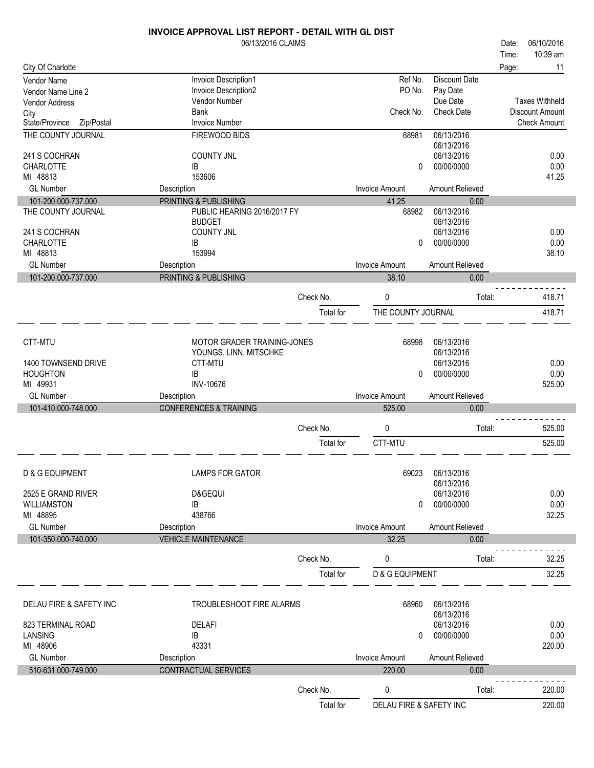|                                   | INVOICE APPROVAL LIST REPORT - DETAIL WITH GL DIST |           |                            |                                  |       |                        |
|-----------------------------------|----------------------------------------------------|-----------|----------------------------|----------------------------------|-------|------------------------|
|                                   | 06/13/2016 CLAIMS                                  |           |                            |                                  | Date: | 06/10/2016             |
|                                   |                                                    |           |                            |                                  | Time: | 10:39 am               |
| City Of Charlotte                 |                                                    |           |                            |                                  | Page: | 11                     |
| Vendor Name<br>Vendor Name Line 2 | Invoice Description1<br>Invoice Description2       |           | Ref No.<br>PO No.          | <b>Discount Date</b><br>Pay Date |       |                        |
| Vendor Address                    | Vendor Number                                      |           |                            | Due Date                         |       | <b>Taxes Withheld</b>  |
| City                              | <b>Bank</b>                                        |           | Check No.                  | <b>Check Date</b>                |       | <b>Discount Amount</b> |
| State/Province<br>Zip/Postal      | <b>Invoice Number</b>                              |           |                            |                                  |       | <b>Check Amount</b>    |
| THE COUNTY JOURNAL                | FIREWOOD BIDS                                      |           | 68981                      | 06/13/2016                       |       |                        |
|                                   |                                                    |           |                            | 06/13/2016                       |       |                        |
| 241 S COCHRAN                     | <b>COUNTY JNL</b>                                  |           |                            | 06/13/2016                       |       | 0.00                   |
| CHARLOTTE                         | IB                                                 |           | 0                          | 00/00/0000                       |       | 0.00                   |
| MI 48813                          | 153606                                             |           |                            |                                  |       | 41.25                  |
| <b>GL Number</b>                  | Description                                        |           | <b>Invoice Amount</b>      | Amount Relieved                  |       |                        |
| 101-200.000-737.000               | PRINTING & PUBLISHING                              |           | 41.25                      | 0.00                             |       |                        |
| THE COUNTY JOURNAL                | PUBLIC HEARING 2016/2017 FY                        |           | 68982                      | 06/13/2016                       |       |                        |
|                                   | <b>BUDGET</b>                                      |           |                            | 06/13/2016<br>06/13/2016         |       | 0.00                   |
| 241 S COCHRAN<br><b>CHARLOTTE</b> | <b>COUNTY JNL</b><br>IB                            |           | 0                          | 00/00/0000                       |       | 0.00                   |
| MI 48813                          | 153994                                             |           |                            |                                  |       | 38.10                  |
| <b>GL Number</b>                  | Description                                        |           | <b>Invoice Amount</b>      | Amount Relieved                  |       |                        |
| 101-200.000-737.000               | PRINTING & PUBLISHING                              |           | 38.10                      | 0.00                             |       |                        |
|                                   |                                                    |           |                            |                                  |       |                        |
|                                   |                                                    | Check No. | 0                          | Total:                           |       | 418.71                 |
|                                   |                                                    | Total for | THE COUNTY JOURNAL         |                                  |       | 418.71                 |
|                                   |                                                    |           |                            |                                  |       |                        |
|                                   |                                                    |           |                            |                                  |       |                        |
| CTT-MTU                           | MOTOR GRADER TRAINING-JONES                        |           | 68998                      | 06/13/2016                       |       |                        |
| 1400 TOWNSEND DRIVE               | YOUNGS, LINN, MITSCHKE<br>CTT-MTU                  |           |                            | 06/13/2016<br>06/13/2016         |       | 0.00                   |
| <b>HOUGHTON</b>                   | <b>IB</b>                                          |           | 0                          | 00/00/0000                       |       | 0.00                   |
| MI 49931                          | <b>INV-10676</b>                                   |           |                            |                                  |       | 525.00                 |
| <b>GL Number</b>                  | Description                                        |           | <b>Invoice Amount</b>      | Amount Relieved                  |       |                        |
| 101-410.000-748.000               | <b>CONFERENCES &amp; TRAINING</b>                  |           | 525.00                     | 0.00                             |       |                        |
|                                   |                                                    |           |                            |                                  |       |                        |
|                                   |                                                    | Check No. | 0                          | Total:                           |       | 525.00                 |
|                                   |                                                    | Total for | CTT-MTU                    |                                  |       | 525.00                 |
|                                   |                                                    |           |                            |                                  |       |                        |
|                                   |                                                    |           |                            |                                  |       |                        |
| D & G EQUIPMENT                   | <b>LAMPS FOR GATOR</b>                             |           | 69023                      | 06/13/2016<br>06/13/2016         |       |                        |
| 2525 E GRAND RIVER                | D&GEQUI                                            |           |                            | 06/13/2016                       |       | 0.00                   |
| <b>WILLIAMSTON</b>                | IB                                                 |           | 0                          | 00/00/0000                       |       | 0.00                   |
| MI 48895                          | 438766                                             |           |                            |                                  |       | 32.25                  |
| <b>GL Number</b>                  | Description                                        |           | <b>Invoice Amount</b>      | Amount Relieved                  |       |                        |
| 101-350.000-740.000               | <b>VEHICLE MAINTENANCE</b>                         |           | 32.25                      | 0.00                             |       |                        |
|                                   |                                                    |           |                            |                                  |       |                        |
|                                   |                                                    | Check No. | 0                          | Total:                           |       | 32.25                  |
|                                   |                                                    | Total for | <b>D &amp; G EQUIPMENT</b> |                                  |       | 32.25                  |
|                                   |                                                    |           |                            |                                  |       |                        |
|                                   |                                                    |           |                            |                                  |       |                        |
| DELAU FIRE & SAFETY INC           | TROUBLESHOOT FIRE ALARMS                           |           | 68960                      | 06/13/2016<br>06/13/2016         |       |                        |
| 823 TERMINAL ROAD                 | <b>DELAFI</b>                                      |           |                            | 06/13/2016                       |       | 0.00                   |
| LANSING                           | <b>IB</b>                                          |           | 0                          | 00/00/0000                       |       | 0.00                   |
| MI 48906                          | 43331                                              |           |                            |                                  |       | 220.00                 |
| <b>GL Number</b>                  | Description                                        |           | <b>Invoice Amount</b>      | Amount Relieved                  |       |                        |
| 510-631.000-749.000               | CONTRACTUAL SERVICES                               |           | 220.00                     | 0.00                             |       |                        |
|                                   |                                                    |           |                            |                                  |       |                        |
|                                   |                                                    | Check No. | 0                          | Total:                           |       | 220.00                 |
|                                   |                                                    | Total for | DELAU FIRE & SAFETY INC    |                                  |       | 220.00                 |
|                                   |                                                    |           |                            |                                  |       |                        |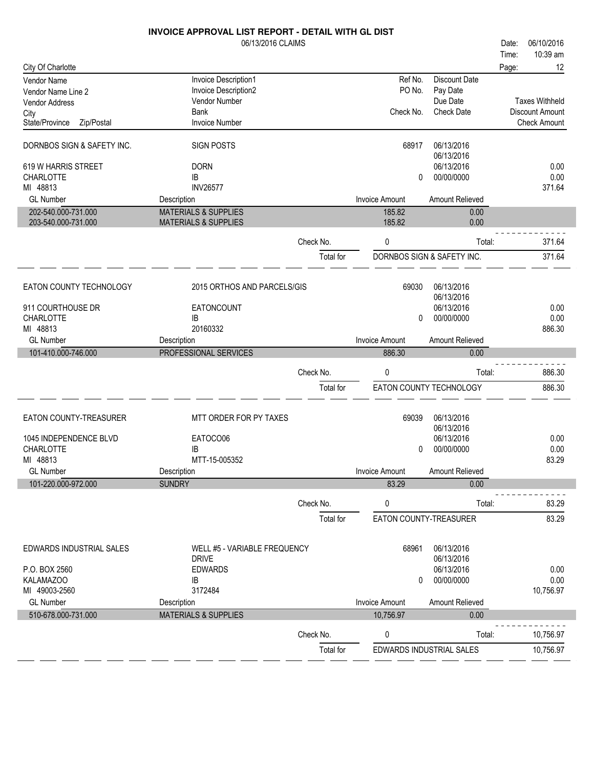|                                            | <b>INVOICE APPROVAL LIST REPORT - DETAIL WITH GL DIST</b> |           |                       |                               |       |                                          |
|--------------------------------------------|-----------------------------------------------------------|-----------|-----------------------|-------------------------------|-------|------------------------------------------|
|                                            | 06/13/2016 CLAIMS                                         |           |                       |                               | Date: | 06/10/2016                               |
|                                            |                                                           |           |                       |                               | Time: | 10:39 am                                 |
| City Of Charlotte                          |                                                           |           |                       |                               | Page: | 12                                       |
| <b>Vendor Name</b>                         | Invoice Description1                                      |           | Ref No.               | Discount Date                 |       |                                          |
| Vendor Name Line 2                         | Invoice Description2                                      |           | PO No.                | Pay Date                      |       |                                          |
| Vendor Address                             | Vendor Number<br><b>Bank</b>                              |           | Check No.             | Due Date<br><b>Check Date</b> |       | <b>Taxes Withheld</b><br>Discount Amount |
| City<br>State/Province<br>Zip/Postal       | <b>Invoice Number</b>                                     |           |                       |                               |       | <b>Check Amount</b>                      |
|                                            |                                                           |           |                       |                               |       |                                          |
| DORNBOS SIGN & SAFETY INC.                 | <b>SIGN POSTS</b>                                         |           | 68917                 | 06/13/2016<br>06/13/2016      |       |                                          |
| 619 W HARRIS STREET                        | <b>DORN</b>                                               |           |                       | 06/13/2016                    |       | 0.00                                     |
| <b>CHARLOTTE</b>                           | IB                                                        |           | 0                     | 00/00/0000                    |       | 0.00                                     |
| MI 48813                                   | <b>INV26577</b>                                           |           |                       |                               |       | 371.64                                   |
| <b>GL Number</b>                           | Description                                               |           | <b>Invoice Amount</b> | Amount Relieved               |       |                                          |
| 202-540.000-731.000                        | <b>MATERIALS &amp; SUPPLIES</b>                           |           | 185.82                | 0.00                          |       |                                          |
| 203-540.000-731.000                        | <b>MATERIALS &amp; SUPPLIES</b>                           |           | 185.82                | 0.00                          |       |                                          |
|                                            |                                                           | Check No. | 0                     | Total:                        |       | 371.64                                   |
|                                            |                                                           | Total for |                       | DORNBOS SIGN & SAFETY INC.    |       | 371.64                                   |
|                                            |                                                           |           |                       |                               |       |                                          |
| EATON COUNTY TECHNOLOGY                    | 2015 ORTHOS AND PARCELS/GIS                               |           | 69030                 | 06/13/2016<br>06/13/2016      |       |                                          |
| 911 COURTHOUSE DR                          | EATONCOUNT                                                |           |                       | 06/13/2016                    |       | 0.00                                     |
| <b>CHARLOTTE</b>                           | IB                                                        |           | 0                     | 00/00/0000                    |       | 0.00                                     |
| MI 48813                                   | 20160332                                                  |           |                       |                               |       | 886.30                                   |
| <b>GL Number</b>                           | Description                                               |           | <b>Invoice Amount</b> | Amount Relieved               |       |                                          |
|                                            |                                                           |           |                       |                               |       |                                          |
|                                            |                                                           |           |                       |                               |       |                                          |
| 101-410.000-746.000                        | PROFESSIONAL SERVICES                                     |           | 886.30                | 0.00                          |       |                                          |
|                                            |                                                           | Check No. | 0                     | Total:                        |       | 886.30                                   |
|                                            |                                                           | Total for |                       | EATON COUNTY TECHNOLOGY       |       | 886.30                                   |
| EATON COUNTY-TREASURER                     | MTT ORDER FOR PY TAXES                                    |           | 69039                 | 06/13/2016                    |       |                                          |
|                                            |                                                           |           |                       | 06/13/2016                    |       |                                          |
| 1045 INDEPENDENCE BLVD<br><b>CHARLOTTE</b> | EATOCO06<br>IB                                            |           | 0                     | 06/13/2016<br>00/00/0000      |       | 0.00<br>0.00                             |
| MI 48813                                   | MTT-15-005352                                             |           |                       |                               |       | 83.29                                    |
| <b>GL Number</b>                           | Description                                               |           | Invoice Amount        | Amount Relieved               |       |                                          |
| 101-220.000-972.000                        | <b>SUNDRY</b>                                             |           | 83.29                 | 0.00                          |       |                                          |
|                                            |                                                           | Check No. | 0                     | Total:                        |       | 83.29                                    |
|                                            |                                                           | Total for |                       | EATON COUNTY-TREASURER        |       | 83.29                                    |
|                                            |                                                           |           |                       |                               |       |                                          |
| EDWARDS INDUSTRIAL SALES                   | WELL #5 - VARIABLE FREQUENCY<br><b>DRIVE</b>              |           | 68961                 | 06/13/2016<br>06/13/2016      |       |                                          |
| P.O. BOX 2560                              | <b>EDWARDS</b>                                            |           |                       | 06/13/2016                    |       | 0.00                                     |
| KALAMAZOO                                  | IB                                                        |           | 0                     | 00/00/0000                    |       | 0.00                                     |
| MI 49003-2560                              | 3172484                                                   |           |                       |                               |       | 10,756.97                                |
| <b>GL Number</b>                           | Description                                               |           | Invoice Amount        | Amount Relieved               |       |                                          |
| 510-678.000-731.000                        | <b>MATERIALS &amp; SUPPLIES</b>                           |           | 10,756.97             | 0.00                          |       |                                          |
|                                            |                                                           | Check No. | 0                     | Total:                        |       | 10,756.97                                |
|                                            |                                                           | Total for |                       | EDWARDS INDUSTRIAL SALES      |       | 10,756.97                                |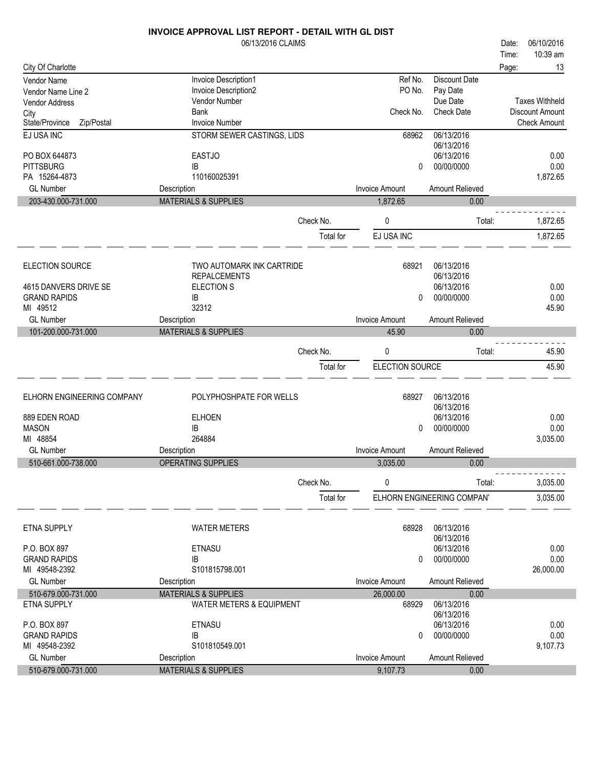|                                              | <b>INVOICE APPROVAL LIST REPORT - DETAIL WITH GL DIST</b> |           |                       |                            |       |                       |
|----------------------------------------------|-----------------------------------------------------------|-----------|-----------------------|----------------------------|-------|-----------------------|
|                                              | 06/13/2016 CLAIMS                                         |           |                       |                            | Date: | 06/10/2016            |
|                                              |                                                           |           |                       |                            | Time: | 10:39 am              |
| City Of Charlotte                            |                                                           |           |                       |                            | Page: | 13                    |
| Vendor Name                                  | Invoice Description1                                      |           | Ref No.               | <b>Discount Date</b>       |       |                       |
| Vendor Name Line 2                           | Invoice Description2                                      |           | PO No.                | Pay Date                   |       |                       |
| <b>Vendor Address</b>                        | Vendor Number                                             |           |                       | Due Date                   |       | <b>Taxes Withheld</b> |
| City                                         | <b>Bank</b>                                               |           | Check No.             | <b>Check Date</b>          |       | Discount Amount       |
| State/Province<br>Zip/Postal                 | <b>Invoice Number</b>                                     |           |                       |                            |       | <b>Check Amount</b>   |
| EJ USA INC                                   | STORM SEWER CASTINGS, LIDS                                |           | 68962                 | 06/13/2016                 |       |                       |
|                                              |                                                           |           |                       | 06/13/2016                 |       |                       |
| PO BOX 644873                                | <b>EASTJO</b>                                             |           |                       | 06/13/2016                 |       | 0.00                  |
| <b>PITTSBURG</b>                             | IB                                                        |           | 0                     | 00/00/0000                 |       | 0.00                  |
| PA 15264-4873                                | 110160025391                                              |           |                       |                            |       | 1,872.65              |
| <b>GL Number</b>                             | Description                                               |           | <b>Invoice Amount</b> | Amount Relieved            |       |                       |
| 203-430.000-731.000                          | <b>MATERIALS &amp; SUPPLIES</b>                           |           | 1,872.65              | 0.00                       |       |                       |
|                                              |                                                           |           |                       |                            |       |                       |
|                                              |                                                           | Check No. | 0                     | Total:                     |       | 1,872.65              |
|                                              |                                                           | Total for | EJ USA INC            |                            |       | 1,872.65              |
|                                              |                                                           |           |                       |                            |       |                       |
|                                              |                                                           |           |                       |                            |       |                       |
| <b>ELECTION SOURCE</b>                       | TWO AUTOMARK INK CARTRIDE                                 |           | 68921                 | 06/13/2016<br>06/13/2016   |       |                       |
|                                              | <b>REPALCEMENTS</b><br>ELECTION S                         |           |                       | 06/13/2016                 |       | 0.00                  |
| 4615 DANVERS DRIVE SE<br><b>GRAND RAPIDS</b> | IB                                                        |           | 0                     | 00/00/0000                 |       | 0.00                  |
| MI 49512                                     | 32312                                                     |           |                       |                            |       | 45.90                 |
| <b>GL Number</b>                             | Description                                               |           | Invoice Amount        | Amount Relieved            |       |                       |
| 101-200.000-731.000                          | <b>MATERIALS &amp; SUPPLIES</b>                           |           | 45.90                 | 0.00                       |       |                       |
|                                              |                                                           |           |                       |                            |       |                       |
|                                              |                                                           | Check No. | 0                     | Total:                     |       | 45.90                 |
|                                              |                                                           | Total for | ELECTION SOURCE       |                            |       | 45.90                 |
|                                              |                                                           |           |                       |                            |       |                       |
|                                              |                                                           |           |                       |                            |       |                       |
| ELHORN ENGINEERING COMPANY                   | POLYPHOSHPATE FOR WELLS                                   |           | 68927                 | 06/13/2016                 |       |                       |
|                                              |                                                           |           |                       | 06/13/2016                 |       |                       |
| 889 EDEN ROAD                                | <b>ELHOEN</b>                                             |           |                       | 06/13/2016                 |       | 0.00                  |
| <b>MASON</b>                                 | IB                                                        |           | 0                     | 00/00/0000                 |       | 0.00                  |
| MI 48854                                     | 264884                                                    |           |                       |                            |       | 3,035.00              |
| <b>GL Number</b>                             | Description                                               |           | <b>Invoice Amount</b> | Amount Relieved            |       |                       |
| 510-661.000-738.000                          | OPERATING SUPPLIES                                        |           | 3,035.00              | 0.00                       |       |                       |
|                                              |                                                           | Check No. | 0                     | Total:                     |       | 3,035.00              |
|                                              |                                                           |           |                       |                            |       |                       |
|                                              |                                                           | Total for |                       | ELHORN ENGINEERING COMPANY |       | 3,035.00              |
|                                              |                                                           |           |                       |                            |       |                       |
| <b>ETNA SUPPLY</b>                           | <b>WATER METERS</b>                                       |           | 68928                 | 06/13/2016                 |       |                       |
|                                              |                                                           |           |                       | 06/13/2016                 |       |                       |
| P.O. BOX 897                                 | <b>ETNASU</b>                                             |           |                       | 06/13/2016                 |       | 0.00                  |
| <b>GRAND RAPIDS</b>                          | IB                                                        |           | $\mathbf{0}$          | 00/00/0000                 |       | 0.00                  |
| MI 49548-2392                                | S101815798.001                                            |           |                       |                            |       | 26,000.00             |
| <b>GL Number</b>                             | Description                                               |           | <b>Invoice Amount</b> | Amount Relieved            |       |                       |
| 510-679.000-731.000                          | <b>MATERIALS &amp; SUPPLIES</b>                           |           | 26,000.00             | 0.00                       |       |                       |
| <b>ETNA SUPPLY</b>                           | <b>WATER METERS &amp; EQUIPMENT</b>                       |           | 68929                 | 06/13/2016                 |       |                       |
|                                              |                                                           |           |                       | 06/13/2016                 |       |                       |
| P.O. BOX 897                                 | <b>ETNASU</b>                                             |           |                       | 06/13/2016                 |       | 0.00                  |
| <b>GRAND RAPIDS</b>                          | IB                                                        |           | 0                     | 00/00/0000                 |       | 0.00                  |
| MI 49548-2392                                | S101810549.001                                            |           |                       |                            |       | 9,107.73              |
| <b>GL Number</b>                             | Description                                               |           | Invoice Amount        | Amount Relieved            |       |                       |
| 510-679.000-731.000                          | <b>MATERIALS &amp; SUPPLIES</b>                           |           | 9,107.73              | 0.00                       |       |                       |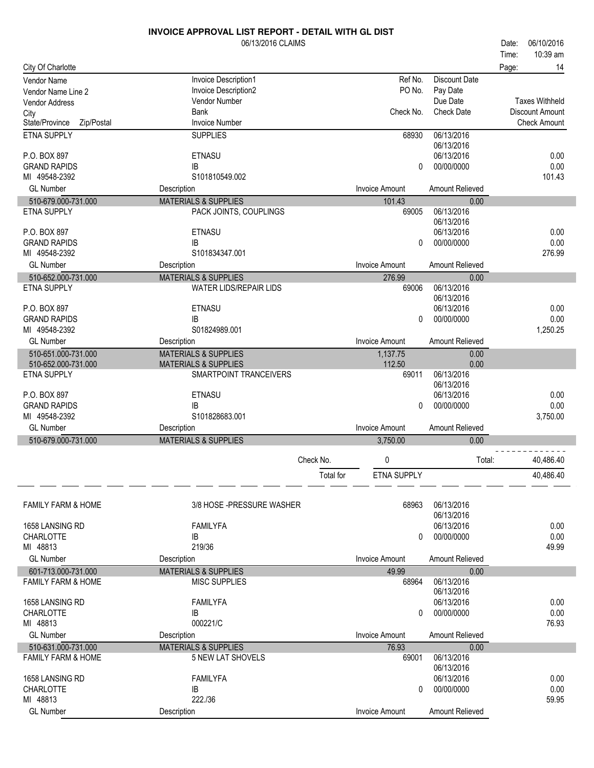|                               | 06/13/2016 CLAIMS               |           |                       |                      | Date: | 06/10/2016             |
|-------------------------------|---------------------------------|-----------|-----------------------|----------------------|-------|------------------------|
|                               |                                 |           |                       |                      | Time: | 10:39 am               |
| City Of Charlotte             |                                 |           |                       |                      | Page: | 14                     |
| Vendor Name                   | Invoice Description1            |           | Ref No.               | <b>Discount Date</b> |       |                        |
| Vendor Name Line 2            | Invoice Description2            |           | PO No.                | Pay Date             |       |                        |
| <b>Vendor Address</b>         | Vendor Number                   |           |                       | Due Date             |       | <b>Taxes Withheld</b>  |
| City                          | Bank                            |           | Check No.             | <b>Check Date</b>    |       | <b>Discount Amount</b> |
| State/Province<br>Zip/Postal  | <b>Invoice Number</b>           |           |                       |                      |       | <b>Check Amount</b>    |
| ETNA SUPPLY                   | <b>SUPPLIES</b>                 |           | 68930                 | 06/13/2016           |       |                        |
|                               |                                 |           |                       | 06/13/2016           |       |                        |
| P.O. BOX 897                  | <b>ETNASU</b>                   |           |                       | 06/13/2016           |       | 0.00                   |
| <b>GRAND RAPIDS</b>           | IB                              |           | 0                     | 00/00/0000           |       | 0.00                   |
| MI 49548-2392                 | S101810549.002                  |           |                       |                      |       | 101.43                 |
| <b>GL Number</b>              | Description                     |           | <b>Invoice Amount</b> | Amount Relieved      |       |                        |
| 510-679.000-731.000           | <b>MATERIALS &amp; SUPPLIES</b> |           | 101.43                | 0.00                 |       |                        |
| <b>ETNA SUPPLY</b>            | PACK JOINTS, COUPLINGS          |           | 69005                 | 06/13/2016           |       |                        |
|                               |                                 |           |                       | 06/13/2016           |       |                        |
| P.O. BOX 897                  | ETNASU                          |           |                       | 06/13/2016           |       | 0.00                   |
| <b>GRAND RAPIDS</b>           | IB                              |           | 0                     | 00/00/0000           |       | 0.00                   |
| MI 49548-2392                 | S101834347.001                  |           |                       |                      |       | 276.99                 |
| <b>GL Number</b>              | Description                     |           | <b>Invoice Amount</b> | Amount Relieved      |       |                        |
| 510-652.000-731.000           | <b>MATERIALS &amp; SUPPLIES</b> |           | 276.99                | 0.00                 |       |                        |
| <b>ETNA SUPPLY</b>            | <b>WATER LIDS/REPAIR LIDS</b>   |           | 69006                 | 06/13/2016           |       |                        |
|                               |                                 |           |                       | 06/13/2016           |       |                        |
| P.O. BOX 897                  | <b>ETNASU</b>                   |           |                       | 06/13/2016           |       | 0.00                   |
| <b>GRAND RAPIDS</b>           | <b>IB</b>                       |           | $\mathbf{0}$          | 00/00/0000           |       | 0.00                   |
| MI 49548-2392                 | S01824989.001                   |           |                       |                      |       | 1,250.25               |
| <b>GL Number</b>              | Description                     |           | <b>Invoice Amount</b> | Amount Relieved      |       |                        |
| 510-651.000-731.000           | <b>MATERIALS &amp; SUPPLIES</b> |           | 1,137.75              | 0.00                 |       |                        |
| 510-652.000-731.000           | <b>MATERIALS &amp; SUPPLIES</b> |           | 112.50                | 0.00                 |       |                        |
| <b>ETNA SUPPLY</b>            | SMARTPOINT TRANCEIVERS          |           | 69011                 | 06/13/2016           |       |                        |
|                               |                                 |           |                       | 06/13/2016           |       |                        |
| P.O. BOX 897                  | <b>ETNASU</b>                   |           |                       | 06/13/2016           |       | 0.00                   |
| <b>GRAND RAPIDS</b>           | IB<br>S101828683.001            |           | 0                     | 00/00/0000           |       | 0.00                   |
| MI 49548-2392                 |                                 |           |                       |                      |       | 3,750.00               |
| <b>GL Number</b>              | Description                     |           | <b>Invoice Amount</b> | Amount Relieved      |       |                        |
| 510-679.000-731.000           | <b>MATERIALS &amp; SUPPLIES</b> |           | 3,750.00              | 0.00                 |       |                        |
|                               |                                 | Check No. | 0                     | Total:               |       | 40,486.40              |
|                               |                                 |           |                       |                      |       |                        |
|                               |                                 | Total for | ETNA SUPPLY           |                      |       | 40,486.40              |
|                               |                                 |           |                       |                      |       |                        |
| <b>FAMILY FARM &amp; HOME</b> | 3/8 HOSE - PRESSURE WASHER      |           | 68963                 | 06/13/2016           |       |                        |
|                               |                                 |           |                       | 06/13/2016           |       |                        |
| 1658 LANSING RD               | <b>FAMILYFA</b>                 |           |                       | 06/13/2016           |       | 0.00                   |
| <b>CHARLOTTE</b>              | IB                              |           | 0                     | 00/00/0000           |       | 0.00                   |
| MI 48813                      | 219/36                          |           |                       |                      |       | 49.99                  |
| <b>GL Number</b>              | Description                     |           | <b>Invoice Amount</b> | Amount Relieved      |       |                        |
| 601-713.000-731.000           | <b>MATERIALS &amp; SUPPLIES</b> |           | 49.99                 | 0.00                 |       |                        |
| <b>FAMILY FARM &amp; HOME</b> | <b>MISC SUPPLIES</b>            |           | 68964                 | 06/13/2016           |       |                        |
|                               |                                 |           |                       | 06/13/2016           |       |                        |
| 1658 LANSING RD               | <b>FAMILYFA</b>                 |           |                       | 06/13/2016           |       | 0.00                   |
| <b>CHARLOTTE</b>              | IB<br>000221/C                  |           | 0                     | 00/00/0000           |       | 0.00<br>76.93          |
| MI 48813                      |                                 |           |                       |                      |       |                        |
| <b>GL Number</b>              | Description                     |           | <b>Invoice Amount</b> | Amount Relieved      |       |                        |
| 510-631.000-731.000           | <b>MATERIALS &amp; SUPPLIES</b> |           | 76.93                 | 0.00                 |       |                        |
| <b>FAMILY FARM &amp; HOME</b> | 5 NEW LAT SHOVELS               |           | 69001                 | 06/13/2016           |       |                        |
|                               |                                 |           |                       | 06/13/2016           |       |                        |
| 1658 LANSING RD               | <b>FAMILYFA</b>                 |           |                       | 06/13/2016           |       | 0.00                   |
| <b>CHARLOTTE</b><br>MI 48813  | IB                              |           | 0                     | 00/00/0000           |       | 0.00                   |
|                               | 222./36                         |           |                       |                      |       | 59.95                  |
| <b>GL Number</b>              | Description                     |           | <b>Invoice Amount</b> | Amount Relieved      |       |                        |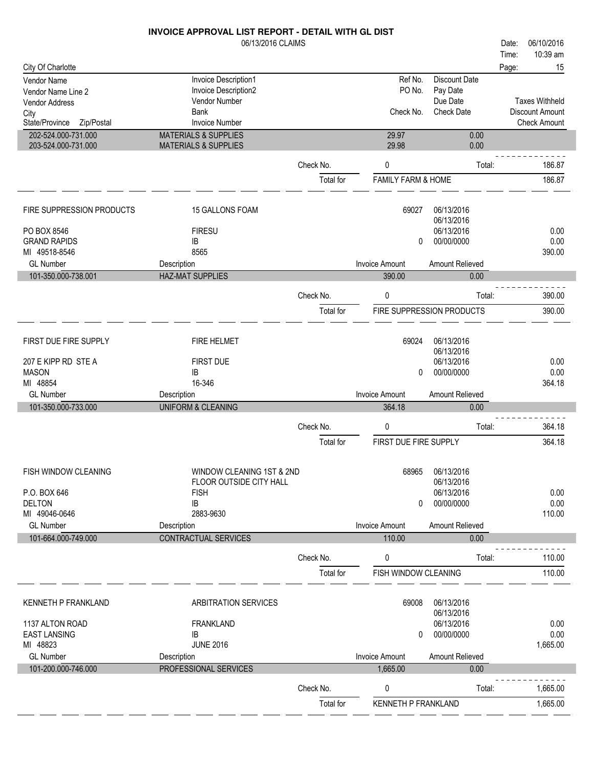## 06/13/2016 CLAIMS **INVOICE APPROVAL LIST REPORT - DETAIL WITH GL DIST** City Of Charlotte Time: Date: 06/10/2016 Page: 15 Vendor Name Invoice Description1 Ref No. Discount Date

10:39 am

| Vendor Name Line 2<br>Vendor Address       | Invoice Description2<br>Vendor Number                              |                        | PO No.                          | Pay Date<br>Due Date      | <b>Taxes Withheld</b> |
|--------------------------------------------|--------------------------------------------------------------------|------------------------|---------------------------------|---------------------------|-----------------------|
| City                                       | <b>Bank</b>                                                        |                        | Check No.                       | <b>Check Date</b>         | Discount Amount       |
| State/Province<br>Zip/Postal               | <b>Invoice Number</b>                                              |                        |                                 |                           | <b>Check Amount</b>   |
| 202-524.000-731.000<br>203-524.000-731.000 | <b>MATERIALS &amp; SUPPLIES</b><br><b>MATERIALS &amp; SUPPLIES</b> |                        | 29.97<br>29.98                  | 0.00<br>0.00              |                       |
|                                            |                                                                    | Check No.              | 0                               | Total:                    | 186.87                |
|                                            |                                                                    | Total for              | <b>FAMILY FARM &amp; HOME</b>   |                           | 186.87                |
| FIRE SUPPRESSION PRODUCTS                  | 15 GALLONS FOAM                                                    |                        | 69027                           | 06/13/2016<br>06/13/2016  |                       |
| PO BOX 8546                                | <b>FIRESU</b>                                                      |                        |                                 | 06/13/2016                | 0.00                  |
| <b>GRAND RAPIDS</b>                        | IB                                                                 |                        | 0                               | 00/00/0000                | 0.00                  |
| MI 49518-8546                              | 8565                                                               |                        |                                 |                           | 390.00                |
| <b>GL Number</b><br>101-350.000-738.001    | Description<br><b>HAZ-MAT SUPPLIES</b>                             |                        | <b>Invoice Amount</b><br>390.00 | Amount Relieved<br>0.00   |                       |
|                                            |                                                                    |                        |                                 |                           |                       |
|                                            |                                                                    | Check No.              | 0                               | Total:                    | 390.00                |
|                                            |                                                                    | Total for              |                                 | FIRE SUPPRESSION PRODUCTS | 390.00                |
| FIRST DUE FIRE SUPPLY                      | <b>FIRE HELMET</b>                                                 |                        | 69024                           | 06/13/2016<br>06/13/2016  |                       |
| 207 E KIPP RD STE A                        | FIRST DUE                                                          |                        |                                 | 06/13/2016                | 0.00                  |
| <b>MASON</b>                               | IB                                                                 |                        | 0                               | 00/00/0000                | 0.00                  |
| MI 48854                                   | 16-346                                                             |                        |                                 |                           | 364.18                |
| <b>GL Number</b>                           | Description                                                        |                        | <b>Invoice Amount</b>           | Amount Relieved           |                       |
|                                            |                                                                    |                        |                                 |                           |                       |
| 101-350.000-733.000                        | <b>UNIFORM &amp; CLEANING</b>                                      |                        | 364.18                          | 0.00                      |                       |
|                                            |                                                                    | Check No.              | 0                               | Total:                    | 364.18                |
|                                            |                                                                    | Total for              | FIRST DUE FIRE SUPPLY           |                           | 364.18                |
| FISH WINDOW CLEANING                       | WINDOW CLEANING 1ST & 2ND<br>FLOOR OUTSIDE CITY HALL               |                        | 68965                           | 06/13/2016<br>06/13/2016  |                       |
| P.O. BOX 646                               | <b>FISH</b>                                                        |                        |                                 | 06/13/2016                | 0.00                  |
| <b>DELTON</b>                              | IB                                                                 |                        | 0                               | 00/00/0000                | 0.00                  |
| MI 49046-0646                              | 2883-9630                                                          |                        |                                 |                           | 110.00                |
| <b>GL Number</b><br>101-664.000-749.000    | Description<br><b>CONTRACTUAL SERVICES</b>                         |                        | <b>Invoice Amount</b><br>110.00 | Amount Relieved<br>0.00   |                       |
|                                            |                                                                    | Check No.              | 0                               | Total:                    | 110.00                |
|                                            |                                                                    | Total for              | FISH WINDOW CLEANING            |                           | 110.00                |
| KENNETH P FRANKLAND                        | ARBITRATION SERVICES                                               |                        | 69008                           | 06/13/2016                |                       |
| 1137 ALTON ROAD                            | <b>FRANKLAND</b>                                                   |                        |                                 | 06/13/2016<br>06/13/2016  | 0.00                  |
| <b>EAST LANSING</b>                        | IB                                                                 |                        | 0                               | 00/00/0000                | 0.00                  |
| MI 48823                                   | <b>JUNE 2016</b>                                                   |                        |                                 |                           | 1,665.00              |
| <b>GL Number</b>                           | Description                                                        |                        | Invoice Amount                  | Amount Relieved           |                       |
| 101-200.000-746.000                        | PROFESSIONAL SERVICES                                              |                        | 1,665.00                        | 0.00                      |                       |
|                                            |                                                                    | Check No.<br>Total for | 0<br>KENNETH P FRANKLAND        | Total:                    | 1,665.00<br>1,665.00  |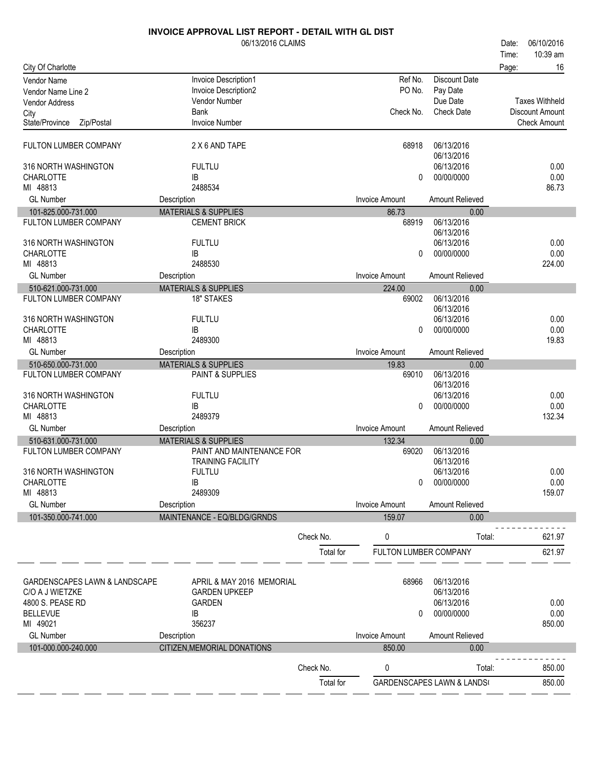|                               | 06/13/2016 CLAIMS               |           |                       |                                       | Date: | 06/10/2016            |
|-------------------------------|---------------------------------|-----------|-----------------------|---------------------------------------|-------|-----------------------|
|                               |                                 |           |                       |                                       | Time: | 10:39 am              |
| City Of Charlotte             |                                 |           |                       |                                       | Page: | 16                    |
| <b>Vendor Name</b>            | Invoice Description1            |           | Ref No.               | <b>Discount Date</b>                  |       |                       |
| Vendor Name Line 2            | Invoice Description2            |           | PO No.                | Pay Date                              |       |                       |
| <b>Vendor Address</b>         | <b>Vendor Number</b>            |           |                       | Due Date                              |       | <b>Taxes Withheld</b> |
| City                          | <b>Bank</b>                     |           | Check No.             | <b>Check Date</b>                     |       | Discount Amount       |
| Zip/Postal<br>State/Province  | <b>Invoice Number</b>           |           |                       |                                       |       | <b>Check Amount</b>   |
|                               |                                 |           |                       |                                       |       |                       |
| FULTON LUMBER COMPANY         | 2 X 6 AND TAPE                  |           | 68918                 | 06/13/2016                            |       |                       |
| 316 NORTH WASHINGTON          | <b>FULTLU</b>                   |           |                       | 06/13/2016<br>06/13/2016              |       | 0.00                  |
| <b>CHARLOTTE</b>              | <b>IB</b>                       |           | 0                     | 00/00/0000                            |       | 0.00                  |
| MI 48813                      | 2488534                         |           |                       |                                       |       | 86.73                 |
| <b>GL Number</b>              | Description                     |           | <b>Invoice Amount</b> | Amount Relieved                       |       |                       |
| 101-825.000-731.000           | <b>MATERIALS &amp; SUPPLIES</b> |           | 86.73                 | 0.00                                  |       |                       |
| FULTON LUMBER COMPANY         | <b>CEMENT BRICK</b>             |           | 68919                 | 06/13/2016                            |       |                       |
|                               |                                 |           |                       | 06/13/2016                            |       |                       |
| 316 NORTH WASHINGTON          | <b>FULTLU</b>                   |           |                       | 06/13/2016                            |       | 0.00                  |
| <b>CHARLOTTE</b>              | IB                              |           | 0                     | 00/00/0000                            |       | 0.00                  |
| MI 48813                      | 2488530                         |           |                       |                                       |       | 224.00                |
| <b>GL Number</b>              | Description                     |           | <b>Invoice Amount</b> | Amount Relieved                       |       |                       |
| 510-621.000-731.000           | <b>MATERIALS &amp; SUPPLIES</b> |           | 224.00                | 0.00                                  |       |                       |
| FULTON LUMBER COMPANY         | <b>18" STAKES</b>               |           | 69002                 | 06/13/2016                            |       |                       |
|                               |                                 |           |                       | 06/13/2016                            |       |                       |
| 316 NORTH WASHINGTON          | <b>FULTLU</b>                   |           |                       | 06/13/2016                            |       | 0.00                  |
| <b>CHARLOTTE</b>              | IB                              |           | 0                     | 00/00/0000                            |       | 0.00                  |
| MI 48813                      | 2489300                         |           |                       |                                       |       | 19.83                 |
| <b>GL Number</b>              | Description                     |           | <b>Invoice Amount</b> | Amount Relieved                       |       |                       |
| 510-650.000-731.000           | <b>MATERIALS &amp; SUPPLIES</b> |           | 19.83                 | 0.00                                  |       |                       |
| FULTON LUMBER COMPANY         | PAINT & SUPPLIES                |           | 69010                 | 06/13/2016                            |       |                       |
|                               |                                 |           |                       | 06/13/2016                            |       |                       |
| 316 NORTH WASHINGTON          | <b>FULTLU</b>                   |           |                       | 06/13/2016                            |       | 0.00                  |
| <b>CHARLOTTE</b>              | IB                              |           | 0                     | 00/00/0000                            |       | 0.00                  |
| MI 48813                      | 2489379                         |           |                       |                                       |       | 132.34                |
| <b>GL Number</b>              | Description                     |           | <b>Invoice Amount</b> | Amount Relieved                       |       |                       |
| 510-631.000-731.000           | <b>MATERIALS &amp; SUPPLIES</b> |           | 132.34                | 0.00                                  |       |                       |
| FULTON LUMBER COMPANY         | PAINT AND MAINTENANCE FOR       |           | 69020                 | 06/13/2016                            |       |                       |
|                               | <b>TRAINING FACILITY</b>        |           |                       | 06/13/2016                            |       |                       |
| 316 NORTH WASHINGTON          | <b>FULTLU</b>                   |           |                       | 06/13/2016                            |       | 0.00                  |
| <b>CHARLOTTE</b><br>MI 48813  | IB<br>2489309                   |           | 0                     | 00/00/0000                            |       | 0.00<br>159.07        |
|                               |                                 |           | <b>Invoice Amount</b> |                                       |       |                       |
| <b>GL Number</b>              | Description                     |           |                       | Amount Relieved                       |       |                       |
| 101-350.000-741.000           | MAINTENANCE - EQ/BLDG/GRNDS     |           | 159.07                | 0.00                                  |       |                       |
|                               |                                 | Check No. | 0                     | Total:                                |       | 621.97                |
|                               |                                 |           |                       |                                       |       |                       |
|                               |                                 | Total for | FULTON LUMBER COMPANY |                                       |       | 621.97                |
|                               |                                 |           |                       |                                       |       |                       |
| GARDENSCAPES LAWN & LANDSCAPE | APRIL & MAY 2016 MEMORIAL       |           | 68966                 | 06/13/2016                            |       |                       |
| C/O A J WIETZKE               | <b>GARDEN UPKEEP</b>            |           |                       | 06/13/2016                            |       |                       |
| 4800 S. PEASE RD              | <b>GARDEN</b>                   |           |                       | 06/13/2016                            |       | 0.00                  |
| <b>BELLEVUE</b>               | IB                              |           | 0                     | 00/00/0000                            |       | 0.00                  |
| MI 49021                      | 356237                          |           |                       |                                       |       | 850.00                |
| <b>GL Number</b>              | Description                     |           | <b>Invoice Amount</b> | Amount Relieved                       |       |                       |
| 101-000.000-240.000           | CITIZEN, MEMORIAL DONATIONS     |           | 850.00                | 0.00                                  |       |                       |
|                               |                                 |           |                       |                                       |       |                       |
|                               |                                 | Check No. | 0                     | Total:                                |       | 850.00                |
|                               |                                 | Total for |                       | <b>GARDENSCAPES LAWN &amp; LANDS(</b> |       | 850.00                |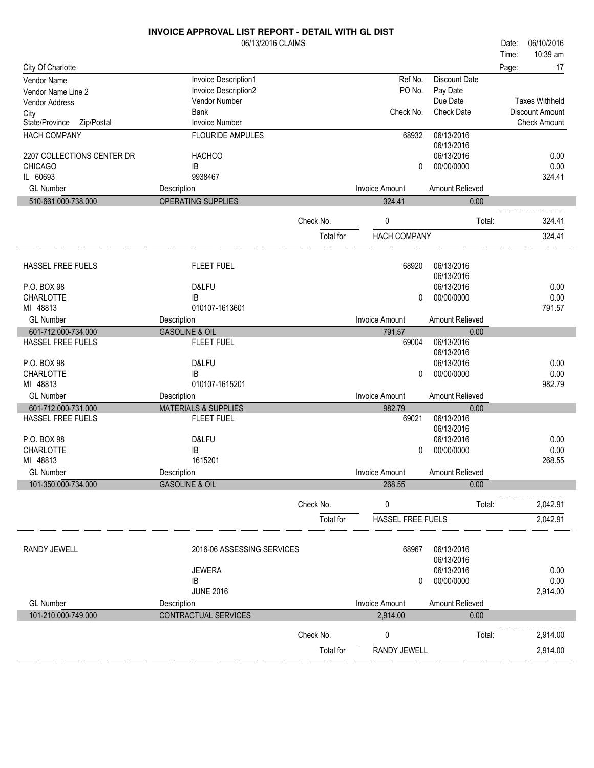|                              | <b>INVOICE APPROVAL LIST REPORT - DETAIL WITH GL DIST</b> |           |                       |                   |       |                        |
|------------------------------|-----------------------------------------------------------|-----------|-----------------------|-------------------|-------|------------------------|
|                              | 06/13/2016 CLAIMS                                         |           |                       |                   | Date: | 06/10/2016             |
|                              |                                                           |           |                       |                   | Time: | 10:39 am               |
| City Of Charlotte            |                                                           |           |                       |                   | Page: | 17                     |
| Vendor Name                  | Invoice Description1                                      |           | Ref No.               | Discount Date     |       |                        |
| Vendor Name Line 2           | Invoice Description2                                      |           | PO No.                | Pay Date          |       |                        |
| Vendor Address               | Vendor Number                                             |           |                       | Due Date          |       | <b>Taxes Withheld</b>  |
| City                         | <b>Bank</b>                                               |           | Check No.             | <b>Check Date</b> |       | <b>Discount Amount</b> |
| State/Province<br>Zip/Postal | <b>Invoice Number</b>                                     |           |                       |                   |       | <b>Check Amount</b>    |
| <b>HACH COMPANY</b>          | <b>FLOURIDE AMPULES</b>                                   |           | 68932                 | 06/13/2016        |       |                        |
|                              |                                                           |           |                       | 06/13/2016        |       |                        |
| 2207 COLLECTIONS CENTER DR   | <b>HACHCO</b>                                             |           |                       | 06/13/2016        |       | 0.00                   |
| <b>CHICAGO</b>               | IB                                                        |           | 0                     | 00/00/0000        |       | 0.00                   |
| IL 60693                     | 9938467                                                   |           |                       |                   |       | 324.41                 |
| <b>GL Number</b>             | Description                                               |           | <b>Invoice Amount</b> | Amount Relieved   |       |                        |
| 510-661.000-738.000          | OPERATING SUPPLIES                                        |           | 324.41                | 0.00              |       |                        |
|                              |                                                           | Check No. | 0                     | Total:            |       | 324.41                 |
|                              |                                                           |           |                       |                   |       | 324.41                 |
|                              |                                                           | Total for | <b>HACH COMPANY</b>   |                   |       |                        |
|                              |                                                           |           |                       |                   |       |                        |
| HASSEL FREE FUELS            | <b>FLEET FUEL</b>                                         |           | 68920                 | 06/13/2016        |       |                        |
|                              |                                                           |           |                       | 06/13/2016        |       |                        |
| P.O. BOX 98                  | D&LFU                                                     |           |                       | 06/13/2016        |       | 0.00                   |
| CHARLOTTE                    | <b>IB</b>                                                 |           | 0                     | 00/00/0000        |       | 0.00                   |
| MI 48813                     | 010107-1613601                                            |           |                       |                   |       | 791.57                 |
| <b>GL Number</b>             | Description                                               |           | <b>Invoice Amount</b> | Amount Relieved   |       |                        |
| 601-712.000-734.000          | <b>GASOLINE &amp; OIL</b>                                 |           | 791.57                | 0.00              |       |                        |
| HASSEL FREE FUELS            | <b>FLEET FUEL</b>                                         |           | 69004                 | 06/13/2016        |       |                        |
|                              |                                                           |           |                       | 06/13/2016        |       |                        |
| P.O. BOX 98                  | D&LFU                                                     |           |                       | 06/13/2016        |       | 0.00                   |
| <b>CHARLOTTE</b>             | IB                                                        |           | 0                     | 00/00/0000        |       | 0.00                   |
| MI 48813                     | 010107-1615201                                            |           |                       |                   |       | 982.79                 |
| <b>GL Number</b>             | Description                                               |           | <b>Invoice Amount</b> | Amount Relieved   |       |                        |
| 601-712.000-731.000          | <b>MATERIALS &amp; SUPPLIES</b>                           |           | 982.79                | 0.00              |       |                        |
| <b>HASSEL FREE FUELS</b>     | <b>FLEET FUEL</b>                                         |           | 69021                 | 06/13/2016        |       |                        |
|                              |                                                           |           |                       | 06/13/2016        |       |                        |
| P.O. BOX 98                  | D&LFU                                                     |           |                       | 06/13/2016        |       | 0.00                   |
| <b>CHARLOTTE</b>             | IB                                                        |           | 0                     | 00/00/0000        |       | 0.00                   |
| MI 48813                     | 1615201                                                   |           |                       |                   |       | 268.55                 |
| <b>GL Number</b>             | Description                                               |           | Invoice Amount        | Amount Relieved   |       |                        |
| 101-350.000-734.000          | <b>GASOLINE &amp; OIL</b>                                 |           | 268.55                | 0.00              |       |                        |
|                              |                                                           | Check No. | 0                     | Total:            |       | 2,042.91               |
|                              |                                                           | Total for | HASSEL FREE FUELS     |                   |       | 2,042.91               |
|                              |                                                           |           |                       |                   |       |                        |
| <b>RANDY JEWELL</b>          | 2016-06 ASSESSING SERVICES                                |           | 68967                 | 06/13/2016        |       |                        |
|                              |                                                           |           |                       | 06/13/2016        |       |                        |
|                              | <b>JEWERA</b>                                             |           |                       | 06/13/2016        |       | 0.00                   |
|                              | IB                                                        |           | 0                     | 00/00/0000        |       | 0.00                   |
|                              | <b>JUNE 2016</b>                                          |           |                       |                   |       | 2,914.00               |
| <b>GL Number</b>             | Description                                               |           | <b>Invoice Amount</b> | Amount Relieved   |       |                        |
| 101-210.000-749.000          | CONTRACTUAL SERVICES                                      |           | 2,914.00              | 0.00              |       |                        |
|                              |                                                           | Check No. | 0                     | Total:            |       | 2,914.00               |
|                              |                                                           | Total for | <b>RANDY JEWELL</b>   |                   |       | 2,914.00               |
|                              |                                                           |           |                       |                   |       |                        |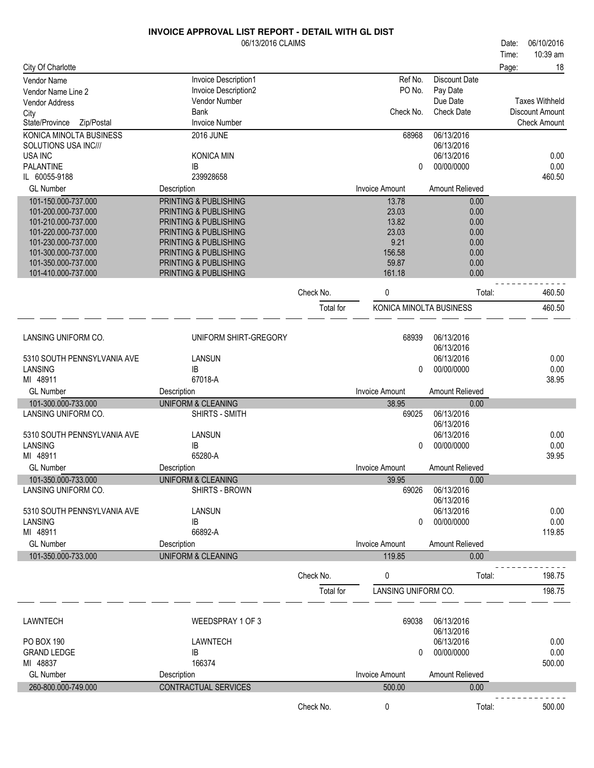|                                            | 06/13/2016 CLAIMS                               |           |                         |                        | Date: | 06/10/2016             |
|--------------------------------------------|-------------------------------------------------|-----------|-------------------------|------------------------|-------|------------------------|
|                                            |                                                 |           |                         |                        | Time: | 10:39 am               |
| City Of Charlotte                          |                                                 |           |                         |                        | Page: | 18                     |
| <b>Vendor Name</b>                         | Invoice Description1                            |           | Ref No.                 | <b>Discount Date</b>   |       |                        |
| Vendor Name Line 2                         | Invoice Description2                            |           | PO No.                  | Pay Date               |       |                        |
| <b>Vendor Address</b>                      | Vendor Number                                   |           |                         | Due Date               |       | <b>Taxes Withheld</b>  |
| City                                       | <b>Bank</b>                                     |           | Check No.               | <b>Check Date</b>      |       | <b>Discount Amount</b> |
| State/Province<br>Zip/Postal               | <b>Invoice Number</b>                           |           |                         |                        |       | <b>Check Amount</b>    |
| KONICA MINOLTA BUSINESS                    | <b>2016 JUNE</b>                                |           | 68968                   | 06/13/2016             |       |                        |
| SOLUTIONS USA INC///                       |                                                 |           |                         | 06/13/2016             |       |                        |
| <b>USA INC</b>                             | KONICA MIN                                      |           |                         | 06/13/2016             |       | 0.00                   |
| <b>PALANTINE</b>                           | IB                                              |           | 0                       | 00/00/0000             |       | 0.00                   |
| IL 60055-9188                              | 239928658                                       |           |                         |                        |       | 460.50                 |
| <b>GL Number</b>                           | Description                                     |           | <b>Invoice Amount</b>   | Amount Relieved        |       |                        |
| 101-150.000-737.000                        | PRINTING & PUBLISHING                           |           | 13.78                   | 0.00                   |       |                        |
| 101-200.000-737.000                        | PRINTING & PUBLISHING                           |           | 23.03                   | 0.00                   |       |                        |
| 101-210.000-737.000                        | PRINTING & PUBLISHING                           |           | 13.82                   | 0.00                   |       |                        |
| 101-220.000-737.000                        | PRINTING & PUBLISHING                           |           | 23.03                   | 0.00                   |       |                        |
| 101-230.000-737.000<br>101-300.000-737.000 | PRINTING & PUBLISHING<br>PRINTING & PUBLISHING  |           | 9.21<br>156.58          | 0.00<br>0.00           |       |                        |
| 101-350.000-737.000                        | PRINTING & PUBLISHING                           |           | 59.87                   | 0.00                   |       |                        |
| 101-410.000-737.000                        | PRINTING & PUBLISHING                           |           | 161.18                  | 0.00                   |       |                        |
|                                            |                                                 |           |                         |                        |       |                        |
|                                            |                                                 | Check No. | 0                       | Total:                 |       | 460.50                 |
|                                            |                                                 | Total for | KONICA MINOLTA BUSINESS |                        |       | 460.50                 |
|                                            |                                                 |           |                         |                        |       |                        |
|                                            |                                                 |           |                         |                        |       |                        |
| LANSING UNIFORM CO.                        | UNIFORM SHIRT-GREGORY                           |           | 68939                   | 06/13/2016             |       |                        |
|                                            |                                                 |           |                         | 06/13/2016             |       |                        |
| 5310 SOUTH PENNSYLVANIA AVE                | LANSUN                                          |           |                         | 06/13/2016             |       | 0.00                   |
| LANSING                                    | IB                                              |           | 0                       | 00/00/0000             |       | 0.00                   |
| MI 48911                                   | 67018-A                                         |           |                         |                        |       | 38.95                  |
| <b>GL Number</b>                           | Description                                     |           | <b>Invoice Amount</b>   | Amount Relieved        |       |                        |
| 101-300.000-733.000                        | <b>UNIFORM &amp; CLEANING</b>                   |           | 38.95                   | 0.00                   |       |                        |
| LANSING UNIFORM CO.                        | SHIRTS - SMITH                                  |           | 69025                   | 06/13/2016             |       |                        |
|                                            |                                                 |           |                         | 06/13/2016             |       |                        |
| 5310 SOUTH PENNSYLVANIA AVE<br>LANSING     | LANSUN                                          |           |                         | 06/13/2016             |       | 0.00                   |
| MI 48911                                   | IB<br>65280-A                                   |           | 0                       | 00/00/0000             |       | 0.00<br>39.95          |
| <b>GL Number</b>                           |                                                 |           | <b>Invoice Amount</b>   | <b>Amount Relieved</b> |       |                        |
|                                            | Description                                     |           |                         |                        |       |                        |
| 101-350.000-733.000<br>LANSING UNIFORM CO. | <b>UNIFORM &amp; CLEANING</b><br>SHIRTS - BROWN |           | 39.95<br>69026          | 0.00<br>06/13/2016     |       |                        |
|                                            |                                                 |           |                         | 06/13/2016             |       |                        |
| 5310 SOUTH PENNSYLVANIA AVE                | LANSUN                                          |           |                         | 06/13/2016             |       | 0.00                   |
| LANSING                                    | IB                                              |           | 0                       | 00/00/0000             |       | 0.00                   |
| MI 48911                                   | 66892-A                                         |           |                         |                        |       | 119.85                 |
| <b>GL Number</b>                           | Description                                     |           | <b>Invoice Amount</b>   | Amount Relieved        |       |                        |
| 101-350.000-733.000                        | <b>UNIFORM &amp; CLEANING</b>                   |           | 119.85                  | 0.00                   |       |                        |
|                                            |                                                 |           |                         |                        |       |                        |
|                                            |                                                 | Check No. | 0                       | Total:                 |       | 198.75                 |
|                                            |                                                 | Total for | LANSING UNIFORM CO.     |                        |       | 198.75                 |
|                                            |                                                 |           |                         |                        |       |                        |
|                                            |                                                 |           |                         |                        |       |                        |
| LAWNTECH                                   | WEEDSPRAY 1 OF 3                                |           | 69038                   | 06/13/2016             |       |                        |
|                                            |                                                 |           |                         | 06/13/2016             |       |                        |
| PO BOX 190                                 | LAWNTECH                                        |           |                         | 06/13/2016             |       | 0.00                   |
| <b>GRAND LEDGE</b>                         | IB                                              |           | 0                       | 00/00/0000             |       | 0.00                   |
| MI 48837                                   | 166374                                          |           |                         |                        |       | 500.00                 |
| <b>GL Number</b>                           | Description                                     |           | <b>Invoice Amount</b>   | Amount Relieved        |       |                        |
| 260-800.000-749.000                        | CONTRACTUAL SERVICES                            |           | 500.00                  | 0.00                   |       |                        |
|                                            |                                                 |           |                         |                        |       |                        |
|                                            |                                                 | Check No. | 0                       | Total:                 |       | 500.00                 |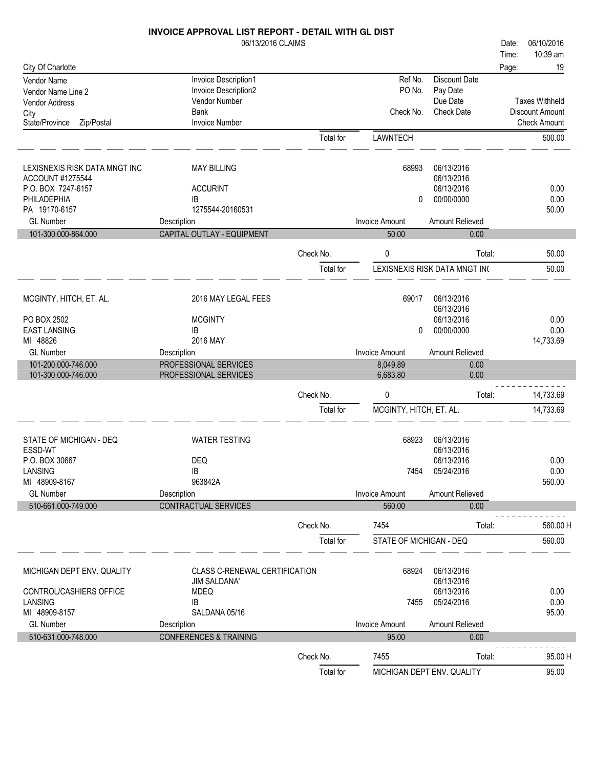|                               | 06/13/2016 CLAIMS                 |           |                         |                               | 06/10/2016<br>Date:   |
|-------------------------------|-----------------------------------|-----------|-------------------------|-------------------------------|-----------------------|
|                               |                                   |           |                         |                               | 10:39 am<br>Time:     |
| City Of Charlotte             |                                   |           |                         |                               | 19<br>Page:           |
| Vendor Name                   | Invoice Description1              |           | Ref No.                 | <b>Discount Date</b>          |                       |
| Vendor Name Line 2            | Invoice Description2              |           | PO No.                  | Pay Date                      |                       |
| Vendor Address                | Vendor Number                     |           |                         | Due Date                      | <b>Taxes Withheld</b> |
| City                          | <b>Bank</b>                       |           | Check No.               | <b>Check Date</b>             | Discount Amount       |
| Zip/Postal<br>State/Province  | <b>Invoice Number</b>             |           |                         |                               | <b>Check Amount</b>   |
|                               |                                   | Total for | LAWNTECH                |                               | 500.00                |
|                               |                                   |           |                         |                               |                       |
|                               |                                   |           |                         |                               |                       |
| LEXISNEXIS RISK DATA MNGT INC | <b>MAY BILLING</b>                |           | 68993                   | 06/13/2016                    |                       |
| ACCOUNT #1275544              |                                   |           |                         | 06/13/2016                    |                       |
| P.O. BOX 7247-6157            | <b>ACCURINT</b>                   |           |                         | 06/13/2016                    | 0.00                  |
| PHILADEPHIA                   | IB                                |           | 0                       | 00/00/0000                    | 0.00                  |
| PA 19170-6157                 | 1275544-20160531                  |           |                         |                               | 50.00                 |
| <b>GL Number</b>              | Description                       |           | <b>Invoice Amount</b>   | Amount Relieved               |                       |
| 101-300.000-864.000           | CAPITAL OUTLAY - EQUIPMENT        |           | 50.00                   | 0.00                          |                       |
|                               |                                   | Check No. | 0                       | Total:                        | 50.00                 |
|                               |                                   |           |                         |                               |                       |
|                               |                                   | Total for |                         | LEXISNEXIS RISK DATA MNGT IN( | 50.00                 |
|                               |                                   |           |                         |                               |                       |
| MCGINTY, HITCH, ET. AL.       | 2016 MAY LEGAL FEES               |           | 69017                   | 06/13/2016                    |                       |
|                               |                                   |           |                         | 06/13/2016                    |                       |
| PO BOX 2502                   | <b>MCGINTY</b>                    |           |                         | 06/13/2016                    | 0.00                  |
| <b>EAST LANSING</b>           | IB                                |           | 0                       | 00/00/0000                    | 0.00                  |
| MI 48826                      | 2016 MAY                          |           |                         |                               | 14,733.69             |
| <b>GL Number</b>              | Description                       |           | <b>Invoice Amount</b>   | Amount Relieved               |                       |
| 101-200.000-746.000           | PROFESSIONAL SERVICES             |           | 8,049.89                | 0.00                          |                       |
|                               |                                   |           |                         |                               |                       |
| 101-300.000-746.000           | PROFESSIONAL SERVICES             |           | 6,683.80                | 0.00                          |                       |
|                               |                                   |           |                         |                               |                       |
|                               |                                   | Check No. | 0                       | Total:                        | 14,733.69             |
|                               |                                   | Total for | MCGINTY, HITCH, ET. AL. |                               | 14,733.69             |
|                               |                                   |           |                         |                               |                       |
| STATE OF MICHIGAN - DEQ       | <b>WATER TESTING</b>              |           | 68923                   | 06/13/2016                    |                       |
| ESSD-WT                       |                                   |           |                         | 06/13/2016                    |                       |
| P.O. BOX 30667                | DEQ                               |           |                         | 06/13/2016                    | 0.00                  |
| LANSING                       | IB                                |           | 7454                    | 05/24/2016                    | 0.00                  |
| MI 48909-8167                 | 963842A                           |           |                         |                               | 560.00                |
| <b>GL Number</b>              | Description                       |           | <b>Invoice Amount</b>   | Amount Relieved               |                       |
| 510-661.000-749.000           | <b>CONTRACTUAL SERVICES</b>       |           | 560.00                  | 0.00                          |                       |
|                               |                                   | Check No. | 7454                    | Total:                        | 560.00 H              |
|                               |                                   |           |                         |                               |                       |
|                               |                                   | Total for | STATE OF MICHIGAN - DEQ |                               | 560.00                |
|                               |                                   |           |                         |                               |                       |
| MICHIGAN DEPT ENV. QUALITY    | CLASS C-RENEWAL CERTIFICATION     |           | 68924                   | 06/13/2016                    |                       |
|                               | <b>JIM SALDANA'</b>               |           |                         | 06/13/2016                    |                       |
| CONTROL/CASHIERS OFFICE       | <b>MDEQ</b>                       |           |                         | 06/13/2016                    | 0.00                  |
| LANSING                       | IB                                |           | 7455                    | 05/24/2016                    | 0.00                  |
| MI 48909-8157                 | SALDANA 05/16                     |           |                         |                               | 95.00                 |
| <b>GL Number</b>              | Description                       |           | <b>Invoice Amount</b>   | Amount Relieved               |                       |
| 510-631.000-748.000           | <b>CONFERENCES &amp; TRAINING</b> |           | 95.00                   | 0.00                          |                       |
|                               |                                   | Check No. | 7455                    | Total:                        | 95.00 H               |

 $\sim$ 

 $\sim$ 

 $\overline{a}$   $\overline{a}$ 

a la

 $\sim$ 

a la

 $\overline{\phantom{a}}$ 

 $\sim$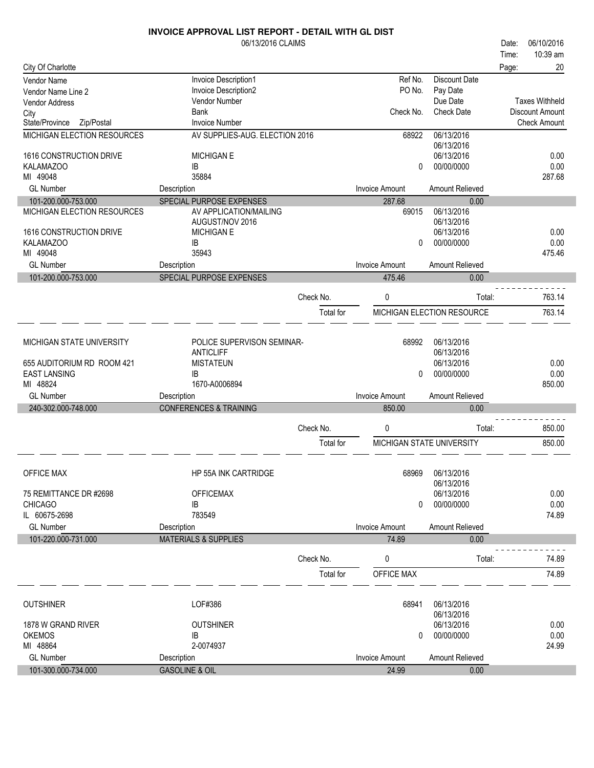|                              | <b>INVOICE APPROVAL LIST REPORT - DETAIL WITH GL DIST</b> |           |                       |                            |       |                        |
|------------------------------|-----------------------------------------------------------|-----------|-----------------------|----------------------------|-------|------------------------|
|                              | 06/13/2016 CLAIMS                                         |           |                       |                            | Date: | 06/10/2016             |
|                              |                                                           |           |                       |                            | Time: | 10:39 am               |
| City Of Charlotte            |                                                           |           |                       |                            | Page: | 20                     |
| Vendor Name                  | Invoice Description1                                      |           | Ref No.               | <b>Discount Date</b>       |       |                        |
| Vendor Name Line 2           | Invoice Description2                                      |           | PO No.                | Pay Date                   |       |                        |
| Vendor Address               | Vendor Number                                             |           |                       | Due Date                   |       | <b>Taxes Withheld</b>  |
| City                         | <b>Bank</b>                                               |           | Check No.             | <b>Check Date</b>          |       | <b>Discount Amount</b> |
| State/Province<br>Zip/Postal | <b>Invoice Number</b>                                     |           |                       |                            |       | <b>Check Amount</b>    |
| MICHIGAN ELECTION RESOURCES  | AV SUPPLIES-AUG. ELECTION 2016                            |           | 68922                 | 06/13/2016                 |       |                        |
|                              |                                                           |           |                       | 06/13/2016                 |       |                        |
| 1616 CONSTRUCTION DRIVE      | <b>MICHIGAN E</b>                                         |           |                       | 06/13/2016                 |       | 0.00                   |
| <b>KALAMAZOO</b>             | IB                                                        |           | 0                     | 00/00/0000                 |       | 0.00                   |
| MI 49048                     | 35884                                                     |           |                       |                            |       | 287.68                 |
| <b>GL Number</b>             | Description                                               |           | <b>Invoice Amount</b> | Amount Relieved            |       |                        |
| 101-200.000-753.000          | SPECIAL PURPOSE EXPENSES                                  |           | 287.68                | 0.00                       |       |                        |
| MICHIGAN ELECTION RESOURCES  | AV APPLICATION/MAILING                                    |           | 69015                 | 06/13/2016                 |       |                        |
|                              | AUGUST/NOV 2016                                           |           |                       | 06/13/2016                 |       |                        |
| 1616 CONSTRUCTION DRIVE      | <b>MICHIGAN E</b>                                         |           |                       | 06/13/2016                 |       | 0.00                   |
| <b>KALAMAZOO</b>             | ΙB                                                        |           | $\Omega$              | 00/00/0000                 |       | 0.00                   |
| MI 49048                     | 35943                                                     |           |                       |                            |       | 475.46                 |
| <b>GL Number</b>             | Description                                               |           | <b>Invoice Amount</b> | <b>Amount Relieved</b>     |       |                        |
| 101-200.000-753.000          | SPECIAL PURPOSE EXPENSES                                  |           | 475.46                | 0.00                       |       |                        |
|                              |                                                           |           |                       |                            |       |                        |
|                              |                                                           | Check No. | 0                     | Total:                     |       | 763.14                 |
|                              |                                                           | Total for |                       | MICHIGAN ELECTION RESOURCE |       | 763.14                 |
|                              |                                                           |           |                       |                            |       |                        |
|                              |                                                           |           |                       |                            |       |                        |
| MICHIGAN STATE UNIVERSITY    | POLICE SUPERVISON SEMINAR-                                |           | 68992                 | 06/13/2016                 |       |                        |
|                              | <b>ANTICLIFF</b>                                          |           |                       | 06/13/2016                 |       |                        |
| 655 AUDITORIUM RD ROOM 421   | <b>MISTATEUN</b>                                          |           |                       | 06/13/2016                 |       | 0.00                   |
| <b>EAST LANSING</b>          | IB                                                        |           | 0                     | 00/00/0000                 |       | 0.00                   |
| MI 48824                     | 1670-A0006894                                             |           |                       |                            |       | 850.00                 |
| <b>GL Number</b>             | Description                                               |           | <b>Invoice Amount</b> | Amount Relieved            |       |                        |
| 240-302.000-748.000          | <b>CONFERENCES &amp; TRAINING</b>                         |           | 850.00                | 0.00                       |       |                        |
|                              |                                                           |           |                       |                            |       |                        |
|                              |                                                           | Check No. | 0                     | Total:                     |       | 850.00                 |
|                              |                                                           | Total for |                       | MICHIGAN STATE UNIVERSITY  |       | 850.00                 |
|                              |                                                           |           |                       |                            |       |                        |
|                              |                                                           |           |                       |                            |       |                        |
| OFFICE MAX                   | <b>HP 55A INK CARTRIDGE</b>                               |           | 68969                 | 06/13/2016                 |       |                        |
|                              |                                                           |           |                       | 06/13/2016                 |       |                        |
| 75 REMITTANCE DR #2698       | <b>OFFICEMAX</b>                                          |           |                       | 06/13/2016                 |       | 0.00                   |
| <b>CHICAGO</b>               | IB                                                        |           | $\Omega$              | 00/00/0000                 |       | 0.00                   |
| IL 60675-2698                | 783549                                                    |           |                       |                            |       | 74.89                  |
| <b>GL Number</b>             | Description                                               |           | <b>Invoice Amount</b> | Amount Relieved            |       |                        |
| 101-220.000-731.000          | <b>MATERIALS &amp; SUPPLIES</b>                           |           | 74.89                 | 0.00                       |       |                        |
|                              |                                                           |           |                       |                            |       |                        |
|                              |                                                           | Check No. | 0                     | Total:                     |       | 74.89                  |
|                              |                                                           | Total for | OFFICE MAX            |                            |       | 74.89                  |
|                              |                                                           |           |                       |                            |       |                        |
|                              |                                                           |           |                       |                            |       |                        |
| <b>OUTSHINER</b>             | LOF#386                                                   |           | 68941                 | 06/13/2016                 |       |                        |
|                              |                                                           |           |                       | 06/13/2016                 |       |                        |
| 1878 W GRAND RIVER           | <b>OUTSHINER</b>                                          |           |                       | 06/13/2016                 |       | 0.00                   |
| <b>OKEMOS</b>                | IB                                                        |           | 0                     | 00/00/0000                 |       | 0.00                   |
| MI 48864                     | 2-0074937                                                 |           |                       |                            |       | 24.99                  |
| <b>GL Number</b>             | Description                                               |           | <b>Invoice Amount</b> | Amount Relieved            |       |                        |
| 101-300.000-734.000          | <b>GASOLINE &amp; OIL</b>                                 |           | 24.99                 | 0.00                       |       |                        |
|                              |                                                           |           |                       |                            |       |                        |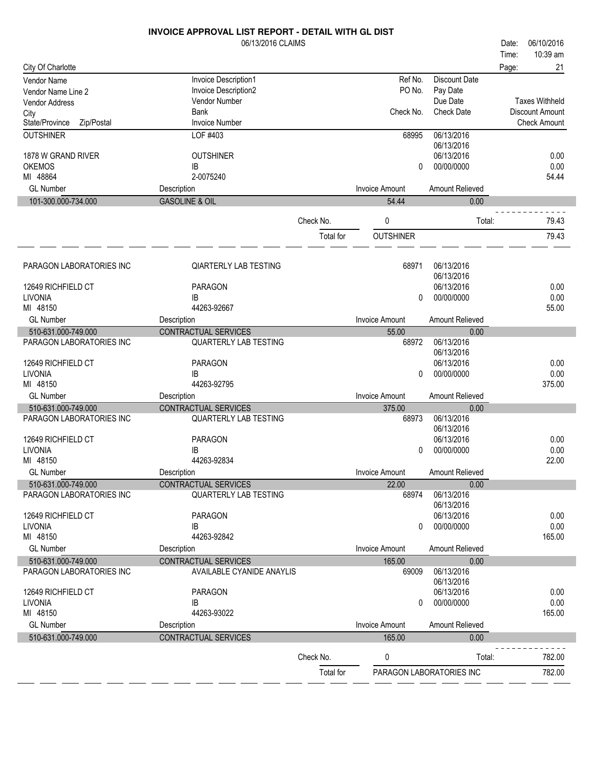|                                                 | 06/13/2016 CLAIMS                                        |           |                       |                          | 06/10/2016<br>Date:   |
|-------------------------------------------------|----------------------------------------------------------|-----------|-----------------------|--------------------------|-----------------------|
|                                                 |                                                          |           |                       |                          | 10:39 am<br>Time:     |
| City Of Charlotte                               |                                                          |           |                       |                          | 21<br>Page:           |
| Vendor Name                                     | Invoice Description1                                     |           | Ref No.               | <b>Discount Date</b>     |                       |
| Vendor Name Line 2                              | Invoice Description2                                     |           | PO No.                | Pay Date<br>Due Date     | <b>Taxes Withheld</b> |
| <b>Vendor Address</b>                           | Vendor Number<br>Bank                                    |           | Check No.             | <b>Check Date</b>        | Discount Amount       |
| City<br>State/Province<br>Zip/Postal            | <b>Invoice Number</b>                                    |           |                       |                          | <b>Check Amount</b>   |
| <b>OUTSHINER</b>                                | LOF #403                                                 |           | 68995                 | 06/13/2016               |                       |
|                                                 |                                                          |           |                       | 06/13/2016               |                       |
| 1878 W GRAND RIVER                              | <b>OUTSHINER</b>                                         |           |                       | 06/13/2016               | 0.00                  |
| <b>OKEMOS</b>                                   | IB                                                       |           | 0                     | 00/00/0000               | 0.00                  |
| MI 48864                                        | 2-0075240                                                |           |                       |                          | 54.44                 |
| <b>GL Number</b>                                | Description                                              |           | <b>Invoice Amount</b> | Amount Relieved          |                       |
| 101-300.000-734.000                             | <b>GASOLINE &amp; OIL</b>                                |           | 54.44                 | 0.00                     |                       |
|                                                 |                                                          | Check No. | 0                     | Total:                   | 79.43                 |
|                                                 |                                                          |           |                       |                          |                       |
|                                                 |                                                          | Total for | <b>OUTSHINER</b>      |                          | 79.43                 |
|                                                 |                                                          |           |                       |                          |                       |
| PARAGON LABORATORIES INC                        | <b>QIARTERLY LAB TESTING</b>                             |           | 68971                 | 06/13/2016<br>06/13/2016 |                       |
| 12649 RICHFIELD CT                              | <b>PARAGON</b>                                           |           |                       | 06/13/2016               | 0.00                  |
| <b>LIVONIA</b>                                  | IB                                                       |           | 0                     | 00/00/0000               | 0.00                  |
| MI 48150                                        | 44263-92667                                              |           |                       |                          | 55.00                 |
| <b>GL Number</b>                                | Description                                              |           | <b>Invoice Amount</b> | Amount Relieved          |                       |
| 510-631.000-749.000                             | CONTRACTUAL SERVICES                                     |           | 55.00                 | 0.00                     |                       |
| PARAGON LABORATORIES INC                        | <b>QUARTERLY LAB TESTING</b>                             |           | 68972                 | 06/13/2016               |                       |
|                                                 |                                                          |           |                       | 06/13/2016               |                       |
| 12649 RICHFIELD CT                              | <b>PARAGON</b>                                           |           |                       | 06/13/2016               | 0.00                  |
| <b>LIVONIA</b>                                  | IB                                                       |           | 0                     | 00/00/0000               | 0.00                  |
| MI 48150                                        | 44263-92795                                              |           |                       |                          | 375.00                |
| <b>GL Number</b>                                | Description                                              |           | <b>Invoice Amount</b> | Amount Relieved          |                       |
| 510-631.000-749.000                             | CONTRACTUAL SERVICES                                     |           | 375.00                | 0.00<br>06/13/2016       |                       |
| PARAGON LABORATORIES INC                        | <b>QUARTERLY LAB TESTING</b>                             |           | 68973                 | 06/13/2016               |                       |
| 12649 RICHFIELD CT                              | <b>PARAGON</b>                                           |           |                       | 06/13/2016               | 0.00                  |
| LIVONIA                                         | IB                                                       |           | 0                     | 00/00/0000               | 0.00                  |
| MI 48150                                        | 44263-92834                                              |           |                       |                          | 22.00                 |
| <b>GL Number</b>                                | Description                                              |           | <b>Invoice Amount</b> | Amount Relieved          |                       |
| 510-631.000-749.000                             | CONTRACTUAL SERVICES                                     |           | 22.00                 | 0.00                     |                       |
| PARAGON LABORATORIES INC                        | <b>QUARTERLY LAB TESTING</b>                             |           | 68974                 | 06/13/2016               |                       |
|                                                 |                                                          |           |                       | 06/13/2016               |                       |
| 12649 RICHFIELD CT                              | PARAGON                                                  |           |                       | 06/13/2016               | 0.00                  |
| LIVONIA                                         | IB                                                       |           | 0                     | 00/00/0000               | 0.00                  |
| MI 48150                                        | 44263-92842                                              |           |                       |                          | 165.00                |
| <b>GL Number</b>                                | Description                                              |           | <b>Invoice Amount</b> | Amount Relieved          |                       |
| 510-631.000-749.000<br>PARAGON LABORATORIES INC | <b>CONTRACTUAL SERVICES</b><br>AVAILABLE CYANIDE ANAYLIS |           | 165.00                | 0.00<br>06/13/2016       |                       |
|                                                 |                                                          |           | 69009                 | 06/13/2016               |                       |
| 12649 RICHFIELD CT                              | <b>PARAGON</b>                                           |           |                       | 06/13/2016               | 0.00                  |
| LIVONIA                                         | IB                                                       |           | 0                     | 00/00/0000               | 0.00                  |
| MI 48150                                        | 44263-93022                                              |           |                       |                          | 165.00                |
| <b>GL Number</b>                                | Description                                              |           | <b>Invoice Amount</b> | Amount Relieved          |                       |
| 510-631.000-749.000                             | CONTRACTUAL SERVICES                                     |           | 165.00                | 0.00                     |                       |
|                                                 |                                                          |           |                       |                          |                       |
|                                                 |                                                          | Check No. | 0                     | Total:                   | 782.00                |
|                                                 |                                                          | Total for |                       | PARAGON LABORATORIES INC | 782.00                |

20

 $\sim$ 

a.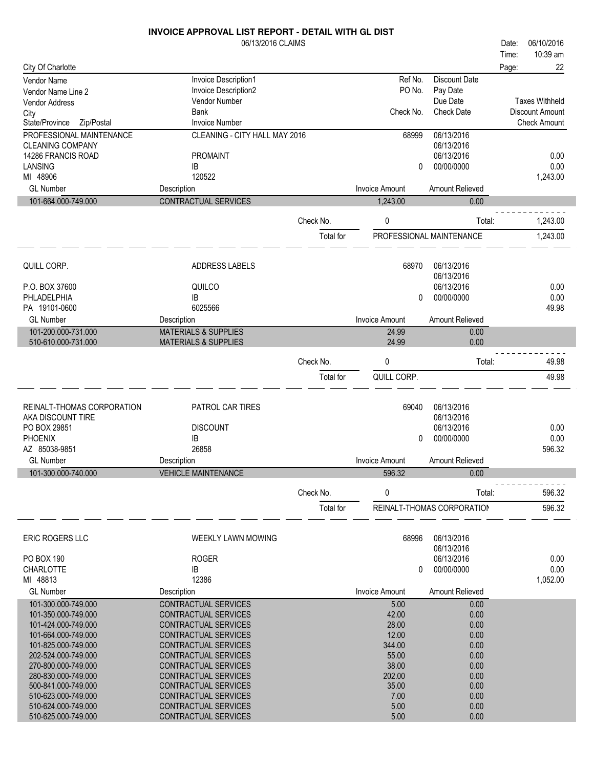|                                                     | 06/13/2016 CLAIMS                            |           |                       |                            | Date: | 06/10/2016             |
|-----------------------------------------------------|----------------------------------------------|-----------|-----------------------|----------------------------|-------|------------------------|
|                                                     |                                              |           |                       |                            | Time: | 10:39 am               |
| City Of Charlotte                                   |                                              |           |                       |                            | Page: | 22                     |
| Vendor Name                                         | Invoice Description1                         |           | Ref No.               | Discount Date              |       |                        |
| Vendor Name Line 2                                  | Invoice Description2                         |           | PO No.                | Pay Date                   |       |                        |
| <b>Vendor Address</b>                               | Vendor Number                                |           |                       | Due Date                   |       | <b>Taxes Withheld</b>  |
| City                                                | Bank                                         |           | Check No.             | <b>Check Date</b>          |       | <b>Discount Amount</b> |
| State/Province<br>Zip/Postal                        | <b>Invoice Number</b>                        |           |                       |                            |       | <b>Check Amount</b>    |
| PROFESSIONAL MAINTENANCE<br><b>CLEANING COMPANY</b> | CLEANING - CITY HALL MAY 2016                |           | 68999                 | 06/13/2016<br>06/13/2016   |       |                        |
| 14286 FRANCIS ROAD                                  | <b>PROMAINT</b>                              |           |                       | 06/13/2016                 |       | 0.00                   |
| LANSING                                             | IB                                           |           | 0                     | 00/00/0000                 |       | 0.00                   |
| MI 48906                                            | 120522                                       |           |                       |                            |       | 1,243.00               |
| <b>GL Number</b>                                    | Description                                  |           | <b>Invoice Amount</b> | Amount Relieved            |       |                        |
| 101-664.000-749.000                                 | CONTRACTUAL SERVICES                         |           | 1,243.00              | 0.00                       |       |                        |
|                                                     |                                              |           |                       |                            |       |                        |
|                                                     |                                              | Check No. | 0                     | Total:                     |       | 1,243.00               |
|                                                     |                                              | Total for |                       | PROFESSIONAL MAINTENANCE   |       | 1,243.00               |
|                                                     |                                              |           |                       |                            |       |                        |
|                                                     |                                              |           |                       |                            |       |                        |
| QUILL CORP.                                         | <b>ADDRESS LABELS</b>                        |           | 68970                 | 06/13/2016                 |       |                        |
| P.O. BOX 37600                                      | QUILCO                                       |           |                       | 06/13/2016<br>06/13/2016   |       | 0.00                   |
| PHLADELPHIA                                         | ΙB                                           |           | 0                     | 00/00/0000                 |       | 0.00                   |
| PA 19101-0600                                       | 6025566                                      |           |                       |                            |       | 49.98                  |
| <b>GL Number</b>                                    | Description                                  |           | <b>Invoice Amount</b> | Amount Relieved            |       |                        |
| 101-200.000-731.000                                 | <b>MATERIALS &amp; SUPPLIES</b>              |           | 24.99                 | 0.00                       |       |                        |
| 510-610.000-731.000                                 | <b>MATERIALS &amp; SUPPLIES</b>              |           | 24.99                 | 0.00                       |       |                        |
|                                                     |                                              |           |                       |                            |       |                        |
|                                                     |                                              | Check No. | 0                     | Total:                     |       | 49.98                  |
|                                                     |                                              | Total for | QUILL CORP.           |                            |       | 49.98                  |
|                                                     |                                              |           |                       |                            |       |                        |
| REINALT-THOMAS CORPORATION                          | <b>PATROL CAR TIRES</b>                      |           | 69040                 | 06/13/2016                 |       |                        |
| AKA DISCOUNT TIRE                                   |                                              |           |                       | 06/13/2016                 |       |                        |
| PO BOX 29851                                        | <b>DISCOUNT</b>                              |           |                       | 06/13/2016                 |       | 0.00                   |
| <b>PHOENIX</b>                                      | IB                                           |           | 0                     | 00/00/0000                 |       | 0.00                   |
| AZ 85038-9851                                       | 26858                                        |           |                       |                            |       | 596.32                 |
| <b>GL Number</b>                                    | Description                                  |           | <b>Invoice Amount</b> | Amount Relieved            |       |                        |
| 101-300.000-740.000                                 | <b>VEHICLE MAINTENANCE</b>                   |           | 596.32                | 0.00                       |       |                        |
|                                                     |                                              |           |                       |                            |       |                        |
|                                                     |                                              | Check No. | 0                     | Total:                     |       | 596.32                 |
|                                                     |                                              | Total for |                       | REINALT-THOMAS CORPORATION |       | 596.32                 |
|                                                     |                                              |           |                       |                            |       |                        |
| ERIC ROGERS LLC                                     | <b>WEEKLY LAWN MOWING</b>                    |           | 68996                 | 06/13/2016                 |       |                        |
|                                                     |                                              |           |                       | 06/13/2016                 |       |                        |
| PO BOX 190                                          | <b>ROGER</b>                                 |           |                       | 06/13/2016                 |       | 0.00                   |
| <b>CHARLOTTE</b>                                    | IB                                           |           | 0                     | 00/00/0000                 |       | 0.00                   |
| MI 48813                                            | 12386                                        |           |                       |                            |       | 1,052.00               |
| <b>GL Number</b>                                    | Description                                  |           | <b>Invoice Amount</b> | Amount Relieved            |       |                        |
| 101-300.000-749.000                                 | CONTRACTUAL SERVICES                         |           | 5.00                  | 0.00                       |       |                        |
| 101-350.000-749.000                                 | CONTRACTUAL SERVICES                         |           | 42.00                 | 0.00                       |       |                        |
| 101-424.000-749.000                                 | CONTRACTUAL SERVICES                         |           | 28.00                 | 0.00                       |       |                        |
| 101-664.000-749.000                                 | CONTRACTUAL SERVICES                         |           | 12.00                 | 0.00                       |       |                        |
| 101-825.000-749.000                                 | CONTRACTUAL SERVICES                         |           | 344.00                | 0.00                       |       |                        |
| 202-524.000-749.000                                 | CONTRACTUAL SERVICES                         |           | 55.00                 | 0.00                       |       |                        |
| 270-800.000-749.000<br>280-830.000-749.000          | CONTRACTUAL SERVICES<br>CONTRACTUAL SERVICES |           | 38.00<br>202.00       | 0.00<br>0.00               |       |                        |
| 500-841.000-749.000                                 | CONTRACTUAL SERVICES                         |           | 35.00                 | 0.00                       |       |                        |
| 510-623.000-749.000                                 | <b>CONTRACTUAL SERVICES</b>                  |           | 7.00                  | 0.00                       |       |                        |
| 510-624.000-749.000                                 | CONTRACTUAL SERVICES                         |           | 5.00                  | 0.00                       |       |                        |
| 510-625.000-749.000                                 | CONTRACTUAL SERVICES                         |           | 5.00                  | 0.00                       |       |                        |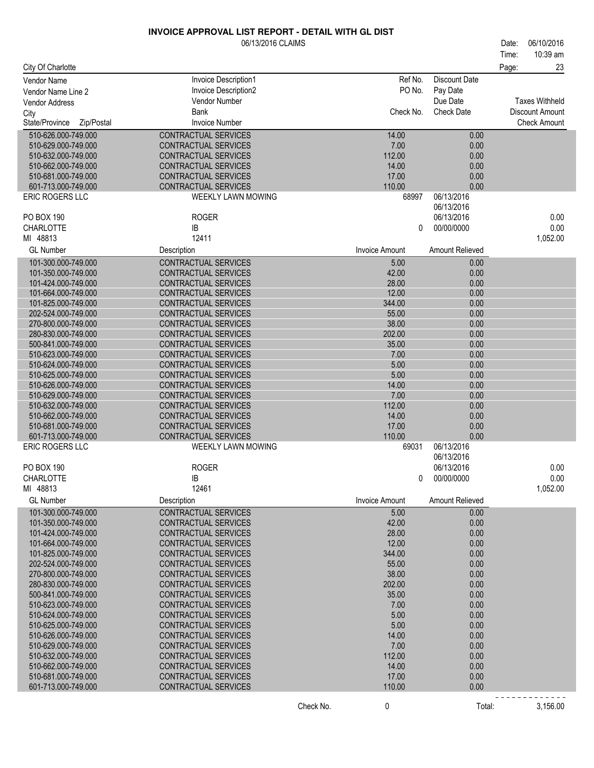|                              | <u> INVOICE APPROVAL LIST REPORT - DETAIL WITH GL DIST</u> |                       |                          |                                  |
|------------------------------|------------------------------------------------------------|-----------------------|--------------------------|----------------------------------|
|                              | 06/13/2016 CLAIMS                                          |                       |                          | 06/10/2016<br>Date:              |
| City Of Charlotte            |                                                            |                       |                          | 10:39 am<br>Time:<br>23<br>Page: |
| Vendor Name                  | Invoice Description1                                       | Ref No.               | Discount Date            |                                  |
| Vendor Name Line 2           | Invoice Description2                                       | PO No.                | Pay Date                 |                                  |
|                              | Vendor Number                                              |                       | Due Date                 | <b>Taxes Withheld</b>            |
| Vendor Address               | <b>Bank</b>                                                | Check No.             | <b>Check Date</b>        |                                  |
| City                         |                                                            |                       |                          | Discount Amount                  |
| State/Province<br>Zip/Postal | <b>Invoice Number</b>                                      |                       |                          | <b>Check Amount</b>              |
| 510-626.000-749.000          | CONTRACTUAL SERVICES                                       | 14.00                 | 0.00                     |                                  |
| 510-629.000-749.000          | CONTRACTUAL SERVICES                                       | 7.00                  | 0.00                     |                                  |
| 510-632.000-749.000          | CONTRACTUAL SERVICES                                       | 112.00                | 0.00                     |                                  |
| 510-662.000-749.000          | CONTRACTUAL SERVICES                                       | 14.00                 | 0.00                     |                                  |
| 510-681.000-749.000          | CONTRACTUAL SERVICES                                       | 17.00                 | 0.00                     |                                  |
| 601-713.000-749.000          | CONTRACTUAL SERVICES                                       | 110.00                | 0.00                     |                                  |
| <b>ERIC ROGERS LLC</b>       | WEEKLY LAWN MOWING                                         | 68997                 | 06/13/2016<br>06/13/2016 |                                  |
| PO BOX 190                   | <b>ROGER</b>                                               |                       | 06/13/2016               | 0.00                             |
| CHARLOTTE                    | IB                                                         | $\mathbf{0}$          | 00/00/0000               | 0.00                             |
| MI 48813                     | 12411                                                      |                       |                          | 1,052.00                         |
| <b>GL Number</b>             | Description                                                | <b>Invoice Amount</b> | Amount Relieved          |                                  |
| 101-300.000-749.000          | CONTRACTUAL SERVICES                                       | 5.00                  | 0.00                     |                                  |
| 101-350.000-749.000          | CONTRACTUAL SERVICES                                       | 42.00                 | 0.00                     |                                  |
| 101-424.000-749.000          | CONTRACTUAL SERVICES                                       | 28.00                 | 0.00                     |                                  |
| 101-664.000-749.000          | CONTRACTUAL SERVICES                                       | 12.00                 | 0.00                     |                                  |
| 101-825.000-749.000          | <b>CONTRACTUAL SERVICES</b>                                | 344.00                | 0.00                     |                                  |
| 202-524.000-749.000          | CONTRACTUAL SERVICES                                       | 55.00                 | 0.00                     |                                  |
| 270-800.000-749.000          | CONTRACTUAL SERVICES                                       | 38.00                 | 0.00                     |                                  |
| 280-830.000-749.000          | CONTRACTUAL SERVICES                                       | 202.00                | 0.00                     |                                  |
| 500-841.000-749.000          | CONTRACTUAL SERVICES                                       | 35.00                 | 0.00                     |                                  |
| 510-623.000-749.000          | CONTRACTUAL SERVICES                                       | 7.00                  | 0.00                     |                                  |
| 510-624.000-749.000          | CONTRACTUAL SERVICES                                       | 5.00                  | 0.00                     |                                  |
| 510-625.000-749.000          | CONTRACTUAL SERVICES                                       | 5.00                  | 0.00                     |                                  |
| 510-626.000-749.000          | CONTRACTUAL SERVICES                                       | 14.00                 | 0.00                     |                                  |
| 510-629.000-749.000          | CONTRACTUAL SERVICES                                       | 7.00                  | 0.00                     |                                  |
| 510-632.000-749.000          | CONTRACTUAL SERVICES                                       | 112.00                | 0.00                     |                                  |
| 510-662.000-749.000          | CONTRACTUAL SERVICES                                       | 14.00                 | 0.00                     |                                  |
| 510-681.000-749.000          | CONTRACTUAL SERVICES                                       | 17.00                 | 0.00                     |                                  |
| 601-713.000-749.000          | CONTRACTUAL SERVICES                                       | 110.00                | 0.00                     |                                  |
| <b>ERIC ROGERS LLC</b>       | WEEKLY LAWN MOWING                                         | 69031                 | 06/13/2016               |                                  |
|                              |                                                            |                       | 06/13/2016               |                                  |
| PO BOX 190                   | <b>ROGER</b>                                               |                       | 06/13/2016               | 0.00                             |
| CHARLOTTE                    | IB                                                         | 0                     | 00/00/0000               | 0.00                             |
| MI 48813<br><b>GL Number</b> | 12461<br>Description                                       | <b>Invoice Amount</b> | Amount Relieved          | 1,052.00                         |
| 101-300.000-749.000          | CONTRACTUAL SERVICES                                       | 5.00                  | 0.00                     |                                  |
| 101-350.000-749.000          | CONTRACTUAL SERVICES                                       | 42.00                 | 0.00                     |                                  |
| 101-424.000-749.000          | CONTRACTUAL SERVICES                                       | 28.00                 | 0.00                     |                                  |
| 101-664.000-749.000          | CONTRACTUAL SERVICES                                       | 12.00                 | 0.00                     |                                  |
| 101-825.000-749.000          | <b>CONTRACTUAL SERVICES</b>                                | 344.00                | 0.00                     |                                  |
| 202-524.000-749.000          | <b>CONTRACTUAL SERVICES</b>                                | 55.00                 | 0.00                     |                                  |
| 270-800.000-749.000          | <b>CONTRACTUAL SERVICES</b>                                | 38.00                 | 0.00                     |                                  |
| 280-830.000-749.000          | CONTRACTUAL SERVICES                                       | 202.00                | 0.00                     |                                  |
| 500-841.000-749.000          | CONTRACTUAL SERVICES                                       | 35.00                 | 0.00                     |                                  |
| 510-623.000-749.000          | CONTRACTUAL SERVICES                                       | 7.00                  | 0.00                     |                                  |
| 510-624.000-749.000          | CONTRACTUAL SERVICES                                       | 5.00                  | 0.00                     |                                  |
| 510-625.000-749.000          | CONTRACTUAL SERVICES                                       | 5.00                  | 0.00                     |                                  |
| 510-626.000-749.000          | CONTRACTUAL SERVICES                                       | 14.00                 | 0.00                     |                                  |
| 510-629.000-749.000          | CONTRACTUAL SERVICES                                       | 7.00                  | 0.00                     |                                  |
| 510-632.000-749.000          | <b>CONTRACTUAL SERVICES</b>                                | 112.00                | 0.00                     |                                  |
| 510-662.000-749.000          | CONTRACTUAL SERVICES                                       | 14.00                 | 0.00                     |                                  |
| 510-681.000-749.000          | CONTRACTUAL SERVICES                                       | 17.00                 | 0.00                     |                                  |
| 601-713.000-749.000          | CONTRACTUAL SERVICES                                       | 110.00                | 0.00                     |                                  |

Check No. 0 0 Total: 3,156.00

-------------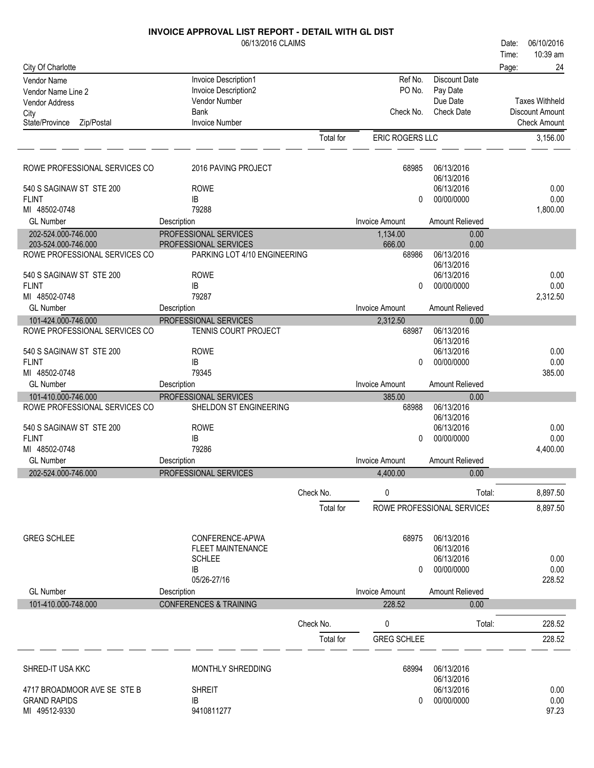|                                                      | 06/13/2016 CLAIMS                                     |           |                       |                               | Date: | 06/10/2016            |
|------------------------------------------------------|-------------------------------------------------------|-----------|-----------------------|-------------------------------|-------|-----------------------|
|                                                      |                                                       |           |                       |                               | Time: | 10:39 am              |
| City Of Charlotte                                    |                                                       |           |                       |                               | Page: | 24                    |
| Vendor Name                                          | Invoice Description1                                  |           | Ref No.               | <b>Discount Date</b>          |       |                       |
| Vendor Name Line 2                                   | Invoice Description2                                  |           | PO No.                | Pay Date                      |       | <b>Taxes Withheld</b> |
| <b>Vendor Address</b>                                | Vendor Number<br>Bank                                 |           | Check No.             | Due Date<br><b>Check Date</b> |       | Discount Amount       |
| City<br>Zip/Postal<br>State/Province                 | <b>Invoice Number</b>                                 |           |                       |                               |       | <b>Check Amount</b>   |
|                                                      |                                                       | Total for | ERIC ROGERS LLC       |                               |       | 3,156.00              |
|                                                      |                                                       |           |                       |                               |       |                       |
| ROWE PROFESSIONAL SERVICES CO                        | 2016 PAVING PROJECT                                   |           | 68985                 | 06/13/2016                    |       |                       |
|                                                      |                                                       |           |                       | 06/13/2016                    |       |                       |
| 540 S SAGINAW ST STE 200                             | <b>ROWE</b>                                           |           |                       | 06/13/2016                    |       | 0.00                  |
| <b>FLINT</b>                                         | IB                                                    |           | $\Omega$              | 00/00/0000                    |       | 0.00                  |
| MI 48502-0748                                        | 79288                                                 |           |                       |                               |       | 1,800.00              |
| <b>GL Number</b>                                     | Description                                           |           | <b>Invoice Amount</b> | Amount Relieved               |       |                       |
| 202-524.000-746.000                                  | PROFESSIONAL SERVICES                                 |           | 1,134.00              | 0.00                          |       |                       |
| 203-524.000-746.000<br>ROWE PROFESSIONAL SERVICES CO | PROFESSIONAL SERVICES<br>PARKING LOT 4/10 ENGINEERING |           | 666.00<br>68986       | 0.00<br>06/13/2016            |       |                       |
|                                                      |                                                       |           |                       | 06/13/2016                    |       |                       |
| 540 S SAGINAW ST STE 200                             | <b>ROWE</b>                                           |           |                       | 06/13/2016                    |       | 0.00                  |
| <b>FLINT</b>                                         | IB                                                    |           | 0                     | 00/00/0000                    |       | 0.00                  |
| MI 48502-0748                                        | 79287                                                 |           |                       |                               |       | 2,312.50              |
| <b>GL Number</b>                                     | Description                                           |           | <b>Invoice Amount</b> | Amount Relieved               |       |                       |
| 101-424.000-746.000                                  | PROFESSIONAL SERVICES                                 |           | 2,312.50              | 0.00                          |       |                       |
| ROWE PROFESSIONAL SERVICES CO                        | TENNIS COURT PROJECT                                  |           | 68987                 | 06/13/2016                    |       |                       |
| 540 S SAGINAW ST STE 200                             | <b>ROWE</b>                                           |           |                       | 06/13/2016<br>06/13/2016      |       | 0.00                  |
| <b>FLINT</b>                                         | IB                                                    |           | $\Omega$              | 00/00/0000                    |       | 0.00                  |
| MI 48502-0748                                        | 79345                                                 |           |                       |                               |       | 385.00                |
| <b>GL Number</b>                                     | Description                                           |           | <b>Invoice Amount</b> | Amount Relieved               |       |                       |
| 101-410.000-746.000                                  | PROFESSIONAL SERVICES                                 |           | 385.00                | 0.00                          |       |                       |
| ROWE PROFESSIONAL SERVICES CO                        | SHELDON ST ENGINEERING                                |           | 68988                 | 06/13/2016                    |       |                       |
|                                                      |                                                       |           |                       | 06/13/2016                    |       |                       |
| 540 S SAGINAW ST STE 200                             | <b>ROWE</b>                                           |           |                       | 06/13/2016                    |       | 0.00                  |
| <b>FLINT</b><br>MI 48502-0748                        | IB<br>79286                                           |           | $\Omega$              | 00/00/0000                    |       | 0.00<br>4,400.00      |
| <b>GL Number</b>                                     | Description                                           |           | <b>Invoice Amount</b> | Amount Relieved               |       |                       |
| 202-524.000-746.000                                  | PROFESSIONAL SERVICES                                 |           | 4,400.00              | 0.00                          |       |                       |
|                                                      |                                                       |           |                       |                               |       |                       |
|                                                      |                                                       | Check No. | 0                     | Total:                        |       | 8,897.50              |
|                                                      |                                                       | Total for |                       | ROWE PROFESSIONAL SERVICES    |       | 8,897.50              |
|                                                      |                                                       |           |                       |                               |       |                       |
| <b>GREG SCHLEE</b>                                   | CONFERENCE-APWA                                       |           | 68975                 | 06/13/2016                    |       |                       |
|                                                      | <b>FLEET MAINTENANCE</b><br><b>SCHLEE</b>             |           |                       | 06/13/2016<br>06/13/2016      |       | 0.00                  |
|                                                      | IB                                                    |           | 0                     | 00/00/0000                    |       | 0.00                  |
|                                                      | 05/26-27/16                                           |           |                       |                               |       | 228.52                |
| <b>GL Number</b>                                     | Description                                           |           | <b>Invoice Amount</b> | Amount Relieved               |       |                       |
| 101-410.000-748.000                                  | <b>CONFERENCES &amp; TRAINING</b>                     |           | 228.52                | 0.00                          |       |                       |
|                                                      |                                                       | Check No. | 0                     | Total:                        |       | 228.52                |
|                                                      |                                                       |           |                       |                               |       |                       |
|                                                      |                                                       | Total for | <b>GREG SCHLEE</b>    |                               |       | 228.52                |
|                                                      |                                                       |           |                       | 06/13/2016                    |       |                       |
| SHRED-IT USA KKC                                     | MONTHLY SHREDDING                                     |           | 68994                 | 06/13/2016                    |       |                       |
| 4717 BROADMOOR AVE SE STE B                          | <b>SHREIT</b>                                         |           |                       | 06/13/2016                    |       | 0.00                  |
| <b>GRAND RAPIDS</b>                                  | IB                                                    |           | $\Omega$              | 00/00/0000                    |       | 0.00                  |
| MI 49512-9330                                        | 9410811277                                            |           |                       |                               |       | 97.23                 |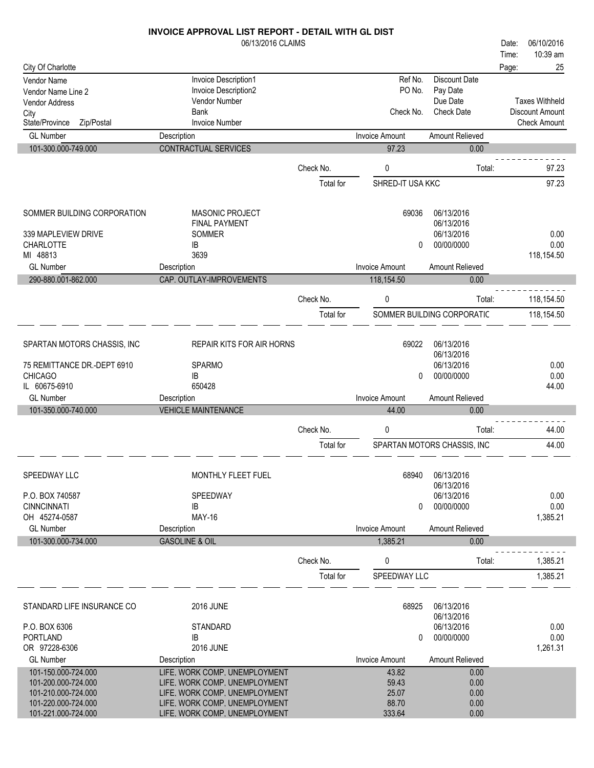|                                             | 06/13/2016 CLAIMS                                              |           |                       |                             | 06/10/2016<br>Date:   |
|---------------------------------------------|----------------------------------------------------------------|-----------|-----------------------|-----------------------------|-----------------------|
|                                             |                                                                |           |                       |                             | 10:39 am<br>Time:     |
| City Of Charlotte                           |                                                                |           |                       |                             | 25<br>Page:           |
| <b>Vendor Name</b>                          | Invoice Description1                                           |           | Ref No.               | <b>Discount Date</b>        |                       |
| Vendor Name Line 2<br><b>Vendor Address</b> | Invoice Description2<br>Vendor Number                          |           | PO No.                | Pay Date<br>Due Date        | <b>Taxes Withheld</b> |
| City                                        | Bank                                                           |           | Check No.             | <b>Check Date</b>           | Discount Amount       |
| State/Province<br>Zip/Postal                | <b>Invoice Number</b>                                          |           |                       |                             | <b>Check Amount</b>   |
| <b>GL Number</b>                            | Description                                                    |           | <b>Invoice Amount</b> | Amount Relieved             |                       |
| 101-300.000-749.000                         | CONTRACTUAL SERVICES                                           |           | 97.23                 | 0.00                        |                       |
|                                             |                                                                | Check No. | 0                     | Total:                      | 97.23                 |
|                                             |                                                                |           |                       |                             |                       |
|                                             |                                                                | Total for | SHRED-IT USA KKC      |                             | 97.23                 |
| SOMMER BUILDING CORPORATION                 | <b>MASONIC PROJECT</b>                                         |           | 69036                 | 06/13/2016                  |                       |
|                                             | <b>FINAL PAYMENT</b>                                           |           |                       | 06/13/2016                  |                       |
| 339 MAPLEVIEW DRIVE                         | SOMMER                                                         |           |                       | 06/13/2016                  | 0.00                  |
| <b>CHARLOTTE</b>                            | IB                                                             |           | 0                     | 00/00/0000                  | 0.00                  |
| MI 48813<br><b>GL Number</b>                | 3639<br>Description                                            |           | <b>Invoice Amount</b> | Amount Relieved             | 118,154.50            |
| 290-880.001-862.000                         | CAP. OUTLAY-IMPROVEMENTS                                       |           | 118,154.50            | 0.00                        |                       |
|                                             |                                                                |           |                       |                             |                       |
|                                             |                                                                | Check No. | $\pmb{0}$             | Total:                      | 118,154.50            |
|                                             |                                                                | Total for |                       | SOMMER BUILDING CORPORATIC  | 118,154.50            |
| SPARTAN MOTORS CHASSIS, INC                 | REPAIR KITS FOR AIR HORNS                                      |           | 69022                 | 06/13/2016                  |                       |
| 75 REMITTANCE DR.-DEPT 6910                 | <b>SPARMO</b>                                                  |           |                       | 06/13/2016<br>06/13/2016    | 0.00                  |
| <b>CHICAGO</b>                              | IB                                                             |           | 0                     | 00/00/0000                  | 0.00                  |
| IL 60675-6910                               | 650428                                                         |           |                       |                             | 44.00                 |
| <b>GL Number</b>                            | Description                                                    |           | <b>Invoice Amount</b> | Amount Relieved             |                       |
| 101-350.000-740.000                         | <b>VEHICLE MAINTENANCE</b>                                     |           | 44.00                 | 0.00                        |                       |
|                                             |                                                                | Check No. | 0                     | Total:                      | 44.00                 |
|                                             |                                                                | Total for |                       | SPARTAN MOTORS CHASSIS, INC | 44.00                 |
|                                             |                                                                |           |                       |                             |                       |
| SPEEDWAY LLC                                | MONTHLY FLEET FUEL                                             |           | 68940                 | 06/13/2016                  |                       |
| P.O. BOX 740587                             | SPEEDWAY                                                       |           |                       | 06/13/2016<br>06/13/2016    | 0.00                  |
| <b>CINNCINNATI</b>                          | IB                                                             |           | 0                     | 00/00/0000                  | 0.00                  |
| OH 45274-0587                               | <b>MAY-16</b>                                                  |           |                       |                             | 1,385.21              |
| <b>GL Number</b>                            | Description                                                    |           | <b>Invoice Amount</b> | Amount Relieved             |                       |
| 101-300.000-734.000                         | <b>GASOLINE &amp; OIL</b>                                      |           | 1,385.21              | 0.00                        |                       |
|                                             |                                                                | Check No. | 0                     | Total:                      | 1,385.21              |
|                                             |                                                                | Total for | SPEEDWAY LLC          |                             | 1,385.21              |
| STANDARD LIFE INSURANCE CO                  | <b>2016 JUNE</b>                                               |           | 68925                 | 06/13/2016                  |                       |
|                                             |                                                                |           |                       | 06/13/2016                  |                       |
| P.O. BOX 6306                               | STANDARD                                                       |           |                       | 06/13/2016                  | 0.00                  |
| PORTLAND                                    | IB                                                             |           | 0                     | 00/00/0000                  | 0.00                  |
| OR 97228-6306                               | <b>2016 JUNE</b>                                               |           |                       |                             | 1,261.31              |
| <b>GL Number</b>                            | Description                                                    |           | <b>Invoice Amount</b> | Amount Relieved             |                       |
| 101-150.000-724.000<br>101-200.000-724.000  | LIFE, WORK COMP, UNEMPLOYMENT<br>LIFE, WORK COMP, UNEMPLOYMENT |           | 43.82<br>59.43        | 0.00<br>0.00                |                       |
| 101-210.000-724.000                         | LIFE, WORK COMP, UNEMPLOYMENT                                  |           | 25.07                 | 0.00                        |                       |
| 101-220.000-724.000                         | LIFE, WORK COMP, UNEMPLOYMENT                                  |           | 88.70                 | 0.00                        |                       |
| 101-221.000-724.000                         | LIFE, WORK COMP, UNEMPLOYMENT                                  |           | 333.64                | 0.00                        |                       |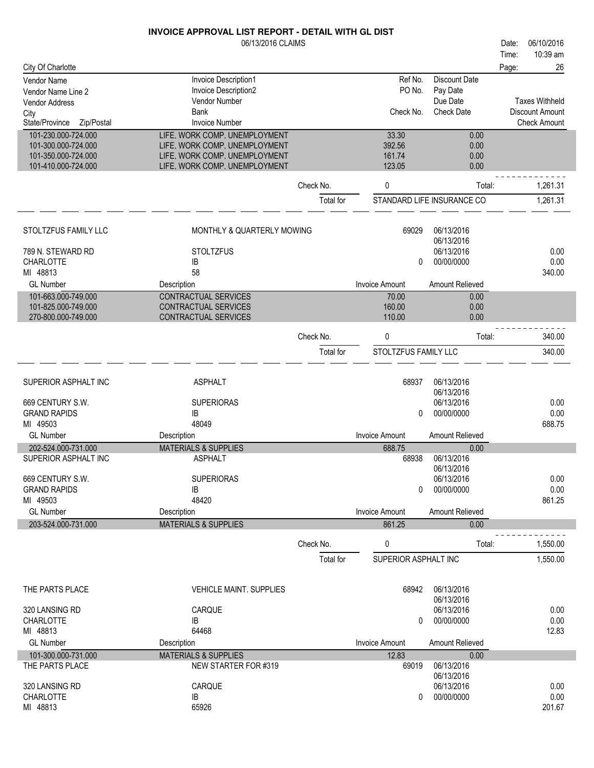|                              | 06/13/2016 CLAIMS               |           |                       |                            | Date: | 06/10/2016             |
|------------------------------|---------------------------------|-----------|-----------------------|----------------------------|-------|------------------------|
|                              |                                 |           |                       |                            | Time: | 10:39 am               |
| City Of Charlotte            |                                 |           |                       |                            | Page: | 26                     |
| Vendor Name                  | Invoice Description1            |           | Ref No.               | <b>Discount Date</b>       |       |                        |
| Vendor Name Line 2           | Invoice Description2            |           | PO No.                | Pay Date                   |       |                        |
| Vendor Address               | Vendor Number                   |           |                       | Due Date                   |       | <b>Taxes Withheld</b>  |
| City                         | Bank                            |           | Check No.             | <b>Check Date</b>          |       | <b>Discount Amount</b> |
| State/Province<br>Zip/Postal | <b>Invoice Number</b>           |           |                       |                            |       | <b>Check Amount</b>    |
| 101-230.000-724.000          | LIFE, WORK COMP, UNEMPLOYMENT   |           | 33.30                 | 0.00                       |       |                        |
| 101-300.000-724.000          | LIFE, WORK COMP, UNEMPLOYMENT   |           | 392.56                | 0.00                       |       |                        |
| 101-350.000-724.000          | LIFE, WORK COMP, UNEMPLOYMENT   |           | 161.74                | 0.00                       |       |                        |
| 101-410.000-724.000          | LIFE, WORK COMP, UNEMPLOYMENT   |           | 123.05                | 0.00                       |       |                        |
|                              |                                 | Check No. | 0                     | Total:                     |       | 1,261.31               |
|                              |                                 |           |                       |                            |       |                        |
|                              |                                 | Total for |                       | STANDARD LIFE INSURANCE CO |       | 1,261.31               |
| STOLTZFUS FAMILY LLC         | MONTHLY & QUARTERLY MOWING      |           | 69029                 | 06/13/2016                 |       |                        |
|                              |                                 |           |                       | 06/13/2016                 |       |                        |
| 789 N. STEWARD RD            | <b>STOLTZFUS</b>                |           |                       | 06/13/2016                 |       | 0.00                   |
| <b>CHARLOTTE</b>             | IB                              |           | 0                     | 00/00/0000                 |       | 0.00                   |
| MI 48813                     | 58                              |           |                       |                            |       | 340.00                 |
| <b>GL Number</b>             | Description                     |           | <b>Invoice Amount</b> | Amount Relieved            |       |                        |
| 101-663.000-749.000          | CONTRACTUAL SERVICES            |           | 70.00                 | 0.00                       |       |                        |
| 101-825.000-749.000          | CONTRACTUAL SERVICES            |           | 160.00                | 0.00                       |       |                        |
| 270-800.000-749.000          | CONTRACTUAL SERVICES            |           | 110.00                | 0.00                       |       |                        |
|                              |                                 | Check No. | 0                     | Total:                     |       | 340.00                 |
|                              |                                 |           |                       |                            |       |                        |
|                              |                                 | Total for | STOLTZFUS FAMILY LLC  |                            |       | 340.00                 |
| SUPERIOR ASPHALT INC         | <b>ASPHALT</b>                  |           | 68937                 | 06/13/2016                 |       |                        |
|                              |                                 |           |                       | 06/13/2016                 |       |                        |
| 669 CENTURY S.W.             | <b>SUPERIORAS</b>               |           |                       | 06/13/2016                 |       | 0.00                   |
| <b>GRAND RAPIDS</b>          | IB                              |           | 0                     | 00/00/0000                 |       | 0.00                   |
| MI 49503                     | 48049                           |           |                       |                            |       | 688.75                 |
| <b>GL Number</b>             | Description                     |           | <b>Invoice Amount</b> | Amount Relieved            |       |                        |
| 202-524.000-731.000          | <b>MATERIALS &amp; SUPPLIES</b> |           | 688.75                | 0.00                       |       |                        |
| SUPERIOR ASPHALT INC         | <b>ASPHALT</b>                  |           | 68938                 | 06/13/2016                 |       |                        |
|                              |                                 |           |                       | 06/13/2016                 |       |                        |
| 669 CENTURY S.W.             | <b>SUPERIORAS</b>               |           |                       | 06/13/2016                 |       | 0.00                   |
| <b>GRAND RAPIDS</b>          | IB                              |           | $\mathbf{0}$          | 00/00/0000                 |       | 0.00                   |
| MI 49503                     | 48420                           |           |                       |                            |       | 861.25                 |
| <b>GL Number</b>             | Description                     |           | <b>Invoice Amount</b> | Amount Relieved            |       |                        |
| 203-524.000-731.000          | <b>MATERIALS &amp; SUPPLIES</b> |           | 861.25                | 0.00                       |       |                        |
|                              |                                 | Check No. | 0                     | Total:                     |       | 1,550.00               |
|                              |                                 | Total for | SUPERIOR ASPHALT INC  |                            |       | 1,550.00               |
|                              |                                 |           |                       |                            |       |                        |
| THE PARTS PLACE              | <b>VEHICLE MAINT. SUPPLIES</b>  |           | 68942                 | 06/13/2016<br>06/13/2016   |       |                        |
| 320 LANSING RD               | CARQUE                          |           |                       | 06/13/2016                 |       | 0.00                   |
| <b>CHARLOTTE</b>             | IB                              |           | 0                     | 00/00/0000                 |       | 0.00                   |
| MI 48813                     | 64468                           |           |                       |                            |       | 12.83                  |
| <b>GL Number</b>             | Description                     |           | <b>Invoice Amount</b> | Amount Relieved            |       |                        |
| 101-300.000-731.000          | <b>MATERIALS &amp; SUPPLIES</b> |           | 12.83                 | 0.00                       |       |                        |
| THE PARTS PLACE              | NEW STARTER FOR #319            |           | 69019                 | 06/13/2016                 |       |                        |
|                              |                                 |           |                       | 06/13/2016                 |       |                        |
| 320 LANSING RD               | CARQUE                          |           |                       | 06/13/2016                 |       | 0.00                   |
| CHARLOTTE                    | IB                              |           | 0                     | 00/00/0000                 |       | 0.00                   |
| MI 48813                     | 65926                           |           |                       |                            |       | 201.67                 |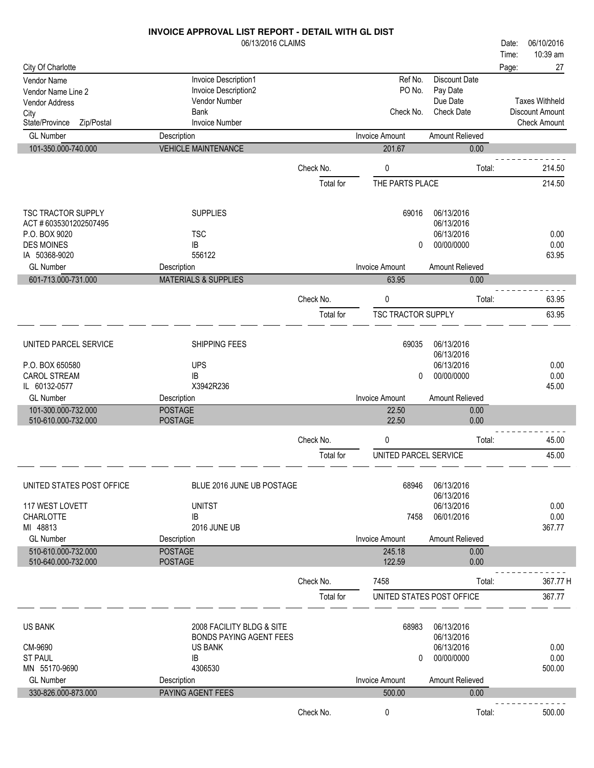|                                                                                                    | INVOICE APPROVAL LIST REPORT - DETAIL WITH GL DIST<br>06/13/2016 CLAIMS                                              |                        |                                     |                                                                         | 06/10/2016<br>Date:                                                    |
|----------------------------------------------------------------------------------------------------|----------------------------------------------------------------------------------------------------------------------|------------------------|-------------------------------------|-------------------------------------------------------------------------|------------------------------------------------------------------------|
| City Of Charlotte                                                                                  |                                                                                                                      |                        |                                     |                                                                         | 10:39 am<br>Time:<br>27<br>Page:                                       |
| Vendor Name<br>Vendor Name Line 2<br>Vendor Address<br>City<br>State/Province<br>Zip/Postal        | Invoice Description1<br>Invoice Description2<br>Vendor Number<br><b>Bank</b><br><b>Invoice Number</b>                |                        | Ref No.<br>PO No.<br>Check No.      | <b>Discount Date</b><br>Pay Date<br>Due Date<br><b>Check Date</b>       | <b>Taxes Withheld</b><br><b>Discount Amount</b><br><b>Check Amount</b> |
| <b>GL Number</b>                                                                                   | Description                                                                                                          |                        | <b>Invoice Amount</b>               | Amount Relieved                                                         |                                                                        |
| 101-350.000-740.000                                                                                | <b>VEHICLE MAINTENANCE</b>                                                                                           |                        | 201.67                              | 0.00                                                                    |                                                                        |
|                                                                                                    |                                                                                                                      | Check No.<br>Total for | 0<br>THE PARTS PLACE                | Total:                                                                  | 214.50<br>214.50                                                       |
| TSC TRACTOR SUPPLY<br>ACT #6035301202507495<br>P.O. BOX 9020<br><b>DES MOINES</b><br>IA 50368-9020 | <b>SUPPLIES</b><br><b>TSC</b><br>IB<br>556122                                                                        |                        | 69016<br>0                          | 06/13/2016<br>06/13/2016<br>06/13/2016<br>00/00/0000                    | 0.00<br>0.00<br>63.95                                                  |
| <b>GL Number</b>                                                                                   | Description                                                                                                          |                        | <b>Invoice Amount</b>               | Amount Relieved                                                         |                                                                        |
| 601-713.000-731.000                                                                                | <b>MATERIALS &amp; SUPPLIES</b>                                                                                      |                        | 63.95                               | 0.00                                                                    |                                                                        |
|                                                                                                    |                                                                                                                      | Check No.<br>Total for | $\pmb{0}$<br>TSC TRACTOR SUPPLY     | Total:                                                                  | 63.95<br>63.95                                                         |
| UNITED PARCEL SERVICE<br>P.O. BOX 650580<br><b>CAROL STREAM</b><br>IL 60132-0577                   | SHIPPING FEES<br><b>UPS</b><br>IB<br>X3942R236                                                                       |                        | 69035<br>0                          | 06/13/2016<br>06/13/2016<br>06/13/2016<br>00/00/0000                    | 0.00<br>0.00<br>45.00                                                  |
| <b>GL Number</b>                                                                                   | Description                                                                                                          |                        | <b>Invoice Amount</b>               | Amount Relieved                                                         |                                                                        |
| 101-300.000-732.000<br>510-610.000-732.000                                                         | <b>POSTAGE</b><br><b>POSTAGE</b>                                                                                     |                        | 22.50<br>22.50                      | 0.00<br>0.00                                                            |                                                                        |
|                                                                                                    |                                                                                                                      | Check No.              | 0                                   | Total:                                                                  | 45.00                                                                  |
|                                                                                                    |                                                                                                                      | Total for              | UNITED PARCEL SERVICE               |                                                                         | 45.00                                                                  |
| UNITED STATES POST OFFICE<br>117 WEST LOVETT<br><b>CHARLOTTE</b>                                   | BLUE 2016 JUNE UB POSTAGE<br><b>UNITST</b><br>IB                                                                     |                        | 68946<br>7458                       | 06/13/2016<br>06/13/2016<br>06/13/2016<br>06/01/2016                    | 0.00<br>0.00                                                           |
| MI 48813<br><b>GL Number</b>                                                                       | <b>2016 JUNE UB</b><br>Description                                                                                   |                        | <b>Invoice Amount</b>               | Amount Relieved                                                         | 367.77                                                                 |
| 510-610.000-732.000<br>510-640.000-732.000                                                         | <b>POSTAGE</b><br><b>POSTAGE</b>                                                                                     |                        | 245.18<br>122.59                    | 0.00<br>0.00                                                            |                                                                        |
|                                                                                                    |                                                                                                                      | Check No.<br>Total for | 7458<br>UNITED STATES POST OFFICE   | Total:                                                                  | 367.77 H<br>367.77                                                     |
| <b>US BANK</b><br>CM-9690<br><b>ST PAUL</b><br>MN 55170-9690<br><b>GL Number</b>                   | 2008 FACILITY BLDG & SITE<br><b>BONDS PAYING AGENT FEES</b><br><b>US BANK</b><br><b>IB</b><br>4306530<br>Description |                        | 68983<br>0<br><b>Invoice Amount</b> | 06/13/2016<br>06/13/2016<br>06/13/2016<br>00/00/0000<br>Amount Relieved | 0.00<br>0.00<br>500.00                                                 |
| 330-826.000-873.000                                                                                | PAYING AGENT FEES                                                                                                    |                        | 500.00                              | 0.00                                                                    |                                                                        |
|                                                                                                    |                                                                                                                      | Check No.              | 0                                   | Total:                                                                  | 500.00                                                                 |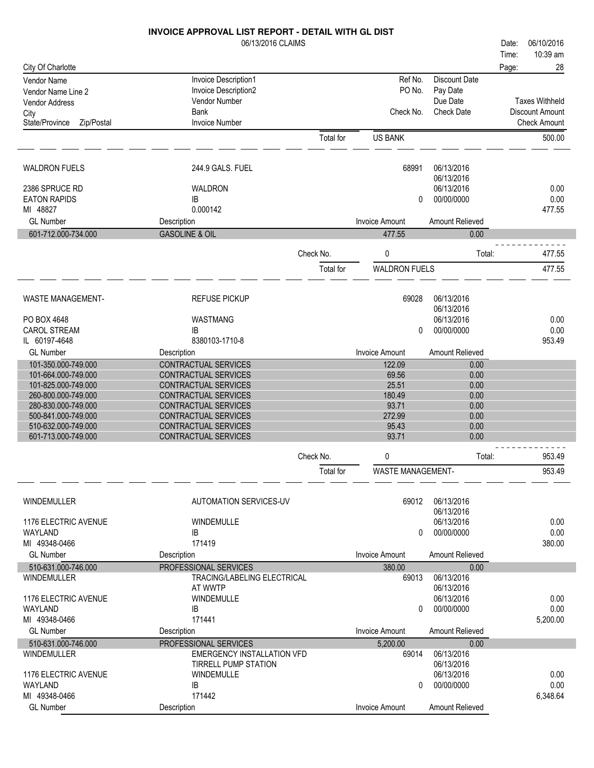|                                            | 06/13/2016 CLAIMS                            |           |                          |                          | Date: | 06/10/2016             |
|--------------------------------------------|----------------------------------------------|-----------|--------------------------|--------------------------|-------|------------------------|
|                                            |                                              |           |                          |                          | Time: | 10:39 am               |
| City Of Charlotte                          |                                              |           |                          |                          | Page: | 28                     |
| Vendor Name                                | Invoice Description1                         |           | Ref No.                  | Discount Date            |       |                        |
| Vendor Name Line 2                         | Invoice Description2                         |           | PO No.                   | Pay Date                 |       |                        |
| Vendor Address                             | Vendor Number                                |           |                          | Due Date                 |       | <b>Taxes Withheld</b>  |
| City                                       | <b>Bank</b>                                  |           | Check No.                | <b>Check Date</b>        |       | <b>Discount Amount</b> |
| State/Province<br>Zip/Postal               | <b>Invoice Number</b>                        |           |                          |                          |       | <b>Check Amount</b>    |
|                                            |                                              | Total for | <b>US BANK</b>           |                          |       | 500.00                 |
| <b>WALDRON FUELS</b>                       | 244.9 GALS, FUEL                             |           | 68991                    | 06/13/2016               |       |                        |
|                                            |                                              |           |                          | 06/13/2016               |       |                        |
| 2386 SPRUCE RD                             | WALDRON                                      |           |                          | 06/13/2016               |       | 0.00                   |
| <b>EATON RAPIDS</b>                        | IB                                           |           | 0                        | 00/00/0000               |       | 0.00                   |
| MI 48827                                   | 0.000142                                     |           |                          |                          |       | 477.55                 |
| <b>GL Number</b>                           | Description                                  |           | <b>Invoice Amount</b>    | Amount Relieved          |       |                        |
| 601-712.000-734.000                        | <b>GASOLINE &amp; OIL</b>                    |           | 477.55                   | 0.00                     |       |                        |
|                                            |                                              | Check No. | 0                        | Total:                   |       | 477.55                 |
|                                            |                                              | Total for | <b>WALDRON FUELS</b>     |                          |       | 477.55                 |
| <b>WASTE MANAGEMENT-</b>                   | <b>REFUSE PICKUP</b>                         |           | 69028                    | 06/13/2016               |       |                        |
|                                            |                                              |           |                          | 06/13/2016               |       |                        |
| PO BOX 4648                                | WASTMANG                                     |           |                          | 06/13/2016               |       | 0.00                   |
| <b>CAROL STREAM</b>                        | IB                                           |           | 0                        | 00/00/0000               |       | 0.00                   |
| IL 60197-4648                              | 8380103-1710-8                               |           |                          |                          |       | 953.49                 |
| <b>GL Number</b>                           | Description                                  |           | <b>Invoice Amount</b>    | Amount Relieved          |       |                        |
| 101-350.000-749.000                        | CONTRACTUAL SERVICES                         |           | 122.09                   | 0.00                     |       |                        |
| 101-664.000-749.000                        | CONTRACTUAL SERVICES                         |           | 69.56                    | 0.00                     |       |                        |
| 101-825.000-749.000                        | CONTRACTUAL SERVICES                         |           | 25.51<br>180.49          | 0.00                     |       |                        |
| 260-800.000-749.000<br>280-830.000-749.000 | CONTRACTUAL SERVICES<br>CONTRACTUAL SERVICES |           | 93.71                    | 0.00<br>0.00             |       |                        |
| 500-841.000-749.000                        | <b>CONTRACTUAL SERVICES</b>                  |           | 272.99                   | 0.00                     |       |                        |
| 510-632.000-749.000                        | CONTRACTUAL SERVICES                         |           | 95.43                    | 0.00                     |       |                        |
| 601-713.000-749.000                        | CONTRACTUAL SERVICES                         |           | 93.71                    | 0.00                     |       |                        |
|                                            |                                              | Check No. | 0                        | Total:                   |       | 953.49                 |
|                                            |                                              | Total for | <b>WASTE MANAGEMENT-</b> |                          |       | 953.49                 |
| <b>WINDEMULLER</b>                         | <b>AUTOMATION SERVICES-UV</b>                |           | 69012                    | 06/13/2016               |       |                        |
|                                            |                                              |           |                          | 06/13/2016               |       |                        |
| 1176 ELECTRIC AVENUE                       | WINDEMULLE                                   |           |                          | 06/13/2016               |       | 0.00                   |
| WAYLAND                                    | IB                                           |           | 0                        | 00/00/0000               |       | 0.00                   |
| MI 49348-0466                              | 171419                                       |           |                          |                          |       | 380.00                 |
| <b>GL Number</b>                           | Description                                  |           | <b>Invoice Amount</b>    | Amount Relieved          |       |                        |
| 510-631.000-746.000                        | PROFESSIONAL SERVICES                        |           | 380.00                   | 0.00                     |       |                        |
| <b>WINDEMULLER</b>                         | TRACING/LABELING ELECTRICAL                  |           | 69013                    | 06/13/2016               |       |                        |
| 1176 ELECTRIC AVENUE                       | AT WWTP<br><b>WINDEMULLE</b>                 |           |                          | 06/13/2016<br>06/13/2016 |       | 0.00                   |
| WAYLAND                                    | IB                                           |           | $\Omega$                 | 00/00/0000               |       | 0.00                   |
| MI 49348-0466                              | 171441                                       |           |                          |                          |       | 5,200.00               |
| <b>GL Number</b>                           | Description                                  |           | <b>Invoice Amount</b>    | Amount Relieved          |       |                        |
| 510-631.000-746.000                        | PROFESSIONAL SERVICES                        |           | 5,200.00                 | 0.00                     |       |                        |
| WINDEMULLER                                | <b>EMERGENCY INSTALLATION VFD</b>            |           | 69014                    | 06/13/2016               |       |                        |
|                                            | TIRRELL PUMP STATION                         |           |                          | 06/13/2016               |       |                        |
| 1176 ELECTRIC AVENUE                       | <b>WINDEMULLE</b>                            |           |                          | 06/13/2016               |       | 0.00                   |
| WAYLAND                                    | IB                                           |           | 0                        | 00/00/0000               |       | 0.00                   |
| MI 49348-0466                              | 171442                                       |           |                          |                          |       | 6,348.64               |
| <b>GL Number</b>                           | Description                                  |           | Invoice Amount           | Amount Relieved          |       |                        |